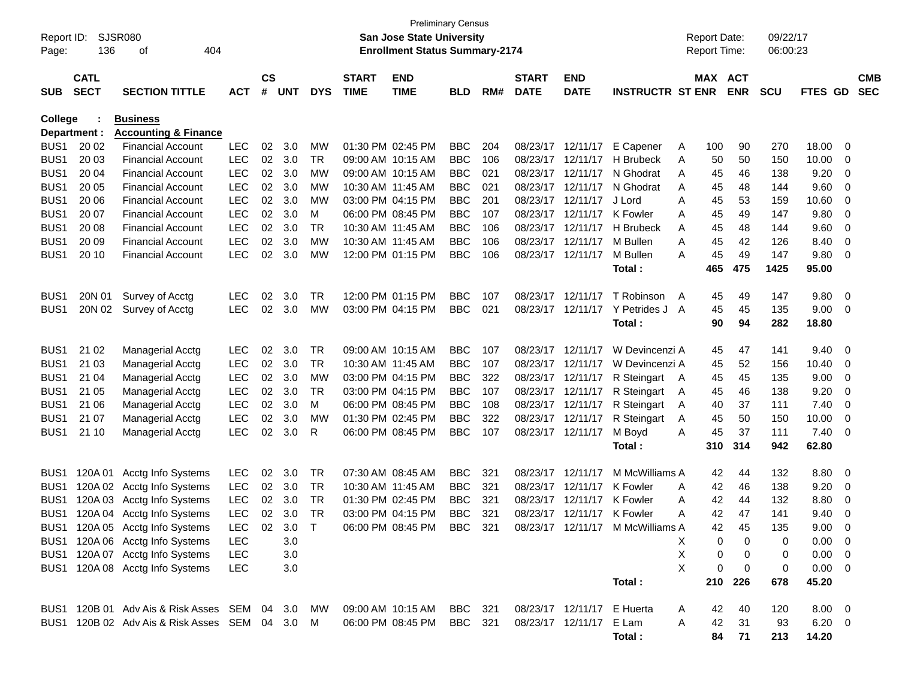| Report ID:<br>Page: | 136                        | SJSR080<br>404<br>of                         |            |                    |                |            |                             | <b>Preliminary Census</b><br>San Jose State University<br><b>Enrollment Status Summary-2174</b> |                |     |                             |                            |                                  |   | <b>Report Date:</b><br><b>Report Time:</b> |            | 09/22/17<br>06:00:23 |             |     |                          |
|---------------------|----------------------------|----------------------------------------------|------------|--------------------|----------------|------------|-----------------------------|-------------------------------------------------------------------------------------------------|----------------|-----|-----------------------------|----------------------------|----------------------------------|---|--------------------------------------------|------------|----------------------|-------------|-----|--------------------------|
| <b>SUB</b>          | <b>CATL</b><br><b>SECT</b> | <b>SECTION TITTLE</b>                        | <b>ACT</b> | $\mathsf{cs}$<br># | <b>UNT</b>     | <b>DYS</b> | <b>START</b><br><b>TIME</b> | <b>END</b><br><b>TIME</b>                                                                       | <b>BLD</b>     | RM# | <b>START</b><br><b>DATE</b> | <b>END</b><br><b>DATE</b>  | <b>INSTRUCTR ST ENR</b>          |   | MAX ACT                                    | <b>ENR</b> | <b>SCU</b>           | FTES GD     |     | <b>CMB</b><br><b>SEC</b> |
| <b>College</b>      |                            | <b>Business</b>                              |            |                    |                |            |                             |                                                                                                 |                |     |                             |                            |                                  |   |                                            |            |                      |             |     |                          |
|                     | Department :               | <b>Accounting &amp; Finance</b>              |            |                    |                |            |                             |                                                                                                 |                |     |                             |                            |                                  |   |                                            |            |                      |             |     |                          |
| BUS <sub>1</sub>    | 20 02                      | <b>Financial Account</b>                     | <b>LEC</b> | 02                 | 3.0            | MW         |                             | 01:30 PM 02:45 PM                                                                               | <b>BBC</b>     | 204 |                             | 08/23/17 12/11/17          | E Capener                        | A | 100                                        | 90         | 270                  | 18.00       | 0   |                          |
| BUS <sub>1</sub>    | 20 03                      | <b>Financial Account</b>                     | <b>LEC</b> | 02                 | 3.0            | TR         |                             | 09:00 AM 10:15 AM                                                                               | <b>BBC</b>     | 106 |                             | 08/23/17 12/11/17          | H Brubeck                        | A | 50                                         | 50         | 150                  | 10.00       | 0   |                          |
| BUS <sub>1</sub>    | 20 04                      | <b>Financial Account</b>                     | <b>LEC</b> | 02                 | 3.0            | МW         |                             | 09:00 AM 10:15 AM                                                                               | <b>BBC</b>     | 021 |                             | 08/23/17 12/11/17          | N Ghodrat                        | A | 45                                         | 46         | 138                  | 9.20        | 0   |                          |
| BUS <sub>1</sub>    | 20 05                      | <b>Financial Account</b>                     | <b>LEC</b> | 02                 | 3.0            | МW         | 10:30 AM 11:45 AM           |                                                                                                 | <b>BBC</b>     | 021 |                             | 08/23/17 12/11/17          | N Ghodrat                        | A | 45                                         | 48         | 144                  | 9.60        | 0   |                          |
| BUS <sub>1</sub>    | 20 06                      | <b>Financial Account</b>                     | <b>LEC</b> | 02                 | 3.0            | МW         |                             | 03:00 PM 04:15 PM                                                                               | <b>BBC</b>     | 201 |                             | 08/23/17 12/11/17          | J Lord                           | A | 45                                         | 53         | 159                  | 10.60       | 0   |                          |
| BUS <sub>1</sub>    | 20 07                      | <b>Financial Account</b>                     | <b>LEC</b> | 02                 | 3.0            | M          |                             | 06:00 PM 08:45 PM                                                                               | <b>BBC</b>     | 107 |                             | 08/23/17 12/11/17          | K Fowler                         | A | 45                                         | 49         | 147                  | 9.80        | 0   |                          |
| BUS <sub>1</sub>    | 20 08                      | <b>Financial Account</b>                     | <b>LEC</b> | 02                 | 3.0            | <b>TR</b>  | 10:30 AM 11:45 AM           |                                                                                                 | <b>BBC</b>     | 106 |                             | 08/23/17 12/11/17          | <b>H</b> Brubeck                 | A | 45                                         | 48         | 144                  | 9.60        | 0   |                          |
| BUS1                | 20 09                      | <b>Financial Account</b>                     | <b>LEC</b> | 02                 | 3.0            | МW         | 10:30 AM 11:45 AM           |                                                                                                 | <b>BBC</b>     | 106 |                             | 08/23/17 12/11/17          | M Bullen                         | Α | 45                                         | 42         | 126                  | 8.40        | 0   |                          |
| BUS <sub>1</sub>    | 20 10                      | <b>Financial Account</b>                     | <b>LEC</b> | 02                 | 3.0            | MW         |                             | 12:00 PM 01:15 PM                                                                               | <b>BBC</b>     | 106 |                             | 08/23/17 12/11/17          | M Bullen                         | A | 45                                         | 49         | 147                  | 9.80        | 0   |                          |
|                     |                            |                                              |            |                    |                |            |                             |                                                                                                 |                |     |                             |                            | Total :                          |   | 465                                        | 475        | 1425                 | 95.00       |     |                          |
| BUS <sub>1</sub>    | 20N 01                     | Survey of Acctg                              | LEC        | 02                 | 3.0            | TR         |                             | 12:00 PM 01:15 PM                                                                               | <b>BBC</b>     | 107 |                             | 08/23/17 12/11/17          | T Robinson                       | A | 45                                         | 49         | 147                  | 9.80        | - 0 |                          |
| BUS <sub>1</sub>    | 20N 02                     | Survey of Acctg                              | <b>LEC</b> | 02                 | 3.0            | MW         |                             | 03:00 PM 04:15 PM                                                                               | <b>BBC</b>     | 021 |                             |                            | 08/23/17 12/11/17 Y Petrides J   | A | 45                                         | 45         | 135                  | 9.00        | 0   |                          |
|                     |                            |                                              |            |                    |                |            |                             |                                                                                                 |                |     |                             |                            | Total :                          |   | 90                                         | 94         | 282                  | 18.80       |     |                          |
| BUS <sub>1</sub>    | 21 02                      | <b>Managerial Acctg</b>                      | LEC        | 02                 | 3.0            | TR         |                             | 09:00 AM 10:15 AM                                                                               | <b>BBC</b>     | 107 |                             | 08/23/17 12/11/17          | W Devincenzi A                   |   | 45                                         | 47         | 141                  | 9.40        | 0   |                          |
| BUS <sub>1</sub>    | 21 03                      | <b>Managerial Acctg</b>                      | <b>LEC</b> | 02                 | 3.0            | <b>TR</b>  | 10:30 AM 11:45 AM           |                                                                                                 | <b>BBC</b>     | 107 |                             | 08/23/17 12/11/17          | W Devincenzi A                   |   | 45                                         | 52         | 156                  | 10.40       | 0   |                          |
| BUS <sub>1</sub>    | 21 04                      | <b>Managerial Acctg</b>                      | <b>LEC</b> | 02                 | 3.0            | MW         |                             | 03:00 PM 04:15 PM                                                                               | <b>BBC</b>     | 322 |                             | 08/23/17 12/11/17          | R Steingart                      | A | 45                                         | 45         | 135                  | 9.00        | 0   |                          |
| BUS <sub>1</sub>    | 21 05                      | <b>Managerial Acctg</b>                      | <b>LEC</b> | 02                 | 3.0            | TR         |                             | 03:00 PM 04:15 PM                                                                               | <b>BBC</b>     | 107 |                             | 08/23/17 12/11/17          | R Steingart                      | A | 45                                         | 46         | 138                  | 9.20        | 0   |                          |
| BUS <sub>1</sub>    | 21 06                      | <b>Managerial Acctg</b>                      | <b>LEC</b> | 02                 | 3.0            | M          |                             | 06:00 PM 08:45 PM                                                                               | <b>BBC</b>     | 108 |                             | 08/23/17 12/11/17          | R Steingart                      | A | 40                                         | 37         | 111                  | 7.40        | 0   |                          |
| BUS <sub>1</sub>    | 21 07                      | <b>Managerial Acctg</b>                      | <b>LEC</b> | 02                 | 3.0            | МW         |                             | 01:30 PM 02:45 PM                                                                               | <b>BBC</b>     | 322 |                             | 08/23/17 12/11/17          | R Steingart                      | A | 45                                         | 50         | 150                  | 10.00       | 0   |                          |
| BUS <sub>1</sub>    | 21 10                      | <b>Managerial Acctg</b>                      | <b>LEC</b> | 02                 | 3.0            | R          |                             | 06:00 PM 08:45 PM                                                                               | <b>BBC</b>     | 107 |                             | 08/23/17 12/11/17          | M Boyd                           | A | 45                                         | 37         | 111                  | 7.40        | - 0 |                          |
|                     |                            |                                              |            |                    |                |            |                             |                                                                                                 |                |     |                             |                            | Total :                          |   | 310                                        | 314        | 942                  | 62.80       |     |                          |
| BUS1                | 120A 01                    | Acctg Info Systems                           | <b>LEC</b> | 02                 | 3.0            | TR         |                             | 07:30 AM 08:45 AM                                                                               | <b>BBC</b>     | 321 |                             | 08/23/17 12/11/17          | M McWilliams A                   |   | 42                                         | 44         | 132                  | 8.80        | - 0 |                          |
| BUS1                | 120A 02                    | Acctg Info Systems                           | <b>LEC</b> | 02                 | 3.0            | <b>TR</b>  | 10:30 AM 11:45 AM           |                                                                                                 | <b>BBC</b>     | 321 |                             | 08/23/17 12/11/17          | <b>K</b> Fowler                  | A | 42                                         | 46         | 138                  | 9.20        | 0   |                          |
| BUS <sub>1</sub>    | 120A 03                    | Acctg Info Systems                           | <b>LEC</b> | 02                 | 3.0            | <b>TR</b>  |                             | 01:30 PM 02:45 PM                                                                               | <b>BBC</b>     | 321 |                             | 08/23/17 12/11/17          | K Fowler                         | A | 42                                         | 44         | 132                  | 8.80        | 0   |                          |
| BUS <sub>1</sub>    |                            | 120A 04 Acctg Info Systems                   | LEC        | 02                 | 3.0            | <b>TR</b>  |                             | 03:00 PM 04:15 PM                                                                               | <b>BBC</b>     | 321 |                             | 08/23/17 12/11/17 K Fowler |                                  | A | 42                                         | 47         | 141                  | 9.40        | 0   |                          |
| BUS <sub>1</sub>    |                            | 120A 05 Acctg Info Systems                   | LEC-       |                    | $02 \quad 3.0$ | $\top$     |                             | 06:00 PM 08:45 PM                                                                               | BBC            | 321 |                             |                            | 08/23/17 12/11/17 M McWilliams A |   | 42                                         | 45         | 135                  | 9.00        | 0   |                          |
|                     |                            | BUS1 120A 06 Acctg Info Systems              | LEC        |                    | 3.0            |            |                             |                                                                                                 |                |     |                             |                            |                                  | X | 0                                          | 0          | 0                    | $0.00 \t 0$ |     |                          |
|                     |                            | BUS1 120A 07 Acctg Info Systems              | <b>LEC</b> |                    | 3.0            |            |                             |                                                                                                 |                |     |                             |                            |                                  | X | 0                                          | 0          | 0                    | $0.00 \t 0$ |     |                          |
|                     |                            | BUS1 120A 08 Acctg Info Systems              | <b>LEC</b> |                    | 3.0            |            |                             |                                                                                                 |                |     |                             |                            |                                  | X | 0                                          | 0          | 0                    | $0.00 \t 0$ |     |                          |
|                     |                            |                                              |            |                    |                |            |                             |                                                                                                 |                |     |                             |                            | Total:                           |   | 210                                        | 226        | 678                  | 45.20       |     |                          |
|                     |                            | BUS1 120B 01 Adv Ais & Risk Asses SEM 04 3.0 |            |                    |                | MW.        |                             | 09:00 AM 10:15 AM                                                                               | <b>BBC</b> 321 |     |                             | 08/23/17 12/11/17          | E Huerta                         | A | 42                                         | 40         | 120                  | $8.00 \t 0$ |     |                          |
|                     |                            | BUS1 120B 02 Adv Ais & Risk Asses SEM 04 3.0 |            |                    |                | M          |                             | 06:00 PM 08:45 PM                                                                               | <b>BBC</b> 321 |     |                             | 08/23/17 12/11/17          | E Lam                            | Α | 42                                         | 31         | 93                   | $6.20 \t 0$ |     |                          |
|                     |                            |                                              |            |                    |                |            |                             |                                                                                                 |                |     |                             |                            | Total:                           |   | 84                                         | 71         | 213                  | 14.20       |     |                          |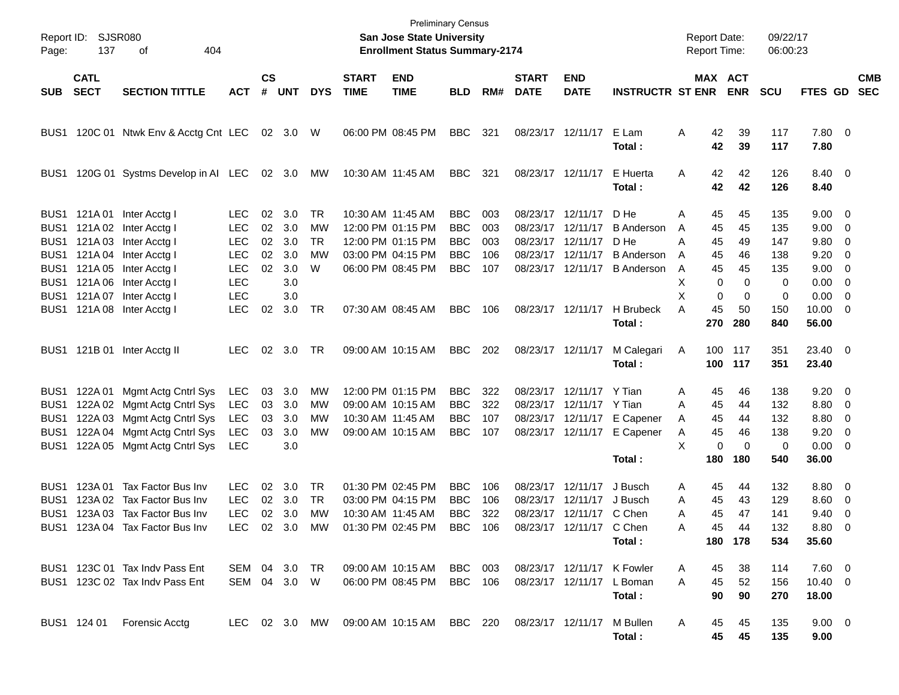| Page:                                                    | Report ID: SJSR080<br>137  | 404<br>оf                                                       |                                        |                    |                   |                              |                             | <b>Preliminary Census</b><br><b>San Jose State University</b><br><b>Enrollment Status Summary-2174</b> |                                        |                   |                             |                                                    |                                        | <b>Report Date:</b><br><b>Report Time:</b> |                              | 09/22/17<br>06:00:23 |                                         |                          |                          |
|----------------------------------------------------------|----------------------------|-----------------------------------------------------------------|----------------------------------------|--------------------|-------------------|------------------------------|-----------------------------|--------------------------------------------------------------------------------------------------------|----------------------------------------|-------------------|-----------------------------|----------------------------------------------------|----------------------------------------|--------------------------------------------|------------------------------|----------------------|-----------------------------------------|--------------------------|--------------------------|
| SUB                                                      | <b>CATL</b><br><b>SECT</b> | <b>SECTION TITTLE</b>                                           | <b>ACT</b>                             | $\mathsf{cs}$<br># | <b>UNT</b>        | <b>DYS</b>                   | <b>START</b><br><b>TIME</b> | <b>END</b><br><b>TIME</b>                                                                              | <b>BLD</b>                             | RM#               | <b>START</b><br><b>DATE</b> | <b>END</b><br><b>DATE</b>                          | <b>INSTRUCTR ST ENR</b>                |                                            | <b>MAX ACT</b><br><b>ENR</b> | <b>SCU</b>           | <b>FTES GD</b>                          |                          | <b>CMB</b><br><b>SEC</b> |
|                                                          |                            | BUS1 120C 01 Ntwk Env & Acctg Cnt LEC                           |                                        |                    | 02 3.0 W          |                              |                             | 06:00 PM 08:45 PM                                                                                      | <b>BBC</b>                             | 321               |                             | 08/23/17 12/11/17                                  | E Lam<br>Total:                        | Α<br>42<br>42                              | 39<br>39                     | 117<br>117           | 7.80 0<br>7.80                          |                          |                          |
| BUS1                                                     |                            | 120G 01 Systms Develop in AI LEC                                |                                        |                    | 02 3.0            | МW                           |                             | 10:30 AM 11:45 AM                                                                                      | BBC                                    | 321               |                             | 08/23/17 12/11/17                                  | E Huerta<br>Total:                     | 42<br>A<br>42                              | 42<br>42                     | 126<br>126           | 8.40 0<br>8.40                          |                          |                          |
| BUS <sub>1</sub><br>BUS <sub>1</sub>                     | BUS1 121A01                | Inter Acctg I<br>121A 02 Inter Acctg I<br>121A 03 Inter Acctg I | <b>LEC</b><br><b>LEC</b><br><b>LEC</b> | 02<br>02<br>02     | 3.0<br>3.0<br>3.0 | <b>TR</b><br>МW<br><b>TR</b> |                             | 10:30 AM 11:45 AM<br>12:00 PM 01:15 PM<br>12:00 PM 01:15 PM                                            | <b>BBC</b><br><b>BBC</b><br><b>BBC</b> | 003<br>003<br>003 | 08/23/17                    | 08/23/17 12/11/17<br>12/11/17<br>08/23/17 12/11/17 | D He<br><b>B</b> Anderson<br>D He      | A<br>45<br>45<br>A<br>А<br>45              | 45<br>45<br>49               | 135<br>135<br>147    | $9.00 \quad 0$<br>$9.00 \t 0$<br>9.80 0 |                          |                          |
| BUS <sub>1</sub><br>BUS <sub>1</sub><br>BUS <sub>1</sub> | 121A 05                    | 121A 04 Inter Acctg I<br>Inter Acctg I<br>121A 06 Inter Acctg I | <b>LEC</b><br><b>LEC</b><br><b>LEC</b> | 02<br>02           | 3.0<br>3.0<br>3.0 | <b>MW</b><br>W               |                             | 03:00 PM 04:15 PM<br>06:00 PM 08:45 PM                                                                 | <b>BBC</b><br><b>BBC</b>               | 106<br>107        |                             | 08/23/17 12/11/17<br>08/23/17 12/11/17             | <b>B</b> Anderson<br><b>B</b> Anderson | 45<br>A<br>45<br>A<br>х                    | 46<br>45<br>0<br>$\Omega$    | 138<br>135<br>0      | 9.20<br>$9.00 \t 0$<br>$0.00 \t 0$      | $\overline{\phantom{0}}$ |                          |
| BUS <sub>1</sub><br>BUS1                                 |                            | 121A 07 Inter Acctg I<br>121A 08 Inter Acctg I                  | <b>LEC</b><br><b>LEC</b>               | 02                 | 3.0<br>3.0        | TR                           |                             | 07:30 AM 08:45 AM                                                                                      | <b>BBC</b>                             | 106               | 08/23/17 12/11/17           |                                                    | H Brubeck<br>Total:                    | X<br>45<br>А<br>270                        | 0<br>$\Omega$<br>50<br>280   | 0<br>150<br>840      | $0.00 \t 0$<br>$10.00 \t 0$<br>56.00    |                          |                          |
|                                                          |                            | BUS1 121B 01 Inter Acctg II                                     | <b>LEC</b>                             | 02                 | 3.0               | TR                           |                             | 09:00 AM 10:15 AM                                                                                      | <b>BBC</b>                             | 202               | 08/23/17 12/11/17           |                                                    | M Calegari<br>Total:                   | A<br>100                                   | 100 117<br>117               | 351<br>351           | 23.40 0<br>23.40                        |                          |                          |
| BUS1                                                     | 122A 01                    | Mgmt Actg Cntrl Sys                                             | LEC                                    | 03                 | 3.0               | MW                           |                             | 12:00 PM 01:15 PM                                                                                      | <b>BBC</b>                             | 322               |                             | 08/23/17 12/11/17                                  | Y Tian                                 | 45<br>Α                                    | 46                           | 138                  | $9.20 \ 0$                              |                          |                          |
| BUS <sub>1</sub><br>BUS <sub>1</sub>                     | 122A 03                    | 122A 02 Mgmt Actg Cntrl Sys<br>Mgmt Actg Cntrl Sys              | LEC<br>LEC                             | 03<br>03           | 3.0<br>3.0        | MW<br>MW                     | 10:30 AM 11:45 AM           | 09:00 AM 10:15 AM                                                                                      | <b>BBC</b><br><b>BBC</b>               | 322<br>107        |                             | 08/23/17 12/11/17 Y Tian                           | 08/23/17 12/11/17 E Capener            | 45<br>A<br>45<br>A                         | 44<br>44                     | 132<br>132           | 8.80 0<br>8.80                          | $\overline{\phantom{0}}$ |                          |
| BUS1<br>BUS <sub>1</sub>                                 | 122A 04<br>122A 05         | Mgmt Actg Cntrl Sys<br>Mgmt Actg Cntrl Sys                      | <b>LEC</b><br><b>LEC</b>               | 03                 | 3.0<br>3.0        | MW                           |                             | 09:00 AM 10:15 AM                                                                                      | <b>BBC</b>                             | 107               |                             | 08/23/17 12/11/17                                  | E Capener                              | 45<br>Α<br>X                               | 46<br>0<br>$\mathbf 0$       | 138<br>0             | 9.20<br>$0.00 \t 0$                     | $\overline{\phantom{0}}$ |                          |
|                                                          |                            |                                                                 |                                        |                    |                   |                              |                             |                                                                                                        |                                        |                   |                             |                                                    | Total:                                 | 180                                        | 180                          | 540                  | 36.00                                   |                          |                          |
| BUS1<br>BUS1                                             | 123A 01<br>123A 02         | Tax Factor Bus Inv<br>Tax Factor Bus Inv                        | LEC.<br><b>LEC</b>                     | 02<br>02           | 3.0<br>3.0        | TR<br><b>TR</b>              |                             | 01:30 PM 02:45 PM<br>03:00 PM 04:15 PM                                                                 | <b>BBC</b><br><b>BBC</b>               | 106<br>106        | 08/23/17                    | 08/23/17 12/11/17<br>12/11/17                      | J Busch<br>J Busch                     | 45<br>Α<br>45<br>Α                         | 44<br>43                     | 132<br>129           | $8.80\quad 0$<br>8.60                   | $\overline{\phantom{0}}$ |                          |
| BUS1                                                     |                            | 123A 03 Tax Factor Bus Inv                                      | <b>LEC</b>                             | 02                 | 3.0               | МW                           | 10:30 AM 11:45 AM           |                                                                                                        | <b>BBC</b>                             | 322               |                             | 08/23/17 12/11/17 C Chen                           |                                        | 45<br>Α                                    | 47                           | 141                  | 9.40                                    | - 0                      |                          |
|                                                          |                            | BUS1 123A 04 Tax Factor Bus Inv                                 |                                        |                    |                   |                              |                             | LEC 02 3.0 MW 01:30 PM 02:45 PM BBC 106                                                                |                                        |                   |                             | 08/23/17 12/11/17 C Chen                           |                                        | Α<br>45                                    | 44                           | 132                  | $8.80\ 0$                               |                          |                          |
|                                                          |                            |                                                                 |                                        |                    |                   |                              |                             |                                                                                                        |                                        |                   |                             |                                                    | Total:                                 |                                            | 180 178                      | 534                  | 35.60                                   |                          |                          |
|                                                          |                            | BUS1 123C 01 Tax Indv Pass Ent                                  | SEM 04 3.0 TR                          |                    |                   |                              |                             | 09:00 AM 10:15 AM                                                                                      | BBC 003                                |                   |                             | 08/23/17 12/11/17 K Fowler                         |                                        | 45<br>A                                    | 38                           | 114                  | 7.60 0                                  |                          |                          |
|                                                          |                            | BUS1 123C 02 Tax Indv Pass Ent                                  | SEM 04 3.0 W                           |                    |                   |                              |                             | 06:00 PM 08:45 PM                                                                                      | <b>BBC</b> 106                         |                   |                             | 08/23/17 12/11/17 L Boman                          | Total:                                 | 45<br>А<br>90                              | 52<br>90                     | 156<br>270           | $10.40 \ 0$<br>18.00                    |                          |                          |
|                                                          | BUS1 124 01                | Forensic Acctg                                                  | LEC 02 3.0 MW                          |                    |                   |                              |                             | 09:00 AM 10:15 AM BBC 220                                                                              |                                        |                   | 08/23/17 12/11/17           |                                                    | M Bullen<br>Total:                     | 45<br>A                                    | 45<br>45<br>45               | 135<br>135           | $9.00 \t 0$<br>9.00                     |                          |                          |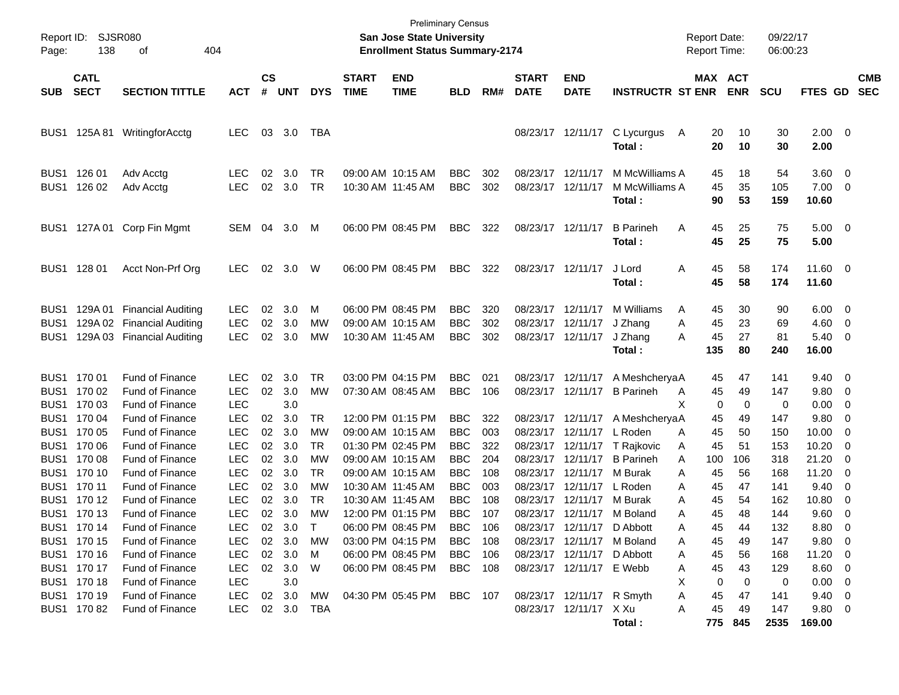| Report ID:<br>Page: | 138                        | SJSR080<br>404<br>οf       |                    |                             |            |            |                             | <b>Preliminary Census</b><br><b>San Jose State University</b><br><b>Enrollment Status Summary-2174</b> |                          |            |                                        |                            |                                            |              | <b>Report Date:</b><br><b>Report Time:</b> |                | 09/22/17<br>06:00:23 |                                |                          |                          |
|---------------------|----------------------------|----------------------------|--------------------|-----------------------------|------------|------------|-----------------------------|--------------------------------------------------------------------------------------------------------|--------------------------|------------|----------------------------------------|----------------------------|--------------------------------------------|--------------|--------------------------------------------|----------------|----------------------|--------------------------------|--------------------------|--------------------------|
| <b>SUB</b>          | <b>CATL</b><br><b>SECT</b> | <b>SECTION TITTLE</b>      | <b>ACT</b>         | $\mathbf{c}\mathbf{s}$<br># | <b>UNT</b> | <b>DYS</b> | <b>START</b><br><b>TIME</b> | <b>END</b><br><b>TIME</b>                                                                              | <b>BLD</b>               | RM#        | <b>START</b><br><b>DATE</b>            | <b>END</b><br><b>DATE</b>  | <b>INSTRUCTR ST ENR</b>                    |              | <b>MAX ACT</b>                             | <b>ENR</b>     | <b>SCU</b>           | <b>FTES GD</b>                 |                          | <b>CMB</b><br><b>SEC</b> |
| BUS1                |                            | 125A 81 WritingforAcctg    | <b>LEC</b>         | 03                          | 3.0        | TBA        |                             |                                                                                                        |                          |            |                                        | 08/23/17 12/11/17          | C Lycurgus<br>Total:                       | $\mathsf{A}$ | 20<br>20                                   | 10<br>10       | 30<br>30             | $2.00 \t 0$<br>2.00            |                          |                          |
| BUS1<br>BUS1        | 126 01<br>126 02           | Adv Acctg<br>Adv Acctg     | LEC.<br><b>LEC</b> | 02<br>02                    | 3.0<br>3.0 | TR<br>TR   |                             | 09:00 AM 10:15 AM<br>10:30 AM 11:45 AM                                                                 | <b>BBC</b><br><b>BBC</b> | 302<br>302 | 08/23/17 12/11/17<br>08/23/17 12/11/17 |                            | M McWilliams A<br>M McWilliams A<br>Total: |              | 45<br>45<br>90                             | 18<br>35<br>53 | 54<br>105<br>159     | 3.60 0<br>$7.00 \t 0$<br>10.60 |                          |                          |
| BUS1                |                            | 127A 01 Corp Fin Mgmt      | SEM 04             |                             | 3.0        | М          |                             | 06:00 PM 08:45 PM                                                                                      | <b>BBC</b>               | 322        | 08/23/17 12/11/17                      |                            | <b>B</b> Parineh<br>Total:                 | Α            | 45<br>45                                   | 25<br>25       | 75<br>75             | $5.00 \t 0$<br>5.00            |                          |                          |
| BUS <sub>1</sub>    | 128 01                     | Acct Non-Prf Org           | <b>LEC</b>         | 02                          | 3.0        | W          |                             | 06:00 PM 08:45 PM                                                                                      | <b>BBC</b>               | 322        | 08/23/17 12/11/17                      |                            | J Lord<br>Total:                           | Α            | 45<br>45                                   | 58<br>58       | 174<br>174           | 11.60 0<br>11.60               |                          |                          |
| BUS1                |                            | 129A 01 Financial Auditing | <b>LEC</b>         | 02                          | 3.0        | м          |                             | 06:00 PM 08:45 PM                                                                                      | <b>BBC</b>               | 320        | 08/23/17 12/11/17                      |                            | M Williams                                 | A            | 45                                         | 30             | 90                   | $6.00 \quad 0$                 |                          |                          |
| BUS <sub>1</sub>    |                            | 129A 02 Financial Auditing | <b>LEC</b>         | 02                          | 3.0        | МW         |                             | 09:00 AM 10:15 AM                                                                                      | <b>BBC</b>               | 302        | 08/23/17 12/11/17                      |                            | J Zhang                                    | A            | 45                                         | 23             | 69                   | 4.60                           | $\overline{\phantom{0}}$ |                          |
| BUS1                |                            | 129A 03 Financial Auditing | <b>LEC</b>         | 02                          | 3.0        | <b>MW</b>  |                             | 10:30 AM 11:45 AM                                                                                      | <b>BBC</b>               | 302        |                                        | 08/23/17 12/11/17          | J Zhang                                    | А            | 45                                         | 27             | 81                   | $5.40 \quad 0$                 |                          |                          |
|                     |                            |                            |                    |                             |            |            |                             |                                                                                                        |                          |            |                                        |                            | Total:                                     |              | 135                                        | 80             | 240                  | 16.00                          |                          |                          |
|                     | BUS1 170 01                | <b>Fund of Finance</b>     | LEC.               | 02                          | 3.0        | TR         |                             | 03:00 PM 04:15 PM                                                                                      | <b>BBC</b>               | 021        |                                        | 08/23/17 12/11/17          | A MeshcheryaA                              |              | 45                                         | 47             | 141                  | $9.40 \quad 0$                 |                          |                          |
| BUS <sub>1</sub>    | 170 02                     | Fund of Finance            | <b>LEC</b>         | 02                          | 3.0        | MW         |                             | 07:30 AM 08:45 AM                                                                                      | <b>BBC</b>               | 106        |                                        | 08/23/17 12/11/17          | <b>B</b> Parineh                           | A            | 45                                         | 49             | 147                  | 9.80 0                         |                          |                          |
| BUS <sub>1</sub>    | 170 03                     | Fund of Finance            | <b>LEC</b>         |                             | 3.0        |            |                             |                                                                                                        |                          |            |                                        |                            |                                            | Х            | 0                                          | 0              | 0                    | 0.00                           | $\overline{\mathbf{0}}$  |                          |
| BUS1                | 170 04                     | Fund of Finance            | <b>LEC</b>         | 02                          | 3.0        | TR.        |                             | 12:00 PM 01:15 PM                                                                                      | <b>BBC</b>               | 322        |                                        | 08/23/17 12/11/17          | A Meshcherya A                             |              | 45                                         | 49             | 147                  | 9.80                           | 0                        |                          |
| BUS <sub>1</sub>    | 170 05                     | Fund of Finance            | <b>LEC</b>         | 02                          | 3.0        | МW         |                             | 09:00 AM 10:15 AM                                                                                      | <b>BBC</b>               | 003        |                                        | 08/23/17 12/11/17          | L Roden                                    | A            | 45                                         | 50             | 150                  | 10.00                          | 0                        |                          |
| BUS <sub>1</sub>    | 170 06                     | Fund of Finance            | <b>LEC</b>         | 02                          | 3.0        | TR         |                             | 01:30 PM 02:45 PM                                                                                      | <b>BBC</b>               | 322        |                                        | 08/23/17 12/11/17          | T Rajkovic                                 | A            | 45                                         | 51             | 153                  | 10.20                          | $\overline{\mathbf{0}}$  |                          |
| BUS1                | 170 08                     | Fund of Finance            | <b>LEC</b>         | 02                          | 3.0        | МW         |                             | 09:00 AM 10:15 AM                                                                                      | <b>BBC</b>               | 204        |                                        | 08/23/17 12/11/17          | <b>B</b> Parineh                           | A            | 100                                        | 106            | 318                  | 21.20                          | - 0                      |                          |
| BUS1                | 170 10                     | Fund of Finance            | <b>LEC</b>         | 02                          | 3.0        | TR         |                             | 09:00 AM 10:15 AM                                                                                      | <b>BBC</b>               | 108        |                                        | 08/23/17 12/11/17          | M Burak                                    | Α            | 45                                         | 56             | 168                  | 11.20                          | $\overline{\mathbf{0}}$  |                          |
| BUS1                | 170 11                     | Fund of Finance            | <b>LEC</b>         | 02                          | 3.0        | МW         | 10:30 AM 11:45 AM           |                                                                                                        | <b>BBC</b>               | 003        |                                        | 08/23/17 12/11/17          | L Roden                                    | Α            | 45                                         | 47             | 141                  | 9.40                           | 0                        |                          |
| BUS <sub>1</sub>    | 170 12                     | Fund of Finance            | LEC                | 02                          | 3.0        | TR         |                             | 10:30 AM 11:45 AM                                                                                      | <b>BBC</b>               | 108        |                                        | 08/23/17 12/11/17          | M Burak                                    | Α            | 45                                         | 54             | 162                  | 10.80                          | 0                        |                          |
|                     | BUS1 170 13                | <b>Fund of Finance</b>     | <b>LEC</b>         | 02                          | 3.0        | <b>MW</b>  |                             | 12:00 PM 01:15 PM                                                                                      | <b>BBC</b>               | 107        |                                        | 08/23/17 12/11/17          | M Boland                                   | Α            | 45                                         | 48             | 144                  | 9.60                           | $\overline{\phantom{0}}$ |                          |
|                     | BUS1 170 14                | Fund of Finance            | <b>LEC</b>         |                             | 02 3.0     |            |                             | 06:00 PM 08:45 PM                                                                                      | BBC                      | 106        |                                        | 08/23/17 12/11/17 D Abbott |                                            | A            | 45                                         | 44             | 132                  | 8.80 0                         |                          |                          |
|                     | BUS1 170 15                | Fund of Finance            | <b>LEC</b>         | 02                          | 3.0        | МW         |                             | 03:00 PM 04:15 PM                                                                                      | <b>BBC</b>               | 108        |                                        |                            | 08/23/17 12/11/17 M Boland                 | Α            | 45                                         | 49             | 147                  | 9.80 0                         |                          |                          |
|                     | BUS1 170 16                | Fund of Finance            | <b>LEC</b>         |                             | 02 3.0     | M          |                             | 06:00 PM 08:45 PM                                                                                      | <b>BBC</b>               | 106        |                                        | 08/23/17 12/11/17 D Abbott |                                            | Α            | 45                                         | 56             | 168                  | 11.20 0                        |                          |                          |
|                     | BUS1 170 17                | Fund of Finance            | <b>LEC</b>         |                             | 02 3.0     | W          |                             | 06:00 PM 08:45 PM                                                                                      | <b>BBC</b> 108           |            |                                        | 08/23/17 12/11/17 E Webb   |                                            | Α            | 45                                         | 43             | 129                  | $8.60$ 0                       |                          |                          |
|                     | BUS1 170 18                | Fund of Finance            | <b>LEC</b>         |                             | 3.0        |            |                             |                                                                                                        |                          |            |                                        |                            |                                            | х            | 0                                          | 0              | 0                    | $0.00 \t 0$                    |                          |                          |
|                     | BUS1 170 19                | Fund of Finance            | <b>LEC</b>         |                             | 02 3.0     | МW         |                             | 04:30 PM 05:45 PM                                                                                      | BBC 107                  |            |                                        | 08/23/17 12/11/17 R Smyth  |                                            | Α            | 45                                         | 47             | 141                  | $9.40 \quad 0$                 |                          |                          |
|                     | BUS1 17082                 | Fund of Finance            | <b>LEC</b>         |                             | 02 3.0 TBA |            |                             |                                                                                                        |                          |            |                                        | 08/23/17 12/11/17 X Xu     |                                            | Α            | 45                                         | 49             | 147                  | 9.80 0                         |                          |                          |
|                     |                            |                            |                    |                             |            |            |                             |                                                                                                        |                          |            |                                        |                            | Total:                                     |              |                                            | 775 845        | 2535                 | 169.00                         |                          |                          |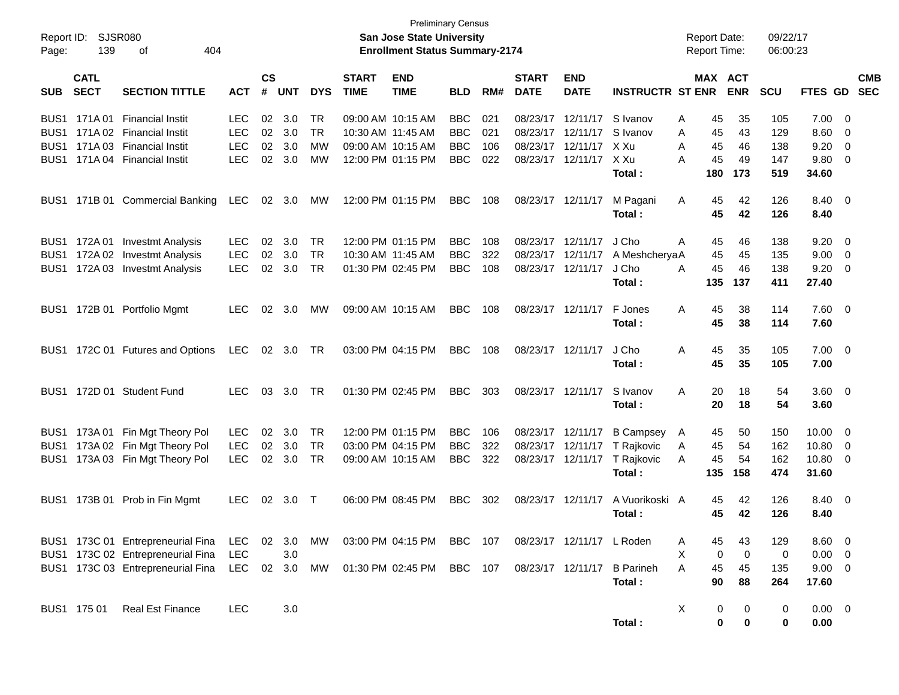|                     |                       |                                   |            |               |            |            |                   | <b>Preliminary Census</b>                                                 |            |     |                   |                           |                         |                                            |                  | 09/22/17   |                |                          |
|---------------------|-----------------------|-----------------------------------|------------|---------------|------------|------------|-------------------|---------------------------------------------------------------------------|------------|-----|-------------------|---------------------------|-------------------------|--------------------------------------------|------------------|------------|----------------|--------------------------|
| Report ID:<br>Page: | <b>SJSR080</b><br>139 | 404<br>оf                         |            |               |            |            |                   | <b>San Jose State University</b><br><b>Enrollment Status Summary-2174</b> |            |     |                   |                           |                         | <b>Report Date:</b><br><b>Report Time:</b> |                  | 06:00:23   |                |                          |
|                     | <b>CATL</b>           |                                   |            | $\mathsf{cs}$ |            |            | <b>START</b>      | <b>END</b>                                                                |            |     | <b>START</b>      | <b>END</b>                |                         |                                            | <b>MAX ACT</b>   |            |                | <b>CMB</b>               |
| <b>SUB</b>          | <b>SECT</b>           | <b>SECTION TITTLE</b>             | <b>ACT</b> | #             | <b>UNT</b> | <b>DYS</b> | <b>TIME</b>       | <b>TIME</b>                                                               | <b>BLD</b> | RM# | <b>DATE</b>       | <b>DATE</b>               | <b>INSTRUCTR ST ENR</b> |                                            | <b>ENR</b>       | <b>SCU</b> | <b>FTES</b>    | <b>SEC</b><br><b>GD</b>  |
| BUS <sub>1</sub>    |                       | 171A 01 Financial Instit          | <b>LEC</b> | 02            | 3.0        | TR.        | 09:00 AM 10:15 AM |                                                                           | <b>BBC</b> | 021 | 08/23/17          | 12/11/17                  | S Ivanov                | 45<br>A                                    | 35               | 105        | 7.00           | - 0                      |
|                     |                       | BUS1 171A 02 Financial Instit     | <b>LEC</b> | 02            | 3.0        | <b>TR</b>  | 10:30 AM 11:45 AM |                                                                           | <b>BBC</b> | 021 | 08/23/17          | 12/11/17                  | S Ivanov                | A<br>45                                    | 43               | 129        | 8.60           | - 0                      |
|                     |                       | BUS1 171A 03 Financial Instit     | <b>LEC</b> | 02            | 3.0        | МW         | 09:00 AM 10:15 AM |                                                                           | <b>BBC</b> | 106 | 08/23/17          | 12/11/17                  | X Xu                    | A<br>45                                    | 46               | 138        | 9.20           | 0                        |
|                     |                       | BUS1 171A 04 Financial Instit     | <b>LEC</b> | 02            | 3.0        | MW         | 12:00 PM 01:15 PM |                                                                           | <b>BBC</b> | 022 | 08/23/17          | 12/11/17                  | X Xu                    | 45<br>A                                    | 49               | 147        | 9.80           | - 0                      |
|                     |                       |                                   |            |               |            |            |                   |                                                                           |            |     |                   |                           | Total:                  | 180                                        | 173              | 519        | 34.60          |                          |
|                     |                       | BUS1 171B 01 Commercial Banking   | LEC        | 02            | 3.0        | MW         |                   | 12:00 PM 01:15 PM                                                         | <b>BBC</b> | 108 | 08/23/17          | 12/11/17                  | M Pagani                | A<br>45                                    | 42               | 126        | 8.40           | - 0                      |
|                     |                       |                                   |            |               |            |            |                   |                                                                           |            |     |                   |                           | Total:                  | 45                                         | 42               | 126        | 8.40           |                          |
|                     |                       | BUS1 172A 01 Investmt Analysis    | <b>LEC</b> | 02            | 3.0        | TR.        |                   | 12:00 PM 01:15 PM                                                         | <b>BBC</b> | 108 | 08/23/17          | 12/11/17                  | J Cho                   | A<br>45                                    | 46               | 138        | 9.20           | - 0                      |
|                     |                       | BUS1 172A 02 Investmt Analysis    | LEC        | 02            | 3.0        | <b>TR</b>  | 10:30 AM 11:45 AM |                                                                           | <b>BBC</b> | 322 | 08/23/17          | 12/11/17                  | A MeshcheryaA           | 45                                         | 45               | 135        | 9.00           | - 0                      |
|                     |                       | BUS1 172A 03 Investmt Analysis    | <b>LEC</b> | 02            | 3.0        | <b>TR</b>  | 01:30 PM 02:45 PM |                                                                           | <b>BBC</b> | 108 | 08/23/17          | 12/11/17                  | J Cho                   | A<br>45                                    | 46               | 138        | 9.20           | - 0                      |
|                     |                       |                                   |            |               |            |            |                   |                                                                           |            |     |                   |                           | Total:                  | 135                                        | 137              | 411        | 27.40          |                          |
|                     |                       | BUS1 172B 01 Portfolio Mgmt       | <b>LEC</b> | 02            | 3.0        | MW         | 09:00 AM 10:15 AM |                                                                           | <b>BBC</b> | 108 |                   | 08/23/17 12/11/17         | F Jones                 | A<br>45                                    | 38               | 114        | 7.60           | - 0                      |
|                     |                       |                                   |            |               |            |            |                   |                                                                           |            |     |                   |                           | Total:                  | 45                                         | 38               | 114        | 7.60           |                          |
|                     |                       | BUS1 172C 01 Futures and Options  | LEC        |               | 02 3.0     | <b>TR</b>  |                   | 03:00 PM 04:15 PM                                                         | <b>BBC</b> | 108 |                   | 08/23/17 12/11/17         | J Cho                   | A<br>45                                    | 35               | 105        | 7.00           | - 0                      |
|                     |                       |                                   |            |               |            |            |                   |                                                                           |            |     |                   |                           | Total:                  | 45                                         | 35               | 105        | 7.00           |                          |
|                     |                       | BUS1 172D 01 Student Fund         | <b>LEC</b> | 03            | 3.0        | TR.        |                   | 01:30 PM 02:45 PM                                                         | <b>BBC</b> | 303 | 08/23/17 12/11/17 |                           | S Ivanov                | A<br>20                                    | 18               | 54         | 3.60           | $\overline{\phantom{0}}$ |
|                     |                       |                                   |            |               |            |            |                   |                                                                           |            |     |                   |                           | Total:                  | 20                                         | 18               | 54         | 3.60           |                          |
|                     |                       | BUS1 173A 01 Fin Mgt Theory Pol   | <b>LEC</b> | 02            | 3.0        | TR         |                   | 12:00 PM 01:15 PM                                                         | <b>BBC</b> | 106 | 08/23/17          | 12/11/17                  | <b>B Campsey</b>        | 45<br>A                                    | 50               | 150        | 10.00          | - 0                      |
|                     |                       | BUS1 173A 02 Fin Mgt Theory Pol   | LEC        | 02            | 3.0        | <b>TR</b>  | 03:00 PM 04:15 PM |                                                                           | <b>BBC</b> | 322 | 08/23/17          | 12/11/17                  | T Rajkovic              | 45<br>A                                    | 54               | 162        | 10.80          | - 0                      |
|                     |                       | BUS1 173A 03 Fin Mgt Theory Pol   | <b>LEC</b> | 02            | 3.0        | <b>TR</b>  | 09:00 AM 10:15 AM |                                                                           | <b>BBC</b> | 322 | 08/23/17 12/11/17 |                           | T Rajkovic              | A<br>45                                    | 54               | 162        | 10.80          | - 0                      |
|                     |                       |                                   |            |               |            |            |                   |                                                                           |            |     |                   |                           | Total:                  | 135                                        | 158              | 474        | 31.60          |                          |
|                     |                       | BUS1 173B 01 Prob in Fin Mgmt     | <b>LEC</b> | 02            | 3.0        | $\top$     |                   | 06:00 PM 08:45 PM                                                         | <b>BBC</b> | 302 | 08/23/17          | 12/11/17                  | A Vuorikoski A          | 45                                         | 42               | 126        | 8.40           | - 0                      |
|                     |                       |                                   |            |               |            |            |                   |                                                                           |            |     |                   |                           | Total:                  | 45                                         | 42               | 126        | 8.40           |                          |
|                     |                       | BUS1 173C 01 Entrepreneurial Fina | LEC 02 3.0 |               |            | MW         |                   | 03:00 PM 04:15 PM BBC 107                                                 |            |     |                   | 08/23/17 12/11/17 L Roden |                         | 45<br>A                                    | 43               | 129        | 8.60           | - 0                      |
|                     |                       | BUS1 173C 02 Entrepreneurial Fina | <b>LEC</b> |               | 3.0        |            |                   |                                                                           |            |     |                   |                           |                         | X                                          | $\mathbf 0$<br>0 | 0          | 0.00           | - 0                      |
|                     |                       | BUS1 173C 03 Entrepreneurial Fina | LEC        |               | 02 3.0     | MW         |                   | 01:30 PM 02:45 PM BBC 107                                                 |            |     |                   | 08/23/17 12/11/17         | <b>B</b> Parineh        | A<br>45                                    | 45               | 135        | $9.00 \t 0$    |                          |
|                     |                       |                                   |            |               |            |            |                   |                                                                           |            |     |                   |                           | Total:                  | 90                                         | 88               | 264        | 17.60          |                          |
|                     | BUS1 175 01           | <b>Real Est Finance</b>           | <b>LEC</b> |               | 3.0        |            |                   |                                                                           |            |     |                   |                           |                         | X                                          | 0<br>0           | 0          | $0.00 \quad 0$ |                          |
|                     |                       |                                   |            |               |            |            |                   |                                                                           |            |     |                   |                           | Total:                  |                                            | 0<br>0           | 0          | 0.00           |                          |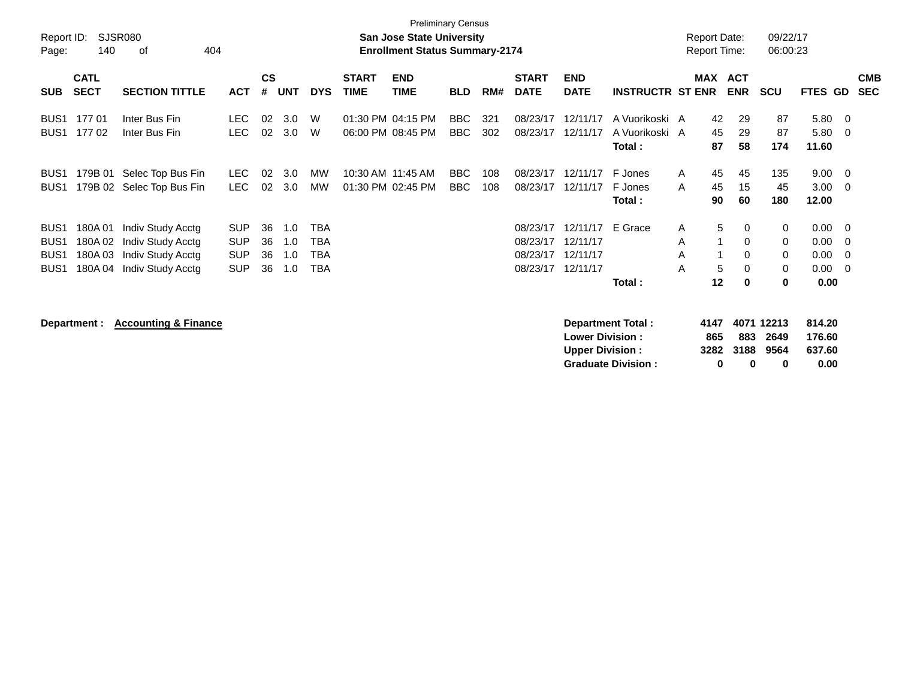| Report ID:<br>Page:                                                          | 140                                   | SJSR080<br>404<br>оf                                                             |                                                      |                      |                          |                                        |                                        | <b>Preliminary Census</b><br><b>San Jose State University</b><br><b>Enrollment Status Summary-2174</b> |                   |            |                                              |                                              |                                            | <b>Report Date:</b><br><b>Report Time:</b> |                                               | 09/22/17<br>06:00:23  |                                      |                                 |                          |
|------------------------------------------------------------------------------|---------------------------------------|----------------------------------------------------------------------------------|------------------------------------------------------|----------------------|--------------------------|----------------------------------------|----------------------------------------|--------------------------------------------------------------------------------------------------------|-------------------|------------|----------------------------------------------|----------------------------------------------|--------------------------------------------|--------------------------------------------|-----------------------------------------------|-----------------------|--------------------------------------|---------------------------------|--------------------------|
| <b>SUB</b>                                                                   | <b>CATL</b><br><b>SECT</b>            | <b>SECTION TITTLE</b>                                                            | <b>ACT</b>                                           | <b>CS</b><br>#       | <b>UNT</b>               | <b>DYS</b>                             | <b>START</b><br><b>TIME</b>            | <b>END</b><br><b>TIME</b>                                                                              | <b>BLD</b>        | RM#        | <b>START</b><br><b>DATE</b>                  | <b>END</b><br><b>DATE</b>                    | <b>INSTRUCTR ST ENR</b>                    | MAX                                        | <b>ACT</b><br><b>ENR</b>                      | <b>SCU</b>            | FTES GD                              |                                 | <b>CMB</b><br><b>SEC</b> |
| BUS <sub>1</sub><br>BUS <sub>1</sub>                                         | 177 01<br>17702                       | Inter Bus Fin<br>Inter Bus Fin                                                   | <b>LEC</b><br><b>LEC</b>                             | 02<br>02             | 3.0<br>3.0               | W<br>W                                 | 01:30 PM 04:15 PM<br>06:00 PM 08:45 PM |                                                                                                        | BBC<br><b>BBC</b> | 321<br>302 | 08/23/17<br>08/23/17                         | 12/11/17<br>12/11/17                         | A Vuorikoski A<br>A Vuorikoski A<br>Total: | 42<br>45<br>87                             | 29<br>29<br>58                                | 87<br>87<br>174       | 5.80<br>5.80<br>11.60                | - 0<br>-0                       |                          |
| BUS <sub>1</sub><br>BUS <sub>1</sub>                                         | 179B 01                               | Selec Top Bus Fin<br>179B 02 Selec Top Bus Fin                                   | LEC.<br><b>LEC</b>                                   | 02<br>02             | 3.0<br>3.0               | МW<br><b>MW</b>                        |                                        | 10:30 AM 11:45 AM<br>01:30 PM 02:45 PM                                                                 | BBC<br><b>BBC</b> | 108<br>108 | 08/23/17<br>08/23/17                         | 12/11/17<br>12/11/17                         | F Jones<br>F Jones<br>Total:               | 45<br>$\mathsf{A}$<br>45<br>A<br>90        | 45<br>15<br>60                                | 135<br>45<br>180      | 9.00<br>3.00<br>12.00                | -0<br>$\Omega$                  |                          |
| BUS <sub>1</sub><br>BUS <sub>1</sub><br>BUS <sub>1</sub><br>BUS <sub>1</sub> | 180A01<br>180A02<br>180A03<br>180A 04 | Indiv Study Acctg<br>Indiv Study Acctg<br>Indiv Study Acctg<br>Indiv Study Acctg | <b>SUP</b><br><b>SUP</b><br><b>SUP</b><br><b>SUP</b> | 36<br>36<br>36<br>36 | 1.0<br>1.0<br>1.0<br>1.0 | <b>TBA</b><br>TBA<br>TBA<br><b>TBA</b> |                                        |                                                                                                        |                   |            | 08/23/17<br>08/23/17<br>08/23/17<br>08/23/17 | 12/11/17<br>12/11/17<br>12/11/17<br>12/11/17 | E Grace<br>Total:                          | A<br>A<br>A<br>A<br>12                     | 5<br>0<br>0<br>$\Omega$<br>5<br>$\Omega$<br>0 | 0<br>0<br>0<br>0<br>0 | 0.00<br>0.00<br>0.00<br>0.00<br>0.00 | $\overline{0}$<br>0<br>0<br>- 0 |                          |

**Department : Accounting & Finance Department Total : 4147 4071 12213 814.20 Lower Division : 865 883 2649 176.60 Upper Division : 3282 3188 9564 637.60 Graduate Division : 0 0 0 0.00**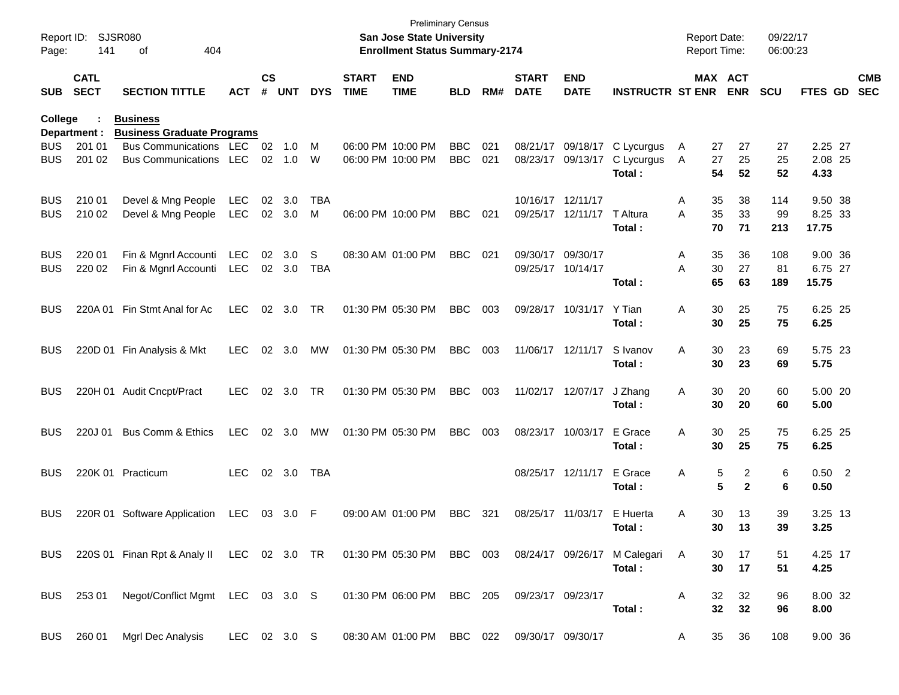| Report ID:<br>Page: | 141                        | <b>SJSR080</b><br>404<br>οf                                                                             |              |                    |            |            |                             | <b>Preliminary Census</b><br><b>San Jose State University</b><br><b>Enrollment Status Summary-2174</b> |            |         |                             |                           |                         |   | <b>Report Date:</b><br><b>Report Time:</b> |                       | 09/22/17<br>06:00:23 |          |                          |
|---------------------|----------------------------|---------------------------------------------------------------------------------------------------------|--------------|--------------------|------------|------------|-----------------------------|--------------------------------------------------------------------------------------------------------|------------|---------|-----------------------------|---------------------------|-------------------------|---|--------------------------------------------|-----------------------|----------------------|----------|--------------------------|
| <b>SUB</b>          | <b>CATL</b><br><b>SECT</b> | <b>SECTION TITTLE</b>                                                                                   | <b>ACT</b>   | $\mathsf{cs}$<br># | <b>UNT</b> | <b>DYS</b> | <b>START</b><br><b>TIME</b> | <b>END</b><br><b>TIME</b>                                                                              | BLD        | RM#     | <b>START</b><br><b>DATE</b> | <b>END</b><br><b>DATE</b> | <b>INSTRUCTR ST ENR</b> |   |                                            | MAX ACT<br><b>ENR</b> | <b>SCU</b>           | FTES GD  | <b>CMB</b><br><b>SEC</b> |
| <b>College</b>      |                            | <b>Business</b>                                                                                         |              |                    |            |            |                             |                                                                                                        |            |         |                             |                           |                         |   |                                            |                       |                      |          |                          |
| <b>BUS</b>          | Department :<br>201 01     | <b>Business Graduate Programs</b><br>Bus Communications LEC                                             |              | 02                 | 1.0        | M          |                             | 06:00 PM 10:00 PM                                                                                      | <b>BBC</b> | 021     | 08/21/17                    | 09/18/17                  | C Lycurgus              | A | 27                                         | 27                    | 27                   | 2.25 27  |                          |
| <b>BUS</b>          | 201 02                     | <b>Bus Communications</b>                                                                               | LEC          | 02                 | 1.0        | W          |                             | 06:00 PM 10:00 PM                                                                                      | <b>BBC</b> | 021     | 08/23/17                    | 09/13/17                  | C Lycurgus              | A | 27                                         | 25                    | 25                   | 2.08 25  |                          |
|                     |                            |                                                                                                         |              |                    |            |            |                             |                                                                                                        |            |         |                             |                           | Total:                  |   | 54                                         | 52                    | 52                   | 4.33     |                          |
| <b>BUS</b>          | 210 01                     | Devel & Mng People                                                                                      | LEC          | 02                 | 3.0        | TBA        |                             |                                                                                                        |            |         |                             | 10/16/17 12/11/17         |                         | A | 35                                         | 38                    | 114                  | 9.50 38  |                          |
| <b>BUS</b>          | 210 02                     | Devel & Mng People                                                                                      | <b>LEC</b>   |                    | 02 3.0     | M          |                             | 06:00 PM 10:00 PM                                                                                      | <b>BBC</b> | 021     |                             | 09/25/17 12/11/17         | T Altura                | A | 35                                         | 33                    | 99                   | 8.25 33  |                          |
|                     |                            |                                                                                                         |              |                    |            |            |                             |                                                                                                        |            |         |                             |                           | Total:                  |   | 70                                         | 71                    | 213                  | 17.75    |                          |
| <b>BUS</b>          | 220 01                     | Fin & Mgnrl Accounti                                                                                    | <b>LEC</b>   | 02                 | 3.0        | S          |                             | 08:30 AM 01:00 PM                                                                                      | <b>BBC</b> | 021     | 09/30/17                    | 09/30/17                  |                         | A | 35                                         | 36                    | 108                  | 9.00 36  |                          |
| <b>BUS</b>          | 220 02                     | Fin & Mgnrl Accounti                                                                                    | LEC          |                    | 02 3.0     | <b>TBA</b> |                             |                                                                                                        |            |         |                             | 09/25/17 10/14/17         |                         | A | 30                                         | 27                    | 81                   | 6.75 27  |                          |
|                     |                            |                                                                                                         |              |                    |            |            |                             |                                                                                                        |            |         |                             |                           | Total:                  |   | 65                                         | 63                    | 189                  | 15.75    |                          |
| <b>BUS</b>          | 220A 01                    | Fin Stmt Anal for Ac                                                                                    | <b>LEC</b>   | 02                 | 3.0        | TR         |                             | 01:30 PM 05:30 PM                                                                                      | <b>BBC</b> | 003     |                             | 09/28/17 10/31/17         | Y Tian                  | Α | 30                                         | 25                    | 75                   | 6.25 25  |                          |
|                     |                            |                                                                                                         |              |                    |            |            |                             |                                                                                                        |            |         |                             |                           | Total:                  |   | 30                                         | 25                    | 75                   | 6.25     |                          |
| <b>BUS</b>          |                            | 220D 01 Fin Analysis & Mkt                                                                              | <b>LEC</b>   | 02                 | 3.0        | МW         |                             | 01:30 PM 05:30 PM                                                                                      | <b>BBC</b> | 003     |                             | 11/06/17 12/11/17         | S Ivanov                | Α | 30                                         | 23                    | 69                   | 5.75 23  |                          |
|                     |                            |                                                                                                         |              |                    |            |            |                             |                                                                                                        |            |         |                             |                           | Total:                  |   | 30                                         | 23                    | 69                   | 5.75     |                          |
| <b>BUS</b>          |                            | 220H 01 Audit Cncpt/Pract                                                                               | <b>LEC</b>   | 02                 | 3.0        | <b>TR</b>  |                             | 01:30 PM 05:30 PM                                                                                      | <b>BBC</b> | 003     |                             | 11/02/17 12/07/17         | J Zhang                 | A | 30                                         | 20                    | 60                   | 5.00 20  |                          |
|                     |                            |                                                                                                         |              |                    |            |            |                             |                                                                                                        |            |         |                             |                           | Total:                  |   | 30                                         | 20                    | 60                   | 5.00     |                          |
| <b>BUS</b>          | 220J 01                    | <b>Bus Comm &amp; Ethics</b>                                                                            | <b>LEC</b>   | 02                 | 3.0        | МW         |                             | 01:30 PM 05:30 PM                                                                                      | <b>BBC</b> | 003     |                             | 08/23/17 10/03/17         | E Grace                 | Α | 30                                         | 25                    | 75                   | 6.25 25  |                          |
|                     |                            |                                                                                                         |              |                    |            |            |                             |                                                                                                        |            |         |                             |                           | Total:                  |   | 30                                         | 25                    | 75                   | 6.25     |                          |
| <b>BUS</b>          |                            | 220K 01 Practicum                                                                                       | <b>LEC</b>   |                    | 02 3.0     | <b>TBA</b> |                             |                                                                                                        |            |         |                             | 08/25/17 12/11/17         | E Grace                 | Α | 5                                          | 2                     | 6                    | $0.50$ 2 |                          |
|                     |                            |                                                                                                         |              |                    |            |            |                             |                                                                                                        |            |         |                             |                           | Total:                  |   | 5                                          | $\mathbf{2}$          | 6                    | 0.50     |                          |
| <b>BUS</b>          |                            | 220R 01 Software Application                                                                            | LEC          | 03                 | 3.0        | - F        |                             | 09:00 AM 01:00 PM                                                                                      | <b>BBC</b> | 321     | 08/25/17                    | 11/03/17                  | E Huerta                | A | 30                                         | 13                    | 39                   | 3.25 13  |                          |
|                     |                            |                                                                                                         |              |                    |            |            |                             |                                                                                                        |            |         |                             |                           | Total:                  |   | 30                                         | 13                    | 39                   | 3.25     |                          |
|                     |                            | BUS 220S 01 Finan Rpt & Analy II LEC 02 3.0 TR 01:30 PM 05:30 PM BBC 003 08/24/17 09/26/17 M Calegari A |              |                    |            |            |                             |                                                                                                        |            |         |                             |                           |                         |   | 30                                         | 17                    | 51                   | 4.25 17  |                          |
|                     |                            |                                                                                                         |              |                    |            |            |                             |                                                                                                        |            |         |                             |                           | Total:                  |   | 30                                         | 17                    | 51                   | 4.25     |                          |
|                     |                            | BUS 253 01 Negot/Conflict Mgmt LEC 03 3.0 S                                                             |              |                    |            |            |                             | 01:30 PM 06:00 PM                                                                                      | BBC 205    |         |                             | 09/23/17 09/23/17         |                         | A | 32                                         | 32                    | 96                   | 8.00 32  |                          |
|                     |                            |                                                                                                         |              |                    |            |            |                             |                                                                                                        |            |         |                             |                           | Total:                  |   | 32                                         | 32                    | 96                   | 8.00     |                          |
| BUS                 | 260 01                     | Mgrl Dec Analysis                                                                                       | LEC 02 3.0 S |                    |            |            |                             | 08:30 AM 01:00 PM                                                                                      |            | BBC 022 |                             | 09/30/17 09/30/17         |                         | A | 35                                         | 36                    | 108                  | 9.00 36  |                          |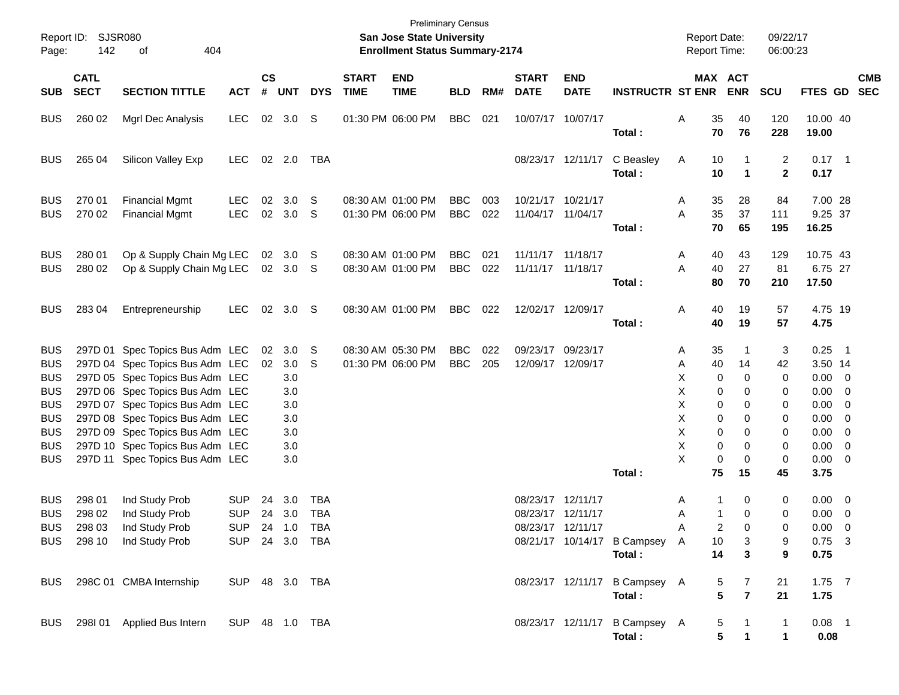| Report ID:<br>Page:                                                                                                        | 142                                  | <b>SJSR080</b><br>404<br>οf                                                                                                                                                                                                                                                                                             |                          |                |                                                                |                                                       |                             | <b>Preliminary Census</b><br>San Jose State University<br><b>Enrollment Status Summary-2174</b> |                          |            |                             |                                        |                                                 | <b>Report Date:</b><br>Report Time:                   |                                                                                | 09/22/17<br>06:00:23                       |                                                                                                                              |            |
|----------------------------------------------------------------------------------------------------------------------------|--------------------------------------|-------------------------------------------------------------------------------------------------------------------------------------------------------------------------------------------------------------------------------------------------------------------------------------------------------------------------|--------------------------|----------------|----------------------------------------------------------------|-------------------------------------------------------|-----------------------------|-------------------------------------------------------------------------------------------------|--------------------------|------------|-----------------------------|----------------------------------------|-------------------------------------------------|-------------------------------------------------------|--------------------------------------------------------------------------------|--------------------------------------------|------------------------------------------------------------------------------------------------------------------------------|------------|
| <b>SUB</b>                                                                                                                 | <b>CATL</b><br><b>SECT</b>           | <b>SECTION TITTLE</b>                                                                                                                                                                                                                                                                                                   | <b>ACT</b>               | <b>CS</b><br># | <b>UNT</b>                                                     | <b>DYS</b>                                            | <b>START</b><br><b>TIME</b> | <b>END</b><br><b>TIME</b>                                                                       | <b>BLD</b>               | RM#        | <b>START</b><br><b>DATE</b> | <b>END</b><br><b>DATE</b>              | <b>INSTRUCTR ST ENR</b>                         |                                                       | <b>MAX ACT</b><br><b>ENR</b>                                                   | <b>SCU</b>                                 | FTES GD SEC                                                                                                                  | <b>CMB</b> |
| <b>BUS</b>                                                                                                                 | 260 02                               | Mgrl Dec Analysis                                                                                                                                                                                                                                                                                                       | <b>LEC</b>               | 02             | 3.0                                                            | S                                                     |                             | 01:30 PM 06:00 PM                                                                               | <b>BBC</b>               | 021        |                             | 10/07/17 10/07/17                      | Total:                                          | 35<br>Α                                               | 40<br>70<br>76                                                                 | 120<br>228                                 | 10.00 40<br>19.00                                                                                                            |            |
| <b>BUS</b>                                                                                                                 | 265 04                               | Silicon Valley Exp                                                                                                                                                                                                                                                                                                      | <b>LEC</b>               |                | 02 2.0                                                         | TBA                                                   |                             |                                                                                                 |                          |            |                             | 08/23/17 12/11/17                      | C Beasley<br>Total:                             | A<br>10                                               | 10<br>$\blacktriangleleft$                                                     | 2<br>$\mathbf{2}$                          | $0.17$ 1<br>0.17                                                                                                             |            |
| <b>BUS</b><br><b>BUS</b>                                                                                                   | 270 01<br>270 02                     | <b>Financial Mgmt</b><br><b>Financial Mgmt</b>                                                                                                                                                                                                                                                                          | LEC<br><b>LEC</b>        | 02<br>02       | 3.0<br>3.0                                                     | S<br>-S                                               |                             | 08:30 AM 01:00 PM<br>01:30 PM 06:00 PM                                                          | <b>BBC</b><br><b>BBC</b> | 003<br>022 |                             | 10/21/17 10/21/17<br>11/04/17 11/04/17 | Total:                                          | 35<br>A<br>35<br>Α                                    | 28<br>37<br>70<br>65                                                           | 84<br>111<br>195                           | 7.00 28<br>9.25 37<br>16.25                                                                                                  |            |
| <b>BUS</b><br><b>BUS</b>                                                                                                   | 280 01<br>280 02                     | Op & Supply Chain Mg LEC<br>Op & Supply Chain Mg LEC                                                                                                                                                                                                                                                                    |                          |                | 02 3.0<br>02 3.0 S                                             | - S                                                   |                             | 08:30 AM 01:00 PM<br>08:30 AM 01:00 PM                                                          | <b>BBC</b><br><b>BBC</b> | 021<br>022 |                             | 11/11/17 11/18/17<br>11/11/17 11/18/17 | Total:                                          | 40<br>A<br>Α<br>40<br>80                              | 43<br>27<br>70                                                                 | 129<br>81<br>210                           | 10.75 43<br>6.75 27<br>17.50                                                                                                 |            |
| <b>BUS</b>                                                                                                                 | 28304                                | Entrepreneurship                                                                                                                                                                                                                                                                                                        | <b>LEC</b>               | 02             | 3.0 <sup>5</sup>                                               |                                                       |                             | 08:30 AM 01:00 PM                                                                               | <b>BBC</b>               | 022        |                             | 12/02/17 12/09/17                      | Total:                                          | 40<br>Α<br>40                                         | 19<br>19                                                                       | 57<br>57                                   | 4.75 19<br>4.75                                                                                                              |            |
| <b>BUS</b><br><b>BUS</b><br><b>BUS</b><br><b>BUS</b><br><b>BUS</b><br><b>BUS</b><br><b>BUS</b><br><b>BUS</b><br><b>BUS</b> |                                      | 297D 01 Spec Topics Bus Adm LEC<br>297D 04 Spec Topics Bus Adm LEC<br>297D 05 Spec Topics Bus Adm LEC<br>297D 06 Spec Topics Bus Adm LEC<br>297D 07 Spec Topics Bus Adm LEC<br>297D 08 Spec Topics Bus Adm LEC<br>297D 09 Spec Topics Bus Adm LEC<br>297D 10 Spec Topics Bus Adm LEC<br>297D 11 Spec Topics Bus Adm LEC |                          | 02             | 02 3.0<br>3.0<br>3.0<br>3.0<br>3.0<br>3.0<br>3.0<br>3.0<br>3.0 | S<br>S                                                |                             | 08:30 AM 05:30 PM<br>01:30 PM 06:00 PM                                                          | <b>BBC</b><br><b>BBC</b> | 022<br>205 |                             | 09/23/17 09/23/17<br>12/09/17 12/09/17 |                                                 | 35<br>Α<br>40<br>Α<br>Χ<br>Χ<br>X<br>X<br>X<br>X<br>X | -1<br>14<br>0<br>0<br>0<br>0<br>0<br>0<br>0<br>0<br>0<br>0<br>0<br>0<br>0<br>0 | 3<br>42<br>0<br>0<br>0<br>0<br>0<br>0<br>0 | $0.25$ 1<br>3.50 14<br>$0.00 \t 0$<br>$0.00 \t 0$<br>$0.00 \t 0$<br>$0.00 \t 0$<br>$0.00 \t 0$<br>$0.00 \t 0$<br>$0.00 \t 0$ |            |
| <b>BUS</b><br><b>BUS</b><br><b>BUS</b><br>BUS                                                                              | 298 01<br>298 02<br>298 03<br>298 10 | Ind Study Prob<br>Ind Study Prob<br>Ind Study Prob<br>Ind Study Prob                                                                                                                                                                                                                                                    | <b>SUP</b><br><b>SUP</b> | 24<br>24       | 3.0<br>3.0                                                     | TBA<br><b>TBA</b><br>SUP 24 1.0 TBA<br>SUP 24 3.0 TBA |                             |                                                                                                 |                          |            | 08/23/17 12/11/17           | 08/23/17 12/11/17<br>08/23/17 12/11/17 | Total:<br>08/21/17 10/14/17 B Campsey<br>Total: | 75<br>Α<br>Α<br>Α<br>A                                | 15<br>0<br>1<br>1<br>0<br>2<br>0<br>10<br>3<br>14<br>3                         | 45<br>0<br>0<br>0<br>9<br>9                | 3.75<br>$0.00 \t 0$<br>$0.00 \t 0$<br>$0.00 \t 0$<br>$0.75$ 3<br>0.75                                                        |            |
| <b>BUS</b>                                                                                                                 |                                      | 298C 01 CMBA Internship                                                                                                                                                                                                                                                                                                 | SUP 48 3.0 TBA           |                |                                                                |                                                       |                             |                                                                                                 |                          |            |                             |                                        | 08/23/17 12/11/17 B Campsey A<br>Total:         |                                                       | 7<br>5<br>5<br>$\overline{7}$                                                  | 21<br>21                                   | $1.75$ 7<br>1.75                                                                                                             |            |
| <b>BUS</b>                                                                                                                 |                                      | 298I 01 Applied Bus Intern                                                                                                                                                                                                                                                                                              | SUP 48 1.0 TBA           |                |                                                                |                                                       |                             |                                                                                                 |                          |            |                             |                                        | 08/23/17 12/11/17 B Campsey A<br>Total:         |                                                       | 5<br>5                                                                         | 1<br>1                                     | $0.08$ 1<br>0.08                                                                                                             |            |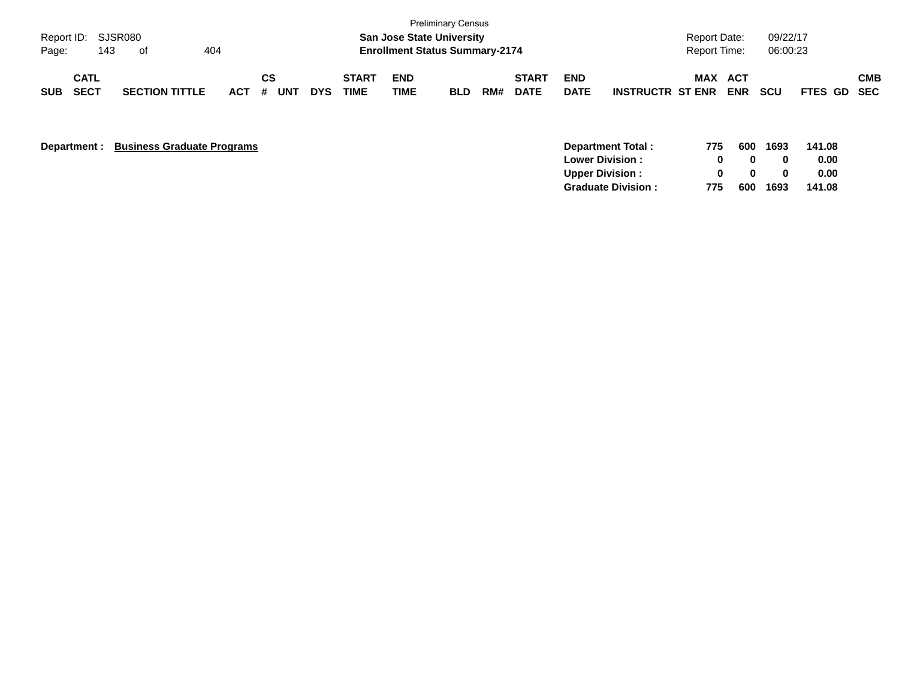| Page:      | Report ID: SJSR080<br>143 | of                    | 404     |           |            |                             | <b>San Jose State University</b><br><b>Enrollment Status Summary-2174</b> | <b>Preliminary Census</b> |     |                             |                           |                         | <b>Report Date:</b><br><b>Report Time:</b> |                   | 09/22/17<br>06:00:23 |                    |            |
|------------|---------------------------|-----------------------|---------|-----------|------------|-----------------------------|---------------------------------------------------------------------------|---------------------------|-----|-----------------------------|---------------------------|-------------------------|--------------------------------------------|-------------------|----------------------|--------------------|------------|
| <b>SUB</b> | CATL<br><b>SECT</b>       | <b>SECTION TITTLE</b> | $ACT$ # | CS<br>UNT | <b>DYS</b> | <b>START</b><br><b>TIME</b> | <b>END</b><br>TIME                                                        | <b>BLD</b>                | RM# | <b>START</b><br><b>DATE</b> | <b>END</b><br><b>DATE</b> | <b>INSTRUCTR ST ENR</b> | MAX                                        | ACT<br><b>ENR</b> | scu                  | <b>FTES GD SEC</b> | <b>CMB</b> |

**Department : Business Graduate Programs** 

| 775 |              |      | 141.08   |
|-----|--------------|------|----------|
|     | $\mathbf{u}$ | o    | 0.00     |
|     | n            | o    | 0.00     |
| 775 | 600          | 1693 | 141.08   |
|     |              |      | 600 1693 |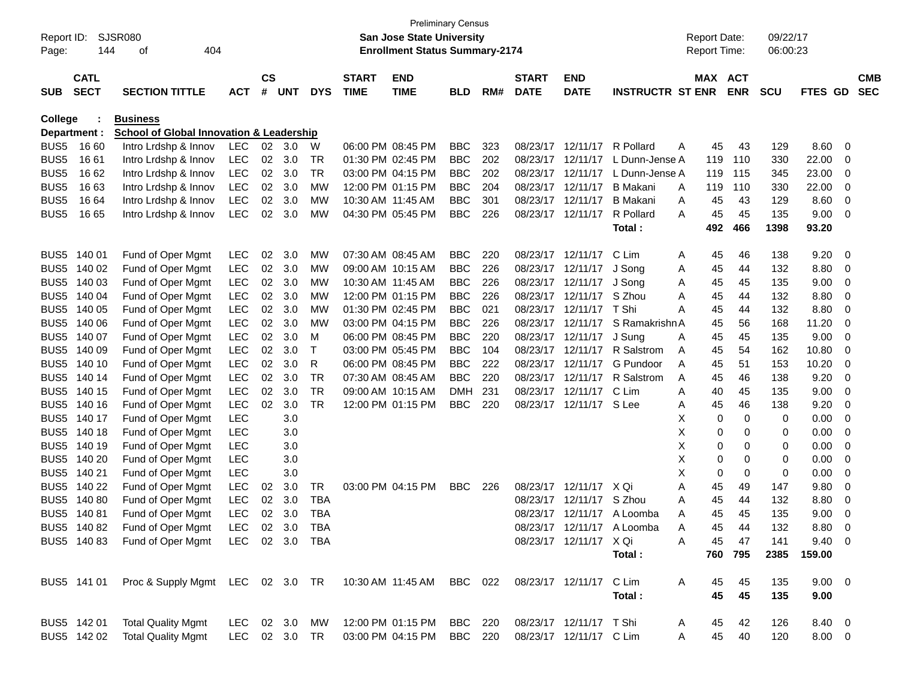| Report ID:       |                            | <b>SJSR080</b>                                      |                |                |       |            |                             | <b>San Jose State University</b>      | <b>Preliminary Census</b> |     |                             |                           |                            |   | <b>Report Date:</b> |            | 09/22/17   |             |                         |                          |
|------------------|----------------------------|-----------------------------------------------------|----------------|----------------|-------|------------|-----------------------------|---------------------------------------|---------------------------|-----|-----------------------------|---------------------------|----------------------------|---|---------------------|------------|------------|-------------|-------------------------|--------------------------|
| Page:            | 144                        | 404<br>οf                                           |                |                |       |            |                             | <b>Enrollment Status Summary-2174</b> |                           |     |                             |                           |                            |   | Report Time:        |            | 06:00:23   |             |                         |                          |
| <b>SUB</b>       | <b>CATL</b><br><b>SECT</b> | <b>SECTION TITTLE</b>                               | <b>ACT</b>     | <b>CS</b><br># | UNT   | <b>DYS</b> | <b>START</b><br><b>TIME</b> | <b>END</b><br><b>TIME</b>             | <b>BLD</b>                | RM# | <b>START</b><br><b>DATE</b> | <b>END</b><br><b>DATE</b> | <b>INSTRUCTR ST ENR</b>    |   | MAX ACT             | <b>ENR</b> | <b>SCU</b> | <b>FTES</b> | GD.                     | <b>CMB</b><br><b>SEC</b> |
| College          |                            | <b>Business</b>                                     |                |                |       |            |                             |                                       |                           |     |                             |                           |                            |   |                     |            |            |             |                         |                          |
|                  | Department :               | <b>School of Global Innovation &amp; Leadership</b> |                |                |       |            |                             |                                       |                           |     |                             |                           |                            |   |                     |            |            |             |                         |                          |
| BUS <sub>5</sub> | 16 60                      | Intro Lrdshp & Innov                                | <b>LEC</b>     | 02             | - 3.0 | W          |                             | 06:00 PM 08:45 PM                     | <b>BBC</b>                | 323 | 08/23/17                    | 12/11/17                  | R Pollard                  | Α | 45                  | 43         | 129        | 8.60        | 0                       |                          |
| BUS <sub>5</sub> | 16 61                      | Intro Lrdshp & Innov                                | LEC            | 02             | 3.0   | TR         |                             | 01:30 PM 02:45 PM                     | <b>BBC</b>                | 202 | 08/23/17                    | 12/11/17                  | L Dunn-Jense A             |   | 119                 | 110        | 330        | 22.00       | 0                       |                          |
| BUS <sub>5</sub> | 16 62                      | Intro Lrdshp & Innov                                | <b>LEC</b>     | 02             | 3.0   | TR         |                             | 03:00 PM 04:15 PM                     | <b>BBC</b>                | 202 | 08/23/17                    | 12/11/17                  | L Dunn-Jense A             |   | 119                 | 115        | 345        | 23.00       | 0                       |                          |
| BUS <sub>5</sub> | 1663                       | Intro Lrdshp & Innov                                | <b>LEC</b>     | 02             | 3.0   | МW         |                             | 12:00 PM 01:15 PM                     | <b>BBC</b>                | 204 | 08/23/17                    | 12/11/17                  | <b>B</b> Makani            | Α | 119                 | 110        | 330        | 22.00       | 0                       |                          |
| BUS <sub>5</sub> | 16 64                      | Intro Lrdshp & Innov                                | <b>LEC</b>     | 02             | 3.0   | МW         |                             | 10:30 AM 11:45 AM                     | <b>BBC</b>                | 301 | 08/23/17                    | 12/11/17                  | <b>B</b> Makani            | Α | 45                  | 43         | 129        | 8.60        | 0                       |                          |
| BUS5             | 16 65                      | Intro Lrdshp & Innov                                | <b>LEC</b>     | 02             | 3.0   | MW         |                             | 04:30 PM 05:45 PM                     | <b>BBC</b>                | 226 | 08/23/17                    | 12/11/17                  | R Pollard                  | A | 45                  | 45         | 135        | 9.00        | 0                       |                          |
|                  |                            |                                                     |                |                |       |            |                             |                                       |                           |     |                             |                           | Total:                     |   | 492                 | 466        | 1398       | 93.20       |                         |                          |
|                  |                            |                                                     |                |                |       |            |                             |                                       |                           |     |                             |                           |                            |   |                     |            |            |             |                         |                          |
| BUS <sub>5</sub> | 140 01                     | Fund of Oper Mgmt                                   | <b>LEC</b>     | 02             | 3.0   | МW         |                             | 07:30 AM 08:45 AM                     | <b>BBC</b>                | 220 | 08/23/17                    | 12/11/17                  | C Lim                      | Α | 45                  | 46         | 138        | 9.20        | 0                       |                          |
| BUS <sub>5</sub> | 140 02                     | Fund of Oper Mgmt                                   | LEC            | $02\,$         | 3.0   | MW         |                             | 09:00 AM 10:15 AM                     | <b>BBC</b>                | 226 | 08/23/17                    | 12/11/17                  | J Song                     | Α | 45                  | 44         | 132        | 8.80        | 0                       |                          |
| BUS <sub>5</sub> | 140 03                     | Fund of Oper Mgmt                                   | LEC            | 02             | 3.0   | МW         |                             | 10:30 AM 11:45 AM                     | <b>BBC</b>                | 226 |                             | 08/23/17 12/11/17         | J Song                     | Α | 45                  | 45         | 135        | 9.00        | 0                       |                          |
| BUS <sub>5</sub> | 140 04                     | Fund of Oper Mgmt                                   | LEC            | 02             | 3.0   | МW         |                             | 12:00 PM 01:15 PM                     | BBC                       | 226 | 08/23/17                    | 12/11/17                  | S Zhou                     | Α | 45                  | 44         | 132        | 8.80        | 0                       |                          |
| BUS <sub>5</sub> | 140 05                     | Fund of Oper Mgmt                                   | LEC            | 02             | 3.0   | МW         |                             | 01:30 PM 02:45 PM                     | <b>BBC</b>                | 021 | 08/23/17                    | 12/11/17                  | T Shi                      | Α | 45                  | 44         | 132        | 8.80        | 0                       |                          |
| BUS <sub>5</sub> | 140 06                     | Fund of Oper Mgmt                                   | LEC            | 02             | 3.0   | МW         |                             | 03:00 PM 04:15 PM                     | <b>BBC</b>                | 226 | 08/23/17                    | 12/11/17                  | S Ramakrishn A             |   | 45                  | 56         | 168        | 11.20       | 0                       |                          |
| BUS <sub>5</sub> | 140 07                     | Fund of Oper Mgmt                                   | LEC            | 02             | 3.0   | м          |                             | 06:00 PM 08:45 PM                     | <b>BBC</b>                | 220 | 08/23/17                    | 12/11/17                  | J Sung                     | Α | 45                  | 45         | 135        | 9.00        | 0                       |                          |
| BUS <sub>5</sub> | 140 09                     | Fund of Oper Mgmt                                   | LEC            | 02             | 3.0   | Т          |                             | 03:00 PM 05:45 PM                     | <b>BBC</b>                | 104 | 08/23/17                    | 12/11/17                  | R Salstrom                 | Α | 45                  | 54         | 162        | 10.80       | 0                       |                          |
| BUS <sub>5</sub> | 140 10                     | Fund of Oper Mgmt                                   | LEC            | 02             | 3.0   | R          |                             | 06:00 PM 08:45 PM                     | <b>BBC</b>                | 222 | 08/23/17                    | 12/11/17                  | G Pundoor                  | A | 45                  | 51         | 153        | 10.20       | 0                       |                          |
| BUS <sub>5</sub> | 140 14                     | Fund of Oper Mgmt                                   | LEC            | 02             | 3.0   | TR         |                             | 07:30 AM 08:45 AM                     | <b>BBC</b>                | 220 | 08/23/17                    | 12/11/17                  | R Salstrom                 | A | 45                  | 46         | 138        | 9.20        | 0                       |                          |
| BUS <sub>5</sub> | 140 15                     | Fund of Oper Mgmt                                   | LEC            | 02             | 3.0   | TR         |                             | 09:00 AM 10:15 AM                     | <b>DMH</b>                | 231 | 08/23/17                    | 12/11/17                  | C Lim                      | Α | 40                  | 45         | 135        | 9.00        | 0                       |                          |
| BUS <sub>5</sub> | 140 16                     | Fund of Oper Mgmt                                   | LEC            | 02             | 3.0   | <b>TR</b>  |                             | 12:00 PM 01:15 PM                     | <b>BBC</b>                | 220 |                             | 08/23/17 12/11/17 S Lee   |                            | Α | 45                  | 46         | 138        | 9.20        | 0                       |                          |
| BUS <sub>5</sub> | 140 17                     | Fund of Oper Mgmt                                   | <b>LEC</b>     |                | 3.0   |            |                             |                                       |                           |     |                             |                           |                            | х | 0                   | 0          | 0          | 0.00        | 0                       |                          |
| BUS <sub>5</sub> | 140 18                     | Fund of Oper Mgmt                                   | <b>LEC</b>     |                | 3.0   |            |                             |                                       |                           |     |                             |                           |                            | Χ | 0                   | 0          | 0          | 0.00        | 0                       |                          |
| BUS <sub>5</sub> | 140 19                     | Fund of Oper Mgmt                                   | <b>LEC</b>     |                | 3.0   |            |                             |                                       |                           |     |                             |                           |                            | Χ | 0                   | 0          | 0          | 0.00        | 0                       |                          |
| BUS <sub>5</sub> | 140 20                     | Fund of Oper Mgmt                                   | <b>LEC</b>     |                | 3.0   |            |                             |                                       |                           |     |                             |                           |                            | Χ | 0                   | 0          | 0          | 0.00        | 0                       |                          |
| BUS <sub>5</sub> | 140 21                     | Fund of Oper Mgmt                                   | <b>LEC</b>     |                | 3.0   |            |                             |                                       |                           |     |                             |                           |                            | Χ | 0                   | 0          | 0          | 0.00        | 0                       |                          |
| BUS <sub>5</sub> | 140 22                     | Fund of Oper Mgmt                                   | LEC            | 02             | 3.0   | TR         |                             | 03:00 PM 04:15 PM                     | <b>BBC</b>                | 226 | 08/23/17                    | 12/11/17                  | X Qi                       | Α | 45                  | 49         | 147        | 9.80        | 0                       |                          |
| BUS <sub>5</sub> | 140 80                     | Fund of Oper Mgmt                                   | LEC            | 02             | 3.0   | <b>TBA</b> |                             |                                       |                           |     | 08/23/17                    | 12/11/17                  | S Zhou                     | Α | 45                  | 44         | 132        | 8.80        | 0                       |                          |
| BUS5             | 140 81                     | Fund of Oper Mgmt                                   | LEC            | 02             | 3.0   | TBA        |                             |                                       |                           |     | 08/23/17                    | 12/11/17                  | A Loomba                   | А | 45                  | 45         | 135        | 9.00        | 0                       |                          |
|                  | BUS5 140 82                | Fund of Oper Mgmt                                   | LEC 02 3.0 TBA |                |       |            |                             |                                       |                           |     |                             |                           | 08/23/17 12/11/17 A Loomba | Α | 45                  | 44         | 132        | 8.80        | $\overline{\mathbf{0}}$ |                          |
|                  | BUS5 140 83                | Fund of Oper Mgmt                                   | LEC 02 3.0 TBA |                |       |            |                             |                                       |                           |     |                             | 08/23/17 12/11/17 X Qi    |                            | A | 45                  | 47         | 141        | 9.40        | - 0                     |                          |
|                  |                            |                                                     |                |                |       |            |                             |                                       |                           |     |                             |                           | Total:                     |   | 760                 | 795        | 2385       | 159.00      |                         |                          |
|                  | BUS5 141 01                | Proc & Supply Mgmt LEC 02 3.0 TR                    |                |                |       |            |                             | 10:30 AM 11:45 AM                     | BBC 022                   |     |                             | 08/23/17 12/11/17         | C Lim                      | A | 45                  | 45         | 135        | $9.00 \t 0$ |                         |                          |
|                  |                            |                                                     |                |                |       |            |                             |                                       |                           |     |                             |                           | Total:                     |   | 45                  | 45         | 135        | 9.00        |                         |                          |
|                  | BUS5 142 01                | <b>Total Quality Mgmt</b>                           | LEC 02 3.0     |                |       | MW         |                             | 12:00 PM 01:15 PM                     | BBC 220                   |     |                             | 08/23/17 12/11/17 T Shi   |                            | A | 45                  | 42         | 126        | 8.40 0      |                         |                          |
|                  | BUS5 142 02                | <b>Total Quality Mgmt</b>                           | LEC 02 3.0 TR  |                |       |            |                             | 03:00 PM 04:15 PM                     | <b>BBC</b> 220            |     |                             | 08/23/17 12/11/17 C Lim   |                            | Α | 45                  | 40         | 120        | $8.00 \t 0$ |                         |                          |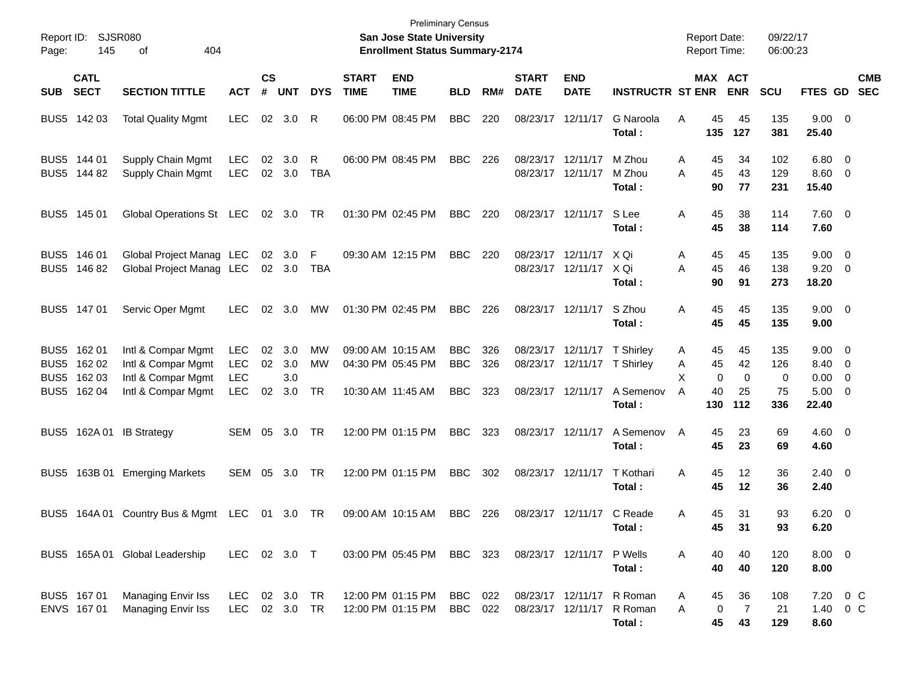| Page:      | Report ID: SJSR080<br>145                                | 404<br>οf                                                                            |                                                      |                    |                          |                 |                             | <b>Preliminary Census</b><br>San Jose State University<br><b>Enrollment Status Summary-2174</b> |                                        |                   |                               |                                                             |                                            |                  | <b>Report Date:</b><br><b>Report Time:</b> |                               | 09/22/17<br>06:00:23  |                                                        |                          |
|------------|----------------------------------------------------------|--------------------------------------------------------------------------------------|------------------------------------------------------|--------------------|--------------------------|-----------------|-----------------------------|-------------------------------------------------------------------------------------------------|----------------------------------------|-------------------|-------------------------------|-------------------------------------------------------------|--------------------------------------------|------------------|--------------------------------------------|-------------------------------|-----------------------|--------------------------------------------------------|--------------------------|
| <b>SUB</b> | <b>CATL</b><br><b>SECT</b>                               | <b>SECTION TITTLE</b>                                                                | <b>ACT</b>                                           | $\mathsf{cs}$<br># | <b>UNT</b>               | <b>DYS</b>      | <b>START</b><br><b>TIME</b> | <b>END</b><br><b>TIME</b>                                                                       | <b>BLD</b>                             | RM#               | <b>START</b><br><b>DATE</b>   | <b>END</b><br><b>DATE</b>                                   | <b>INSTRUCTR ST ENR</b>                    |                  | MAX ACT                                    | <b>ENR</b>                    | <b>SCU</b>            | <b>FTES GD</b>                                         | <b>CMB</b><br><b>SEC</b> |
|            | BUS5 142 03                                              | <b>Total Quality Mgmt</b>                                                            | <b>LEC</b>                                           | 02                 | 3.0                      | R               |                             | 06:00 PM 08:45 PM                                                                               | <b>BBC</b>                             | 220               | 08/23/17                      | 12/11/17                                                    | G Naroola<br>Total:                        | A                | 45<br>135                                  | 45<br>127                     | 135<br>381            | $9.00 \t 0$<br>25.40                                   |                          |
|            | BUS5 144 01<br>BUS5 144 82                               | Supply Chain Mgmt<br>Supply Chain Mgmt                                               | <b>LEC</b><br><b>LEC</b>                             | 02                 | 3.0<br>02 3.0            | R<br><b>TBA</b> |                             | 06:00 PM 08:45 PM                                                                               | <b>BBC</b>                             | 226               | 08/23/17<br>08/23/17 12/11/17 | 12/11/17                                                    | M Zhou<br>M Zhou<br>Total :                | A<br>A           | 45<br>45<br>90                             | 34<br>43<br>77                | 102<br>129<br>231     | $6.80\quad 0$<br>$8.60$ 0<br>15.40                     |                          |
|            | BUS5 145 01                                              | Global Operations St LEC                                                             |                                                      |                    | 02 3.0                   | TR              |                             | 01:30 PM 02:45 PM                                                                               | <b>BBC</b>                             | 220               | 08/23/17 12/11/17             |                                                             | S Lee<br>Total :                           | Α                | 45<br>45                                   | 38<br>38                      | 114<br>114            | $7.60$ 0<br>7.60                                       |                          |
|            | BUS5 146 01<br>BUS5 146 82                               | Global Project Manag LEC<br>Global Project Manag LEC                                 |                                                      | 02                 | 3.0<br>02 3.0            | F<br>TBA        |                             | 09:30 AM 12:15 PM                                                                               | <b>BBC</b>                             | 220               | 08/23/17                      | 12/11/17<br>08/23/17 12/11/17                               | X Qi<br>X Qi<br>Total :                    | A<br>A           | 45<br>45<br>90                             | 45<br>46<br>91                | 135<br>138<br>273     | $9.00 \t 0$<br>$9.20 \ 0$<br>18.20                     |                          |
|            | BUS5 147 01                                              | Servic Oper Mgmt                                                                     | LEC.                                                 | 02                 | 3.0                      | MW              |                             | 01:30 PM 02:45 PM                                                                               | <b>BBC</b>                             | 226               | 08/23/17 12/11/17             |                                                             | S Zhou<br>Total:                           | Α                | 45<br>45                                   | 45<br>45                      | 135<br>135            | $9.00 \t 0$<br>9.00                                    |                          |
|            | BUS5 162 01<br>BUS5 162 02<br>BUS5 162 03<br>BUS5 162 04 | Intl & Compar Mgmt<br>Intl & Compar Mgmt<br>Intl & Compar Mgmt<br>Intl & Compar Mgmt | <b>LEC</b><br><b>LEC</b><br><b>LEC</b><br><b>LEC</b> | 02<br>02<br>02     | 3.0<br>3.0<br>3.0<br>3.0 | MW<br>MW<br>TR  |                             | 09:00 AM 10:15 AM<br>04:30 PM 05:45 PM<br>10:30 AM 11:45 AM                                     | <b>BBC</b><br><b>BBC</b><br><b>BBC</b> | 326<br>326<br>323 |                               | 08/23/17 12/11/17<br>08/23/17 12/11/17<br>08/23/17 12/11/17 | T Shirley<br><b>T</b> Shirley<br>A Semenov | A<br>A<br>х<br>A | 45<br>45<br>0<br>40                        | 45<br>42<br>$\mathbf 0$<br>25 | 135<br>126<br>0<br>75 | $9.00 \quad 0$<br>8.40 0<br>$0.00 \t 0$<br>$5.00 \t 0$ |                          |
|            | BUS5 162A 01                                             | <b>IB Strategy</b>                                                                   | SEM                                                  | 05                 | 3.0                      | TR              |                             | 12:00 PM 01:15 PM                                                                               | <b>BBC</b>                             | 323               | 08/23/17 12/11/17             |                                                             | Total :<br>A Semenov<br>Total:             | A                | 130<br>45<br>45                            | 112<br>23<br>23               | 336<br>69<br>69       | 22.40<br>$4.60 \ 0$<br>4.60                            |                          |
| BUS5       |                                                          | 163B 01 Emerging Markets                                                             | SEM                                                  | 05                 | 3.0                      | TR              |                             | 12:00 PM 01:15 PM                                                                               | <b>BBC</b>                             | 302               | 08/23/17 12/11/17             |                                                             | T Kothari<br>Total :                       | A                | 45<br>45                                   | 12<br>12                      | 36<br>36              | $2.40 \quad 0$<br>2.40                                 |                          |
| BUS5       |                                                          | 164A 01 Country Bus & Mgmt LEC                                                       |                                                      | 01                 | 3.0 TR                   |                 |                             | 09:00 AM 10:15 AM                                                                               | <b>BBC</b>                             | 226               | 08/23/17                      | 12/11/17                                                    | C Reade<br>Total :                         | Α                | 45<br>45                                   | 31<br>31                      | 93<br>93              | $6.20 \ 0$<br>6.20                                     |                          |
|            |                                                          | BUS5 165A 01 Global Leadership                                                       | LEC 02 3.0 T                                         |                    |                          |                 |                             | 03:00 PM 05:45 PM BBC 323                                                                       |                                        |                   |                               | 08/23/17 12/11/17 P Wells                                   | Total:                                     | A                | 40<br>40                                   | 40<br>40                      | 120<br>120            | $8.00 \t 0$<br>8.00                                    |                          |
|            | BUS5 167 01<br>ENVS 167 01                               | Managing Envir Iss<br><b>Managing Envir Iss</b>                                      | LEC 02 3.0 TR<br>LEC                                 |                    | 02 3.0 TR                |                 |                             | 12:00 PM 01:15 PM<br>12:00 PM 01:15 PM                                                          | BBC 022<br><b>BBC</b>                  | 022               | 08/23/17 12/11/17             | 08/23/17 12/11/17                                           | R Roman<br>R Roman<br>Total:               | A<br>A           | 45<br>0<br>45                              | 36<br>$\overline{7}$<br>43    | 108<br>21<br>129      | 7.20 0 C<br>1.40 0 C<br>8.60                           |                          |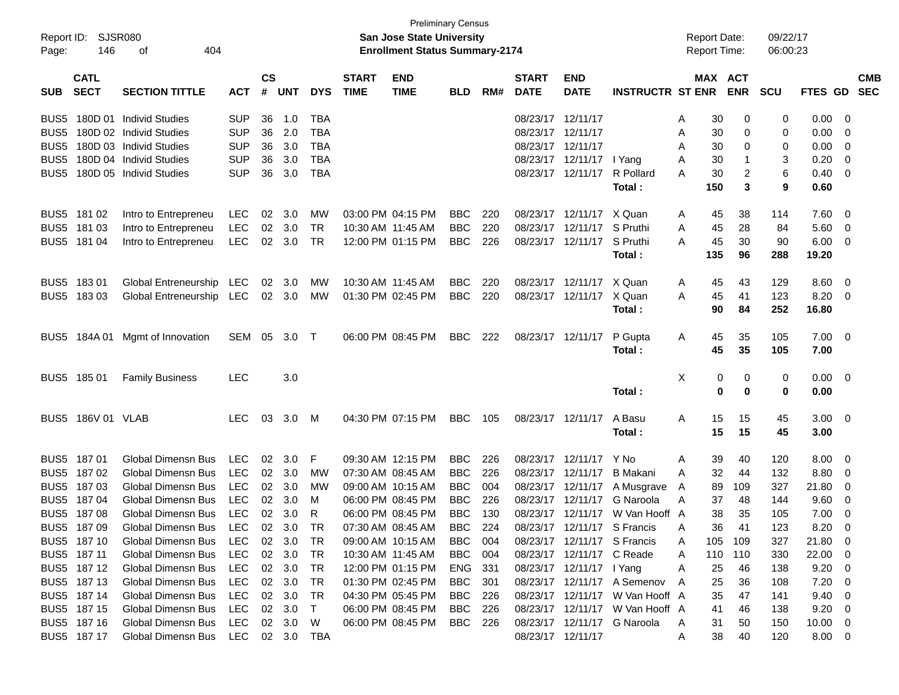| Report ID:<br>Page: | <b>SJSR080</b><br>146      |                               |            |                    |            |            | <b>Preliminary Census</b><br><b>San Jose State University</b><br><b>Enrollment Status Summary-2174</b> |                           |            |     |                             |                           |                                 | <b>Report Date:</b><br><b>Report Time:</b> |         | 09/22/17<br>06:00:23 |            |         |                          |                          |
|---------------------|----------------------------|-------------------------------|------------|--------------------|------------|------------|--------------------------------------------------------------------------------------------------------|---------------------------|------------|-----|-----------------------------|---------------------------|---------------------------------|--------------------------------------------|---------|----------------------|------------|---------|--------------------------|--------------------------|
| <b>SUB</b>          | <b>CATL</b><br><b>SECT</b> | <b>SECTION TITTLE</b>         | <b>ACT</b> | $\mathsf{cs}$<br># | <b>UNT</b> | <b>DYS</b> | <b>START</b><br><b>TIME</b>                                                                            | <b>END</b><br><b>TIME</b> | <b>BLD</b> | RM# | <b>START</b><br><b>DATE</b> | <b>END</b><br><b>DATE</b> | <b>INSTRUCTR ST ENR</b>         |                                            | MAX ACT | <b>ENR</b>           | <b>SCU</b> | FTES GD |                          | <b>CMB</b><br><b>SEC</b> |
| BUS5                | 180D 01                    | <b>Individ Studies</b>        | <b>SUP</b> | 36                 | 1.0        | <b>TBA</b> |                                                                                                        |                           |            |     | 08/23/17 12/11/17           |                           |                                 | A                                          | 30      | 0                    | 0          | 0.00    | - 0                      |                          |
| BUS <sub>5</sub>    |                            | 180D 02 Individ Studies       | <b>SUP</b> | 36                 | 2.0        | <b>TBA</b> |                                                                                                        |                           |            |     | 08/23/17 12/11/17           |                           |                                 | A                                          | 30      | 0                    | 0          | 0.00    | - 0                      |                          |
| BUS <sub>5</sub>    |                            | 180D 03 Individ Studies       | <b>SUP</b> | 36                 | 3.0        | <b>TBA</b> |                                                                                                        |                           |            |     | 08/23/17 12/11/17           |                           |                                 | A                                          | 30      | 0                    | 0          | 0.00    | $\overline{0}$           |                          |
| BUS <sub>5</sub>    |                            | 180D 04 Individ Studies       | <b>SUP</b> | 36                 | 3.0        | <b>TBA</b> |                                                                                                        |                           |            |     |                             | 08/23/17 12/11/17         | I Yang                          | A                                          | 30      | -1                   | 3          | 0.20    | $\overline{0}$           |                          |
| BUS <sub>5</sub>    |                            | 180D 05 Individ Studies       | <b>SUP</b> | 36                 | 3.0        | <b>TBA</b> |                                                                                                        |                           |            |     |                             | 08/23/17 12/11/17         | R Pollard                       | A                                          | 30      | $\overline{2}$       | 6          | 0.40    | - 0                      |                          |
|                     |                            |                               |            |                    |            |            |                                                                                                        |                           |            |     |                             |                           | Total:                          |                                            | 150     | 3                    | 9          | 0.60    |                          |                          |
| BUS <sub>5</sub>    | 181 02                     | Intro to Entrepreneu          | <b>LEC</b> | 02                 | 3.0        | MW         |                                                                                                        | 03:00 PM 04:15 PM         | <b>BBC</b> | 220 | 08/23/17                    | 12/11/17                  | X Quan                          | A                                          | 45      | 38                   | 114        | 7.60    | - 0                      |                          |
| BUS <sub>5</sub>    | 181 03                     | Intro to Entrepreneu          | <b>LEC</b> | 02                 | 3.0        | <b>TR</b>  |                                                                                                        | 10:30 AM 11:45 AM         | <b>BBC</b> | 220 |                             | 08/23/17 12/11/17         | S Pruthi                        | A                                          | 45      | 28                   | 84         | 5.60    | $\overline{0}$           |                          |
| BUS <sub>5</sub>    | 181 04                     | Intro to Entrepreneu          | <b>LEC</b> |                    | 02 3.0     | <b>TR</b>  |                                                                                                        | 12:00 PM 01:15 PM         | <b>BBC</b> | 226 |                             | 08/23/17 12/11/17         | S Pruthi                        | A                                          | 45      | 30                   | 90         | 6.00    | $\overline{\mathbf{0}}$  |                          |
|                     |                            |                               |            |                    |            |            |                                                                                                        |                           |            |     |                             |                           | Total:                          |                                            | 135     | 96                   | 288        | 19.20   |                          |                          |
| BUS <sub>5</sub>    | 18301                      | Global Entreneurship          | <b>LEC</b> | 02                 | 3.0        | МW         |                                                                                                        | 10:30 AM 11:45 AM         | <b>BBC</b> | 220 | 08/23/17                    | 12/11/17                  | X Quan                          | A                                          | 45      | 43                   | 129        | 8.60    | - 0                      |                          |
| BUS <sub>5</sub>    | 18303                      | Global Entreneurship          | LEC        |                    | 02 3.0     | МW         |                                                                                                        | 01:30 PM 02:45 PM         | <b>BBC</b> | 220 |                             | 08/23/17 12/11/17         | X Quan                          | A                                          | 45      | 41                   | 123        | 8.20    | $\overline{\mathbf{0}}$  |                          |
|                     |                            |                               |            |                    |            |            |                                                                                                        |                           |            |     |                             |                           | Total:                          |                                            | 90      | 84                   | 252        | 16.80   |                          |                          |
| BUS5                |                            | 184A 01 Mgmt of Innovation    | SEM        | 05                 | 3.0        | $\top$     |                                                                                                        | 06:00 PM 08:45 PM         | <b>BBC</b> | 222 |                             | 08/23/17 12/11/17         | P Gupta                         | A                                          | 45      | 35                   | 105        | 7.00    | $\overline{\mathbf{0}}$  |                          |
|                     |                            |                               |            |                    |            |            |                                                                                                        |                           |            |     |                             |                           | Total:                          |                                            | 45      | 35                   | 105        | 7.00    |                          |                          |
| BUS <sub>5</sub>    | 185 01                     | <b>Family Business</b>        | <b>LEC</b> |                    | 3.0        |            |                                                                                                        |                           |            |     |                             |                           |                                 | Х                                          | 0       | 0                    | 0          | 0.00    | $\overline{\mathbf{0}}$  |                          |
|                     |                            |                               |            |                    |            |            |                                                                                                        |                           |            |     |                             |                           | Total:                          |                                            | 0       | 0                    | 0          | 0.00    |                          |                          |
| BUS <sub>5</sub>    | 186V 01 VLAB               |                               | <b>LEC</b> | 03                 | 3.0        | M          |                                                                                                        | 04:30 PM 07:15 PM         | <b>BBC</b> | 105 |                             | 08/23/17 12/11/17         | A Basu                          | A                                          | 15      | 15                   | 45         | 3.00    | $\overline{\phantom{0}}$ |                          |
|                     |                            |                               |            |                    |            |            |                                                                                                        |                           |            |     |                             |                           | Total:                          |                                            | 15      | 15                   | 45         | 3.00    |                          |                          |
| BUS <sub>5</sub>    | 18701                      | <b>Global Dimensn Bus</b>     | <b>LEC</b> | 02                 | 3.0        | F          |                                                                                                        | 09:30 AM 12:15 PM         | <b>BBC</b> | 226 | 08/23/17                    | 12/11/17                  | Y No                            | A                                          | 39      | 40                   | 120        | 8.00    | - 0                      |                          |
| BUS <sub>5</sub>    | 18702                      | Global Dimensn Bus            | <b>LEC</b> | 02                 | 3.0        | MW         |                                                                                                        | 07:30 AM 08:45 AM         | <b>BBC</b> | 226 | 08/23/17                    | 12/11/17                  | <b>B</b> Makani                 | A                                          | 32      | 44                   | 132        | 8.80    | $\overline{0}$           |                          |
| BUS <sub>5</sub>    | 18703                      | <b>Global Dimensn Bus</b>     | <b>LEC</b> | 02                 | 3.0        | MW         |                                                                                                        | 09:00 AM 10:15 AM         | <b>BBC</b> | 004 | 08/23/17                    | 12/11/17                  | A Musgrave                      | A                                          | 89      | 109                  | 327        | 21.80   | $\overline{0}$           |                          |
| BUS <sub>5</sub>    | 18704                      | <b>Global Dimensn Bus</b>     | <b>LEC</b> | 02                 | 3.0        | м          |                                                                                                        | 06:00 PM 08:45 PM         | <b>BBC</b> | 226 | 08/23/17                    | 12/11/17                  | G Naroola                       | A                                          | 37      | 48                   | 144        | 9.60    | $\overline{0}$           |                          |
| BUS <sub>5</sub>    | 18708                      | Global Dimensn Bus            | <b>LEC</b> | 02                 | 3.0        | R          |                                                                                                        | 06:00 PM 08:45 PM         | <b>BBC</b> | 130 |                             | 08/23/17 12/11/17         | W Van Hooff A                   |                                            | 38      | 35                   | 105        | 7.00    | 0                        |                          |
|                     | BUS5 187 09                | Global Dimensn Bus LEC 02 3.0 |            |                    |            | <b>TR</b>  |                                                                                                        | 07:30 AM 08:45 AM         | <b>BBC</b> | 224 |                             |                           | 08/23/17 12/11/17 S Francis     |                                            | 36      | 41                   | 123        | 8.20    | $\overline{0}$           |                          |
|                     | BUS5 18710                 | Global Dimensn Bus            | LEC        |                    | 02 3.0     | TR         |                                                                                                        | 09:00 AM 10:15 AM         | BBC        | 004 |                             |                           | 08/23/17 12/11/17 S Francis     | A                                          | 105     | 109                  | 327        | 21.80   | $\overline{\mathbf{0}}$  |                          |
|                     | BUS5 187 11                | Global Dimensn Bus            | <b>LEC</b> |                    | 02 3.0     | TR         |                                                                                                        | 10:30 AM 11:45 AM         | BBC        | 004 |                             | 08/23/17 12/11/17 C Reade |                                 | A                                          | 110     | 110                  | 330        | 22.00   | $\overline{\mathbf{0}}$  |                          |
|                     | BUS5 187 12                | Global Dimensn Bus            | <b>LEC</b> |                    | 02 3.0     | TR         |                                                                                                        | 12:00 PM 01:15 PM         | ENG        | 331 |                             | 08/23/17 12/11/17 I Yang  |                                 | Α                                          | 25      | 46                   | 138        | 9.20    | $\overline{\mathbf{0}}$  |                          |
|                     | BUS5 187 13                | Global Dimensn Bus            | <b>LEC</b> |                    | 02 3.0     | TR         |                                                                                                        | 01:30 PM 02:45 PM         | BBC        | 301 |                             |                           | 08/23/17 12/11/17 A Semenov     | A                                          | 25      | 36                   | 108        | 7.20    | $\overline{\mathbf{0}}$  |                          |
|                     | BUS5 187 14                | Global Dimensn Bus            | <b>LEC</b> |                    | 02 3.0     | TR         |                                                                                                        | 04:30 PM 05:45 PM         | BBC        | 226 |                             |                           | 08/23/17 12/11/17 W Van Hooff A |                                            | 35      | 47                   | 141        | 9.40    | $\overline{\mathbf{0}}$  |                          |
|                     | BUS5 187 15                | Global Dimensn Bus            | <b>LEC</b> | 02                 | 3.0        | T          |                                                                                                        | 06:00 PM 08:45 PM         | BBC        | 226 |                             |                           | 08/23/17 12/11/17 W Van Hooff A |                                            | 41      | 46                   | 138        | 9.20    | $\overline{\phantom{0}}$ |                          |
|                     | BUS5 187 16                | Global Dimensn Bus            | LEC        |                    | 02 3.0     | W          |                                                                                                        | 06:00 PM 08:45 PM         | BBC        | 226 |                             |                           | 08/23/17 12/11/17 G Naroola     | A                                          | 31      | 50                   | 150        | 10.00   | $\overline{\mathbf{0}}$  |                          |
|                     | BUS5 187 17                | Global Dimensn Bus            | LEC        |                    | 02 3.0     | TBA        |                                                                                                        |                           |            |     |                             | 08/23/17 12/11/17         |                                 | A                                          | 38      | 40                   | 120        | 8.00 0  |                          |                          |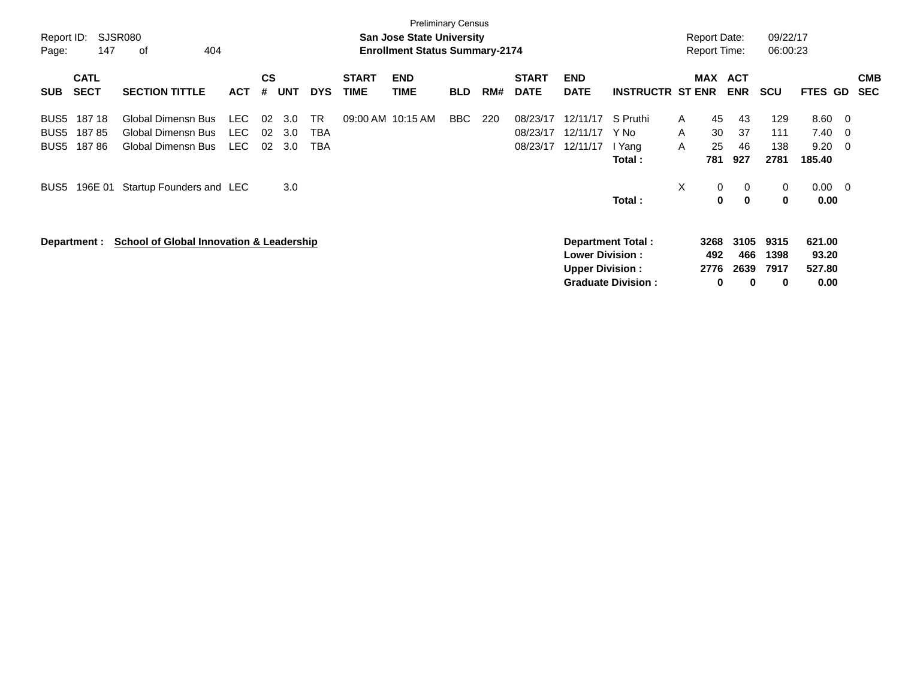| Report ID:<br>Page:              | 147                        | <b>SJSR080</b><br>οf<br>404                                    |                     |                |                   |                         |                             | <b>Preliminary Census</b><br><b>San Jose State University</b><br><b>Enrollment Status Summary-2174</b> |            |     |                                  |                                                                              |                                      |             | <b>Report Date:</b><br><b>Report Time:</b> |                          | 09/22/17<br>06:00:23       |                                   |                         |                          |
|----------------------------------|----------------------------|----------------------------------------------------------------|---------------------|----------------|-------------------|-------------------------|-----------------------------|--------------------------------------------------------------------------------------------------------|------------|-----|----------------------------------|------------------------------------------------------------------------------|--------------------------------------|-------------|--------------------------------------------|--------------------------|----------------------------|-----------------------------------|-------------------------|--------------------------|
| <b>SUB</b>                       | <b>CATL</b><br><b>SECT</b> | <b>SECTION TITTLE</b>                                          | <b>ACT</b>          | <b>CS</b><br># | <b>UNT</b>        | <b>DYS</b>              | <b>START</b><br><b>TIME</b> | <b>END</b><br><b>TIME</b>                                                                              | <b>BLD</b> | RM# | <b>START</b><br><b>DATE</b>      | <b>END</b><br><b>DATE</b>                                                    | <b>INSTRUCTR ST ENR</b>              |             | <b>MAX</b>                                 | <b>ACT</b><br><b>ENR</b> | <b>SCU</b>                 | <b>FTES</b>                       | GD                      | <b>CMB</b><br><b>SEC</b> |
| BUS5<br>BUS5<br>BUS <sub>5</sub> | 187 18<br>18785<br>18786   | Global Dimensn Bus<br>Global Dimensn Bus<br>Global Dimensn Bus | LEC<br>LEC.<br>LEC. | 02<br>02<br>02 | 3.0<br>3.0<br>3.0 | <b>TR</b><br>TBA<br>TBA | 09:00 AM 10:15 AM           |                                                                                                        | BBC.       | 220 | 08/23/17<br>08/23/17<br>08/23/17 | 12/11/17<br>12/11/17<br>12/11/17                                             | S Pruthi<br>Y No<br>I Yang<br>Total: | A<br>A<br>A | 45<br>30<br>25<br>781                      | 43<br>37<br>46<br>927    | 129<br>111<br>138<br>2781  | 8.60<br>7.40<br>9.20<br>185.40    | - 0<br>- 0<br>- 0       |                          |
| BUS5                             | 196E 01                    | Startup Founders and LEC                                       |                     |                | 3.0               |                         |                             |                                                                                                        |            |     |                                  |                                                                              | Total:                               | X           | 0<br>0                                     | 0<br>$\bf{0}$            | $\mathbf 0$<br>$\mathbf 0$ | 0.00<br>0.00                      | $\overline{\mathbf{0}}$ |                          |
|                                  | Department :               | <b>School of Global Innovation &amp; Leadership</b>            |                     |                |                   |                         |                             |                                                                                                        |            |     |                                  | <b>Department Total:</b><br><b>Lower Division:</b><br><b>Upper Division:</b> | <b>Graduate Division:</b>            |             | 3268<br>492<br>2776<br>0                   | 3105<br>466<br>2639<br>0 | 9315<br>1398<br>7917<br>0  | 621.00<br>93.20<br>527.80<br>0.00 |                         |                          |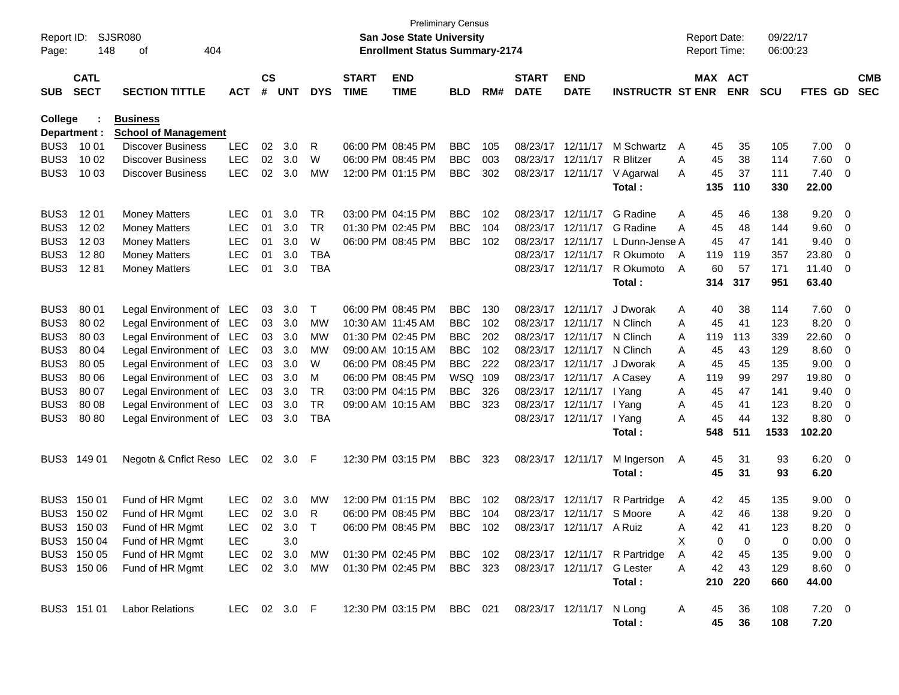| Report ID:<br>Page: | 148                        | SJSR080<br>404<br>οf                           |              |                    |            |            |                             | San Jose State University<br><b>Enrollment Status Summary-2174</b> | <b>Preliminary Census</b> |     |                             |                            |                               |   | <b>Report Date:</b><br><b>Report Time:</b> |            | 09/22/17<br>06:00:23 |                |     |                          |
|---------------------|----------------------------|------------------------------------------------|--------------|--------------------|------------|------------|-----------------------------|--------------------------------------------------------------------|---------------------------|-----|-----------------------------|----------------------------|-------------------------------|---|--------------------------------------------|------------|----------------------|----------------|-----|--------------------------|
| <b>SUB</b>          | <b>CATL</b><br><b>SECT</b> | <b>SECTION TITTLE</b>                          | <b>ACT</b>   | $\mathsf{cs}$<br># | <b>UNT</b> | <b>DYS</b> | <b>START</b><br><b>TIME</b> | <b>END</b><br><b>TIME</b>                                          | <b>BLD</b>                | RM# | <b>START</b><br><b>DATE</b> | <b>END</b><br><b>DATE</b>  | <b>INSTRUCTR ST ENR</b>       |   | MAX ACT                                    | <b>ENR</b> | <b>SCU</b>           | FTES GD        |     | <b>CMB</b><br><b>SEC</b> |
| College             | Department :               | <b>Business</b><br><b>School of Management</b> |              |                    |            |            |                             |                                                                    |                           |     |                             |                            |                               |   |                                            |            |                      |                |     |                          |
| BUS3                | 10 01                      | <b>Discover Business</b>                       | <b>LEC</b>   | 02                 | 3.0        | R          |                             | 06:00 PM 08:45 PM                                                  | <b>BBC</b>                | 105 | 08/23/17                    | 12/11/17                   | M Schwartz                    | A | 45                                         | 35         | 105                  | 7.00           | 0   |                          |
| BUS3                | 10 02                      | <b>Discover Business</b>                       | <b>LEC</b>   | 02                 | 3.0        | W          |                             | 06:00 PM 08:45 PM                                                  | <b>BBC</b>                | 003 | 08/23/17                    | 12/11/17                   | <b>R</b> Blitzer              | A | 45                                         | 38         | 114                  | 7.60           | 0   |                          |
| BUS3                | 10 03                      | <b>Discover Business</b>                       | <b>LEC</b>   | 02                 | 3.0        | MW         |                             | 12:00 PM 01:15 PM                                                  | <b>BBC</b>                | 302 | 08/23/17                    |                            | 12/11/17 V Agarwal            | A | 45                                         | 37         | 111                  | 7.40           | 0   |                          |
|                     |                            |                                                |              |                    |            |            |                             |                                                                    |                           |     |                             |                            | Total:                        |   | 135                                        | 110        | 330                  | 22.00          |     |                          |
| BUS3                | 12 01                      | <b>Money Matters</b>                           | <b>LEC</b>   | 01                 | 3.0        | TR         |                             | 03:00 PM 04:15 PM                                                  | <b>BBC</b>                | 102 | 08/23/17                    | 12/11/17                   | G Radine                      | Α | 45                                         | 46         | 138                  | 9.20           | 0   |                          |
| BUS3                | 12 02                      | <b>Money Matters</b>                           | <b>LEC</b>   | 01                 | 3.0        | <b>TR</b>  |                             | 01:30 PM 02:45 PM                                                  | <b>BBC</b>                | 104 | 08/23/17                    | 12/11/17                   | G Radine                      | A | 45                                         | 48         | 144                  | 9.60           | 0   |                          |
| BUS3                | 12 03                      | <b>Money Matters</b>                           | <b>LEC</b>   | 01                 | 3.0        | W          |                             | 06:00 PM 08:45 PM                                                  | <b>BBC</b>                | 102 | 08/23/17                    | 12/11/17                   | L Dunn-Jense A                |   | 45                                         | 47         | 141                  | 9.40           | 0   |                          |
| BUS3                | 1280                       | <b>Money Matters</b>                           | <b>LEC</b>   | 01                 | 3.0        | <b>TBA</b> |                             |                                                                    |                           |     | 08/23/17                    | 12/11/17                   | R Okumoto                     | A | 119                                        | 119        | 357                  | 23.80          | 0   |                          |
| BUS3                | 1281                       | <b>Money Matters</b>                           | <b>LEC</b>   | 01                 | 3.0        | <b>TBA</b> |                             |                                                                    |                           |     | 08/23/17                    | 12/11/17                   | R Okumoto                     | A | 60                                         | 57         | 171                  | 11.40          | 0   |                          |
|                     |                            |                                                |              |                    |            |            |                             |                                                                    |                           |     |                             |                            | Total:                        |   | 314                                        | 317        | 951                  | 63.40          |     |                          |
| BUS3                | 80 01                      | Legal Environment of LEC                       |              | 03                 | 3.0        | Т          |                             | 06:00 PM 08:45 PM                                                  | <b>BBC</b>                | 130 | 08/23/17                    | 12/11/17                   | J Dworak                      | Α | 40                                         | 38         | 114                  | 7.60           | - 0 |                          |
| BUS3                | 80 02                      | Legal Environment of LEC                       |              | 03                 | 3.0        | MW         |                             | 10:30 AM 11:45 AM                                                  | <b>BBC</b>                | 102 | 08/23/17                    | 12/11/17                   | N Clinch                      | A | 45                                         | 41         | 123                  | 8.20           | 0   |                          |
| BUS3                | 80 03                      | Legal Environment of LEC                       |              | 03                 | 3.0        | MW         |                             | 01:30 PM 02:45 PM                                                  | <b>BBC</b>                | 202 | 08/23/17                    | 12/11/17                   | N Clinch                      | A | 119                                        | 113        | 339                  | 22.60          | 0   |                          |
| BUS3                | 80 04                      | Legal Environment of LEC                       |              | 03                 | 3.0        | МW         |                             | 09:00 AM 10:15 AM                                                  | <b>BBC</b>                | 102 | 08/23/17                    | 12/11/17                   | N Clinch                      | A | 45                                         | 43         | 129                  | 8.60           | 0   |                          |
| BUS3                | 80 05                      | Legal Environment of LEC                       |              | 03                 | 3.0        | W          |                             | 06:00 PM 08:45 PM                                                  | <b>BBC</b>                | 222 | 08/23/17                    | 12/11/17                   | J Dworak                      | A | 45                                         | 45         | 135                  | 9.00           | 0   |                          |
| BUS3                | 80 06                      | Legal Environment of LEC                       |              | 03                 | 3.0        | M          |                             | 06:00 PM 08:45 PM                                                  | <b>WSQ</b>                | 109 | 08/23/17                    | 12/11/17                   | A Casey                       | A | 119                                        | 99         | 297                  | 19.80          | 0   |                          |
| BUS3                | 80 07                      | Legal Environment of LEC                       |              | 03                 | 3.0        | <b>TR</b>  |                             | 03:00 PM 04:15 PM                                                  | <b>BBC</b>                | 326 | 08/23/17                    | 12/11/17                   | I Yang                        | A | 45                                         | 47         | 141                  | 9.40           | 0   |                          |
| BUS3                | 80 08                      | Legal Environment of LEC                       |              | 03                 | 3.0        | <b>TR</b>  |                             | 09:00 AM 10:15 AM                                                  | <b>BBC</b>                | 323 | 08/23/17                    | 12/11/17                   | I Yang                        | Α | 45                                         | 41         | 123                  | 8.20           | 0   |                          |
| BUS3                | 80 80                      | Legal Environment of LEC                       |              | 03                 | 3.0        | <b>TBA</b> |                             |                                                                    |                           |     |                             | 08/23/17 12/11/17          | I Yang<br>Total:              | A | 45<br>548                                  | 44<br>511  | 132<br>1533          | 8.80<br>102.20 | 0   |                          |
|                     |                            |                                                |              |                    |            |            |                             |                                                                    |                           |     |                             |                            |                               |   |                                            |            |                      |                |     |                          |
| BUS3                | 149 01                     | Negotn & Cnflct Reso LEC                       |              |                    | 02 3.0     | -F         |                             | 12:30 PM 03:15 PM                                                  | <b>BBC</b>                | 323 |                             | 08/23/17 12/11/17          | M Ingerson<br>Total:          | A | 45<br>45                                   | 31<br>31   | 93<br>93             | 6.20           | - 0 |                          |
|                     |                            |                                                |              |                    |            |            |                             |                                                                    |                           |     |                             |                            |                               |   |                                            |            |                      | 6.20           |     |                          |
| BUS3                | 150 01                     | Fund of HR Mgmt                                | LEC          | 02                 | 3.0        | MW         |                             | 12:00 PM 01:15 PM                                                  | <b>BBC</b>                | 102 | 08/23/17                    | 12/11/17                   | R Partridge                   | A | 42                                         | 45         | 135                  | 9.00           | 0   |                          |
|                     | BUS3 150 02                | Fund of HR Mgmt                                | <b>LEC</b>   | 02 <sub>o</sub>    | 3.0        | R          |                             | 06:00 PM 08:45 PM                                                  | <b>BBC</b>                | 104 |                             | 08/23/17 12/11/17          | S Moore                       | Α | 42                                         | 46         | 138                  | 9.20           | 0   |                          |
|                     | BUS3 150 03                | Fund of HR Mgmt                                | <b>LEC</b>   |                    | 02 3.0     | Т          |                             | 06:00 PM 08:45 PM                                                  | <b>BBC</b>                | 102 |                             | 08/23/17 12/11/17          | A Ruiz                        | Α | 42                                         | 41         | 123                  | 8.20           | 0   |                          |
|                     | BUS3 150 04                | Fund of HR Mgmt                                | LEC          |                    | 3.0        |            |                             |                                                                    |                           |     |                             |                            |                               | х | 0                                          | 0          | 0                    | $0.00 \t 0$    |     |                          |
|                     | BUS3 150 05                | Fund of HR Mgmt                                | <b>LEC</b>   |                    | 02 3.0     | MW         |                             | 01:30 PM 02:45 PM                                                  | BBC 102                   |     |                             |                            | 08/23/17 12/11/17 R Partridge | A | 42                                         | 45         | 135                  | 9.00 0         |     |                          |
|                     | BUS3 150 06                | Fund of HR Mgmt                                | <b>LEC</b>   |                    | 02 3.0     | MW         |                             | 01:30 PM 02:45 PM                                                  | BBC 323                   |     |                             | 08/23/17 12/11/17 G Lester |                               | A | 42                                         | 43         | 129                  | $8.60\ 0$      |     |                          |
|                     |                            |                                                |              |                    |            |            |                             |                                                                    |                           |     |                             |                            | Total:                        |   | 210                                        | 220        | 660                  | 44.00          |     |                          |
|                     | BUS3 151 01                | <b>Labor Relations</b>                         | LEC 02 3.0 F |                    |            |            |                             | 12:30 PM 03:15 PM BBC 021                                          |                           |     |                             | 08/23/17 12/11/17 N Long   |                               | A | 45                                         | 36         | 108                  | $7.20 \t 0$    |     |                          |
|                     |                            |                                                |              |                    |            |            |                             |                                                                    |                           |     |                             |                            | Total:                        |   | 45                                         | 36         | 108                  | 7.20           |     |                          |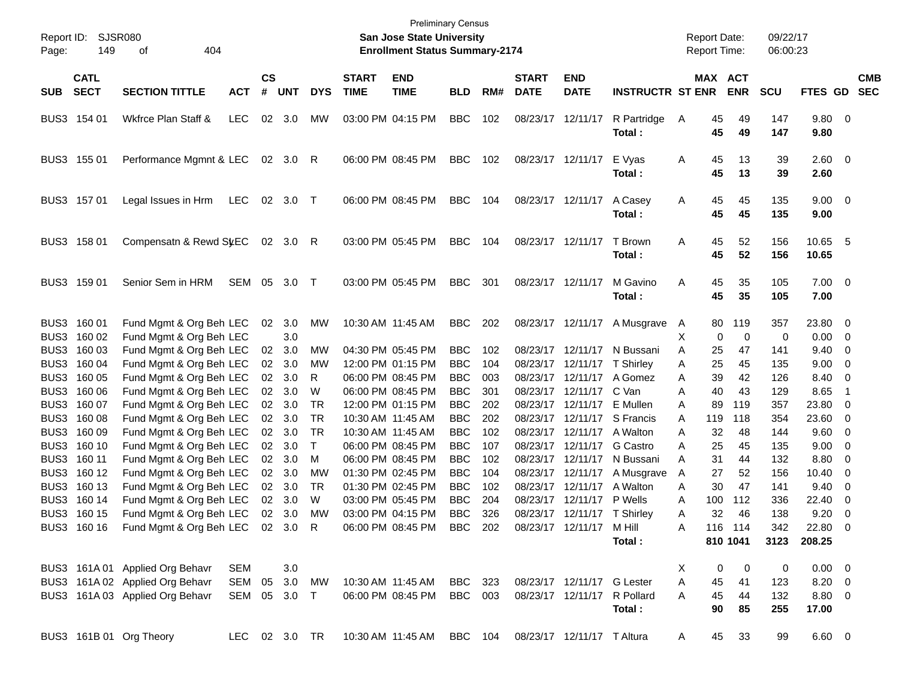| Report ID:<br>Page: | 149                        | <b>SJSR080</b><br>of<br>404                        |               |                 |            |            |                             | <b>Preliminary Census</b><br>San Jose State University<br><b>Enrollment Status Summary-2174</b> |            |     |                             |                             |                         | <b>Report Date:</b><br><b>Report Time:</b> |                         | 09/22/17<br>06:00:23 |                     |                         |                          |
|---------------------|----------------------------|----------------------------------------------------|---------------|-----------------|------------|------------|-----------------------------|-------------------------------------------------------------------------------------------------|------------|-----|-----------------------------|-----------------------------|-------------------------|--------------------------------------------|-------------------------|----------------------|---------------------|-------------------------|--------------------------|
| <b>SUB</b>          | <b>CATL</b><br><b>SECT</b> | <b>SECTION TITTLE</b>                              | <b>ACT</b>    | <b>CS</b><br>#  | <b>UNT</b> | <b>DYS</b> | <b>START</b><br><b>TIME</b> | <b>END</b><br><b>TIME</b>                                                                       | <b>BLD</b> | RM# | <b>START</b><br><b>DATE</b> | <b>END</b><br><b>DATE</b>   | <b>INSTRUCTR ST ENR</b> |                                            | MAX ACT<br><b>ENR</b>   | <b>SCU</b>           | <b>FTES GD</b>      |                         | <b>CMB</b><br><b>SEC</b> |
|                     | BUS3 154 01                | Wkfrce Plan Staff &                                | <b>LEC</b>    | 02              | 3.0        | <b>MW</b>  |                             | 03:00 PM 04:15 PM                                                                               | <b>BBC</b> | 102 | 08/23/17 12/11/17           |                             | R Partridge<br>Total:   | 45<br>A<br>45                              | 49<br>49                | 147<br>147           | 9.80 0<br>9.80      |                         |                          |
|                     | BUS3 155 01                | Performance Mgmnt & LEC                            |               | 02              | 3.0        | R          |                             | 06:00 PM 08:45 PM                                                                               | <b>BBC</b> | 102 | 08/23/17 12/11/17           |                             | E Vyas<br>Total:        | A<br>45<br>45                              | 13<br>13                | 39<br>39             | $2.60 \t 0$<br>2.60 |                         |                          |
|                     | BUS3 157 01                | Legal Issues in Hrm                                | <b>LEC</b>    | 02              | 3.0        | $\top$     |                             | 06:00 PM 08:45 PM                                                                               | <b>BBC</b> | 104 | 08/23/17 12/11/17           |                             | A Casey<br>Total:       | 45<br>A<br>45                              | 45<br>45                | 135<br>135           | $9.00 \t 0$<br>9.00 |                         |                          |
|                     | BUS3 158 01                | Compensatn & Rewd St.EC                            |               |                 | 02 3.0     | R          |                             | 03:00 PM 05:45 PM                                                                               | <b>BBC</b> | 104 | 08/23/17 12/11/17           |                             | T Brown<br>Total:       | Α<br>45<br>45                              | 52<br>52                | 156<br>156           | 10.65<br>10.65      | - 5                     |                          |
|                     | BUS3 159 01                | Senior Sem in HRM                                  | SEM           | 05              | 3.0        | $\top$     |                             | 03:00 PM 05:45 PM                                                                               | <b>BBC</b> | 301 | 08/23/17 12/11/17           |                             | M Gavino<br>Total:      | Α<br>45<br>45                              | 35<br>35                | 105<br>105           | $7.00 \t 0$<br>7.00 |                         |                          |
| BUS3                | BUS3 160 01<br>160 02      | Fund Mgmt & Org Beh LEC<br>Fund Mgmt & Org Beh LEC |               | 02              | 3.0<br>3.0 | MW         | 10:30 AM 11:45 AM           |                                                                                                 | <b>BBC</b> | 202 |                             | 08/23/17 12/11/17           | A Musgrave              | 80<br>A<br>Χ                               | 119<br>0<br>$\mathbf 0$ | 357<br>0             | 23.80<br>0.00       | $\overline{0}$<br>0     |                          |
| BUS3                | 160 03                     | Fund Mgmt & Org Beh LEC                            |               | 02              | 3.0        | MW         |                             | 04:30 PM 05:45 PM                                                                               | <b>BBC</b> | 102 |                             | 08/23/17 12/11/17           | N Bussani               | A<br>25                                    | 47                      | 141                  | 9.40                | 0                       |                          |
| BUS3                | 160 04                     | Fund Mgmt & Org Beh LEC                            |               | 02              | 3.0        | MW         |                             | 12:00 PM 01:15 PM                                                                               | <b>BBC</b> | 104 |                             | 08/23/17 12/11/17           | T Shirley               | Α<br>25                                    | 45                      | 135                  | 9.00                | 0                       |                          |
| BUS3                | 160 05                     | Fund Mgmt & Org Beh LEC                            |               | 02              | 3.0        | R          |                             | 06:00 PM 08:45 PM                                                                               | <b>BBC</b> | 003 |                             | 08/23/17 12/11/17           | A Gomez                 | 39<br>Α                                    | 42                      | 126                  | 8.40                | 0                       |                          |
| BUS3                | 160 06                     | Fund Mgmt & Org Beh LEC                            |               | 02 <sub>2</sub> | 3.0        | W          |                             | 06:00 PM 08:45 PM                                                                               | <b>BBC</b> | 301 |                             | 08/23/17 12/11/17           | C Van                   | 40<br>Α                                    | 43                      | 129                  | 8.65                | $\overline{\mathbf{1}}$ |                          |
| BUS3                | 160 07                     | Fund Mgmt & Org Beh LEC                            |               | 02              | 3.0        | <b>TR</b>  |                             | 12:00 PM 01:15 PM                                                                               | <b>BBC</b> | 202 |                             | 08/23/17 12/11/17           | E Mullen                | A<br>89                                    | 119                     | 357                  | 23.80               | 0                       |                          |
| BUS3                | 160 08                     | Fund Mgmt & Org Beh LEC                            |               | 02              | 3.0        | <b>TR</b>  | 10:30 AM 11:45 AM           |                                                                                                 | <b>BBC</b> | 202 |                             | 08/23/17 12/11/17           | S Francis               | 119<br>A                                   | 118                     | 354                  | 23.60               | 0                       |                          |
|                     | BUS3 160 09                | Fund Mgmt & Org Beh LEC                            |               | 02              | 3.0        | <b>TR</b>  | 10:30 AM 11:45 AM           |                                                                                                 | <b>BBC</b> | 102 |                             | 08/23/17 12/11/17           | A Walton                | 32<br>A                                    | 48                      | 144                  | 9.60                | 0                       |                          |
|                     | BUS3 160 10                | Fund Mgmt & Org Beh LEC                            |               | 02 <sub>2</sub> | 3.0        | т          |                             | 06:00 PM 08:45 PM                                                                               | <b>BBC</b> | 107 |                             | 08/23/17 12/11/17           | G Castro                | 25<br>A                                    | 45                      | 135                  | 9.00                | 0                       |                          |
|                     | BUS3 160 11                | Fund Mgmt & Org Beh LEC                            |               | 02              | 3.0        | М          |                             | 06:00 PM 08:45 PM                                                                               | <b>BBC</b> | 102 |                             | 08/23/17 12/11/17           | N Bussani               | 31<br>A                                    | 44                      | 132                  | 8.80                | 0                       |                          |
|                     | BUS3 160 12                | Fund Mgmt & Org Beh LEC                            |               | 02              | 3.0        | МW         |                             | 01:30 PM 02:45 PM                                                                               | <b>BBC</b> | 104 |                             | 08/23/17 12/11/17           | A Musgrave              | 27<br>A                                    | 52                      | 156                  | 10.40               | 0                       |                          |
|                     | BUS3 160 13                | Fund Mgmt & Org Beh LEC                            |               | 02 <sub>2</sub> | 3.0        | <b>TR</b>  |                             | 01:30 PM 02:45 PM                                                                               | <b>BBC</b> | 102 |                             | 08/23/17 12/11/17           | A Walton                | 30<br>Α                                    | 47                      | 141                  | 9.40                | 0                       |                          |
| BUS3                | 160 14                     | Fund Mgmt & Org Beh LEC                            |               | 02 <sub>2</sub> | 3.0        | W          |                             | 03:00 PM 05:45 PM                                                                               | <b>BBC</b> | 204 |                             | 08/23/17 12/11/17           | P Wells                 | A<br>100                                   | 112                     | 336                  | 22.40               | 0                       |                          |
|                     | BUS3 160 15                | Fund Mgmt & Org Beh LEC                            |               | 02              | 3.0        | MW         |                             | 03:00 PM 04:15 PM                                                                               | BBC        | 326 |                             | 08/23/17 12/11/17 T Shirley |                         | Α                                          | 32<br>46                | 138                  | 9.20                | 0                       |                          |
|                     |                            | BUS3 160 16 Fund Mgmt & Org Beh LEC 02 3.0 R       |               |                 |            |            |                             | 06:00 PM 08:45 PM                                                                               | BBC 202    |     | 08/23/17 12/11/17           |                             | M Hill<br>Total:        | Α                                          | 116 114<br>810 1041     | 342<br>3123          | 22.80 0<br>208.25   |                         |                          |
|                     |                            | BUS3 161A 01 Applied Org Behavr                    | SEM           |                 | 3.0        |            |                             |                                                                                                 |            |     |                             |                             |                         | X                                          | 0<br>0                  | 0                    | $0.00 \t 0$         |                         |                          |
|                     |                            | BUS3 161A 02 Applied Org Behavr                    | SEM           | 05              | 3.0        | <b>MW</b>  |                             | 10:30 AM 11:45 AM                                                                               | BBC 323    |     |                             | 08/23/17 12/11/17 G Lester  |                         | Α<br>45                                    | 41                      | 123                  | 8.20 0              |                         |                          |
|                     |                            | BUS3 161A 03 Applied Org Behavr                    | SEM 05 3.0 T  |                 |            |            |                             | 06:00 PM 08:45 PM                                                                               | BBC 003    |     | 08/23/17 12/11/17           |                             | R Pollard<br>Total:     | 45<br>A<br>90                              | 44<br>85                | 132<br>255           | 8.80 0<br>17.00     |                         |                          |
|                     |                            | BUS3 161B 01 Org Theory                            | LEC 02 3.0 TR |                 |            |            |                             | 10:30 AM 11:45 AM                                                                               | BBC 104    |     |                             | 08/23/17 12/11/17 T Altura  |                         | 45<br>A                                    | 33                      | 99                   | $6.60\quad 0$       |                         |                          |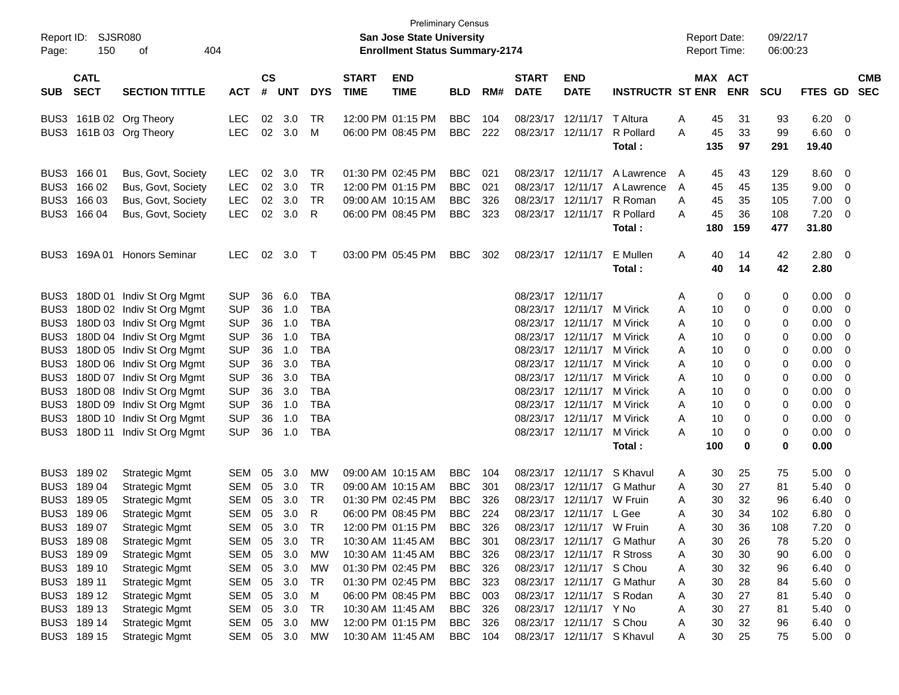| Report ID:<br>Page: | SJSR080<br>150                                                    |                                |            |                             |            |            | <b>San Jose State University</b><br><b>Enrollment Status Summary-2174</b> | <b>Preliminary Census</b> |            |     |                             |                            |                            | <b>Report Date:</b><br>Report Time: |          | 09/22/17<br>06:00:23 |            |              |                          |                          |
|---------------------|-------------------------------------------------------------------|--------------------------------|------------|-----------------------------|------------|------------|---------------------------------------------------------------------------|---------------------------|------------|-----|-----------------------------|----------------------------|----------------------------|-------------------------------------|----------|----------------------|------------|--------------|--------------------------|--------------------------|
| <b>SUB</b>          | <b>CATL</b><br><b>SECT</b><br><b>SECTION TITTLE</b><br><b>ACT</b> |                                |            | $\mathbf{c}\mathbf{s}$<br># | <b>UNT</b> | <b>DYS</b> | <b>START</b><br><b>TIME</b>                                               | <b>END</b><br><b>TIME</b> | <b>BLD</b> | RM# | <b>START</b><br><b>DATE</b> | <b>END</b><br><b>DATE</b>  | <b>INSTRUCTR ST ENR</b>    |                                     | MAX ACT  | <b>ENR</b>           | <b>SCU</b> | FTES GD      |                          | <b>CMB</b><br><b>SEC</b> |
|                     |                                                                   |                                |            |                             |            |            |                                                                           |                           |            |     |                             |                            |                            |                                     |          |                      |            |              |                          |                          |
|                     |                                                                   | BUS3 161B 02 Org Theory        | LEC        | 02                          | 3.0        | TR         |                                                                           | 12:00 PM 01:15 PM         | <b>BBC</b> | 104 |                             | 08/23/17 12/11/17          | T Altura                   | Α                                   | 45       | 31                   | 93         | 6.20         | $\overline{0}$           |                          |
|                     |                                                                   | BUS3 161B 03 Org Theory        | <b>LEC</b> | 02                          | 3.0        | M          |                                                                           | 06:00 PM 08:45 PM         | <b>BBC</b> | 222 |                             | 08/23/17 12/11/17          | R Pollard                  | Α                                   | 45       | 33                   | 99         | 6.60         | 0                        |                          |
|                     |                                                                   |                                |            |                             |            |            |                                                                           |                           |            |     |                             |                            | Total:                     |                                     | 135      | 97                   | 291        | 19.40        |                          |                          |
|                     | BUS3 166 01                                                       | Bus, Govt, Society             | LEC        | 02                          | 3.0        | TR         |                                                                           | 01:30 PM 02:45 PM         | <b>BBC</b> | 021 |                             | 08/23/17 12/11/17          | A Lawrence                 | A                                   | 45       | 43                   | 129        | 8.60         | 0                        |                          |
|                     | BUS3 166 02                                                       | Bus, Govt, Society             | <b>LEC</b> | 02                          | 3.0        | TR         |                                                                           | 12:00 PM 01:15 PM         | <b>BBC</b> | 021 |                             | 08/23/17 12/11/17          | A Lawrence                 | A                                   | 45       | 45                   | 135        | 9.00         | 0                        |                          |
|                     | BUS3 166 03                                                       | Bus, Govt, Society             | <b>LEC</b> | 02                          | 3.0        | TR         |                                                                           | 09:00 AM 10:15 AM         | <b>BBC</b> | 326 |                             | 08/23/17 12/11/17          | R Roman                    | Α                                   | 45       | 35                   | 105        | 7.00         | 0                        |                          |
|                     | BUS3 166 04                                                       | Bus, Govt, Society             | <b>LEC</b> | 02                          | 3.0        | R          |                                                                           | 06:00 PM 08:45 PM         | <b>BBC</b> | 323 |                             | 08/23/17 12/11/17          | R Pollard                  | A                                   | 45       | 36                   | 108        | 7.20         | 0                        |                          |
|                     |                                                                   |                                |            |                             |            |            |                                                                           |                           |            |     |                             |                            | Total:                     |                                     | 180      | 159                  | 477        | 31.80        |                          |                          |
|                     |                                                                   |                                |            |                             |            |            |                                                                           |                           |            |     |                             |                            | E Mullen                   |                                     |          |                      |            |              |                          |                          |
|                     | BUS3 169A01                                                       | <b>Honors Seminar</b>          | <b>LEC</b> | 02                          | 3.0        | $\top$     |                                                                           | 03:00 PM 05:45 PM         | <b>BBC</b> | 302 |                             | 08/23/17 12/11/17          | Total:                     | Α                                   | 40<br>40 | 14<br>14             | 42<br>42   | 2.80<br>2.80 | $\overline{\phantom{0}}$ |                          |
|                     |                                                                   |                                |            |                             |            |            |                                                                           |                           |            |     |                             |                            |                            |                                     |          |                      |            |              |                          |                          |
|                     |                                                                   | BUS3 180D 01 Indiv St Org Mgmt | <b>SUP</b> | 36                          | 6.0        | TBA        |                                                                           |                           |            |     |                             | 08/23/17 12/11/17          |                            | A                                   | 0        | 0                    | 0          | 0.00         | - 0                      |                          |
|                     |                                                                   | BUS3 180D 02 Indiv St Org Mgmt | <b>SUP</b> | 36                          | 1.0        | TBA        |                                                                           |                           |            |     |                             | 08/23/17 12/11/17          | M Virick                   | Α                                   | 10       | 0                    | 0          | 0.00         | 0                        |                          |
|                     |                                                                   | BUS3 180D 03 Indiv St Org Mgmt | <b>SUP</b> | 36                          | 1.0        | <b>TBA</b> |                                                                           |                           |            |     |                             | 08/23/17 12/11/17          | M Virick                   | A                                   | 10       | 0                    | 0          | 0.00         | 0                        |                          |
|                     |                                                                   | BUS3 180D 04 Indiv St Org Mgmt | <b>SUP</b> | 36                          | 1.0        | TBA        |                                                                           |                           |            |     |                             | 08/23/17 12/11/17          | M Virick                   | Α                                   | 10       | 0                    | 0          | 0.00         | 0                        |                          |
|                     |                                                                   | BUS3 180D 05 Indiv St Org Mgmt | <b>SUP</b> | 36                          | 1.0        | <b>TBA</b> |                                                                           |                           |            |     |                             | 08/23/17 12/11/17          | M Virick                   | Α                                   | 10       | 0                    | 0          | 0.00         | 0                        |                          |
|                     |                                                                   | BUS3 180D 06 Indiv St Org Mgmt | <b>SUP</b> | 36                          | 3.0        | <b>TBA</b> |                                                                           |                           |            |     |                             | 08/23/17 12/11/17          | M Virick                   | A                                   | 10       | 0                    | 0          | 0.00         | 0                        |                          |
|                     |                                                                   | BUS3 180D 07 Indiv St Org Mgmt | <b>SUP</b> | 36                          | 3.0        | <b>TBA</b> |                                                                           |                           |            |     |                             | 08/23/17 12/11/17          | M Virick                   | A                                   | 10       | 0                    | 0          | 0.00         | 0                        |                          |
|                     |                                                                   | BUS3 180D 08 Indiv St Org Mgmt | <b>SUP</b> | 36                          | 3.0        | TBA        |                                                                           |                           |            |     |                             | 08/23/17 12/11/17          | M Virick                   | Α                                   | 10       | 0                    | 0          | 0.00         | 0                        |                          |
|                     |                                                                   | BUS3 180D 09 Indiv St Org Mgmt | <b>SUP</b> | 36                          | 1.0        | TBA        |                                                                           |                           |            |     |                             | 08/23/17 12/11/17          | M Virick                   | Α                                   | 10       | 0                    | 0          | 0.00         | 0                        |                          |
|                     |                                                                   | BUS3 180D 10 Indiv St Org Mgmt | <b>SUP</b> | 36                          | 1.0        | <b>TBA</b> |                                                                           |                           |            |     |                             | 08/23/17 12/11/17          | M Virick                   | A                                   | 10       | 0                    | 0          | 0.00         | 0                        |                          |
|                     |                                                                   | BUS3 180D 11 Indiv St Org Mgmt | <b>SUP</b> | 36                          | 1.0        | <b>TBA</b> |                                                                           |                           |            |     |                             | 08/23/17 12/11/17          | M Virick                   | А                                   | 10       | 0                    | 0          | 0.00         | 0                        |                          |
|                     |                                                                   |                                |            |                             |            |            |                                                                           |                           |            |     |                             |                            | Total :                    |                                     | 100      | 0                    | 0          | 0.00         |                          |                          |
|                     | BUS3 189 02                                                       | <b>Strategic Mgmt</b>          | SEM        | 05                          | 3.0        | MW         |                                                                           | 09:00 AM 10:15 AM         | <b>BBC</b> | 104 |                             | 08/23/17 12/11/17          | S Khavul                   | Α                                   | 30       | 25                   | 75         | 5.00         | 0                        |                          |
|                     | BUS3 189 04                                                       | <b>Strategic Mgmt</b>          | SEM        | 05                          | 3.0        | <b>TR</b>  |                                                                           | 09:00 AM 10:15 AM         | <b>BBC</b> | 301 |                             | 08/23/17 12/11/17          | <b>G</b> Mathur            | Α                                   | 30       | 27                   | 81         | 5.40         | 0                        |                          |
|                     | BUS3 189 05                                                       | <b>Strategic Mgmt</b>          | SEM        | 05                          | 3.0        | TR         |                                                                           | 01:30 PM 02:45 PM         | <b>BBC</b> | 326 |                             | 08/23/17 12/11/17          | W Fruin                    | Α                                   | 30       | 32                   | 96         | 6.40         | 0                        |                          |
|                     | BUS3 189 06                                                       | <b>Strategic Mgmt</b>          | <b>SEM</b> | 05                          | 3.0        | R          |                                                                           | 06:00 PM 08:45 PM         | <b>BBC</b> | 224 |                             | 08/23/17 12/11/17          | L Gee                      | Α                                   | 30       | 34                   | 102        | 6.80         | 0                        |                          |
|                     | BUS3 189 07                                                       | <b>Strategic Mgmt</b>          | SEM        |                             | 05 3.0     | TR         |                                                                           | 12:00 PM 01:15 PM         | BBC.       | 326 |                             | 08/23/17 12/11/17 W Fruin  |                            | А                                   | 30       | 36                   | 108        | 7.20         | $\Omega$                 |                          |
|                     | BUS3 189 08                                                       | <b>Strategic Mgmt</b>          | SEM        | 05                          | 3.0        | TR         |                                                                           | 10:30 AM 11:45 AM         | BBC.       | 301 |                             |                            | 08/23/17 12/11/17 G Mathur | A                                   | 30       | 26                   | 78         | 5.20         | - 0                      |                          |
|                     | BUS3 189 09                                                       | <b>Strategic Mgmt</b>          | SEM        | 05                          | 3.0        | МW         |                                                                           | 10:30 AM 11:45 AM         | <b>BBC</b> | 326 |                             | 08/23/17 12/11/17          | R Stross                   | A                                   | 30       | 30                   | 90         | 6.00         | 0                        |                          |
|                     | BUS3 189 10                                                       | <b>Strategic Mgmt</b>          | SEM        | 05                          | 3.0        | МW         |                                                                           | 01:30 PM 02:45 PM         | BBC        | 326 |                             | 08/23/17 12/11/17 S Chou   |                            | Α                                   | 30       | 32                   | 96         | 6.40         | 0                        |                          |
|                     | BUS3 189 11                                                       | <b>Strategic Mgmt</b>          | SEM        | 05                          | 3.0        | TR         |                                                                           | 01:30 PM 02:45 PM         | BBC        | 323 |                             |                            | 08/23/17 12/11/17 G Mathur | Α                                   | 30       | 28                   | 84         | 5.60         | 0                        |                          |
|                     | BUS3 189 12                                                       | <b>Strategic Mgmt</b>          | SEM        | 05                          | 3.0        | M          |                                                                           | 06:00 PM 08:45 PM         | BBC        | 003 |                             | 08/23/17 12/11/17 S Rodan  |                            | Α                                   | 30       | 27                   | 81         | 5.40         | 0                        |                          |
|                     | BUS3 189 13                                                       | <b>Strategic Mgmt</b>          | SEM        | 05                          | 3.0        | TR         |                                                                           | 10:30 AM 11:45 AM         | BBC        | 326 |                             | 08/23/17 12/11/17 Y No     |                            | Α                                   | 30       | 27                   | 81         | 5.40         | 0                        |                          |
|                     | BUS3 189 14                                                       | <b>Strategic Mgmt</b>          | SEM        | 05                          | 3.0        | МW         |                                                                           | 12:00 PM 01:15 PM         | <b>BBC</b> | 326 |                             | 08/23/17 12/11/17 S Chou   |                            | A                                   | 30       | 32                   | 96         | 6.40         | $\overline{\mathbf{0}}$  |                          |
|                     | BUS3 189 15                                                       | <b>Strategic Mgmt</b>          | SEM 05 3.0 |                             |            | МW         |                                                                           | 10:30 AM 11:45 AM         | <b>BBC</b> | 104 |                             | 08/23/17 12/11/17 S Khavul |                            | A                                   | 30       | 25                   | 75         | $5.00 \t 0$  |                          |                          |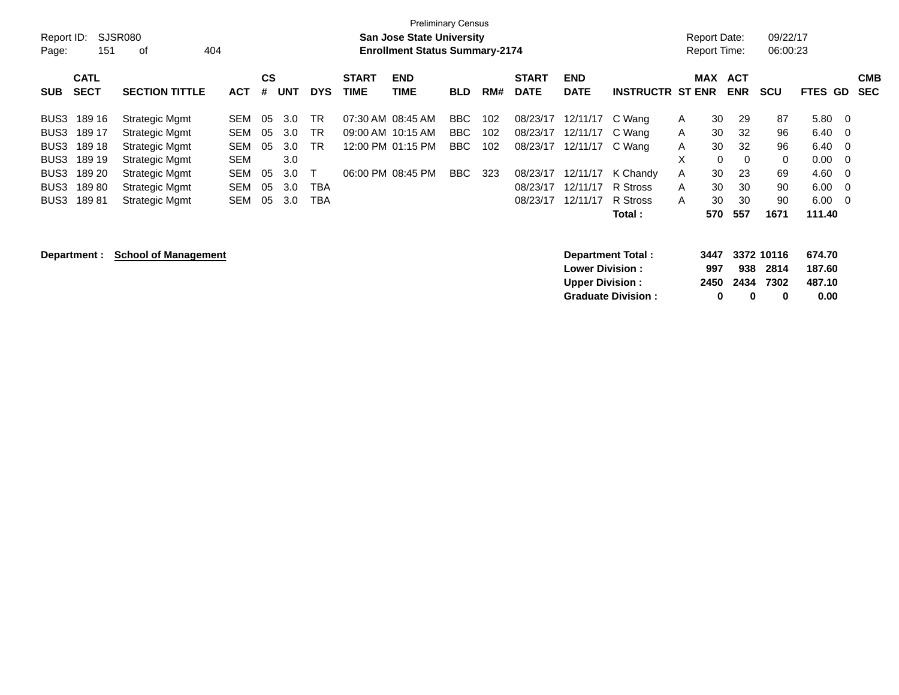| Report ID:<br>Page: | 151                        | SJSR080<br>404<br>оf        |            |                |            |            | <b>Preliminary Census</b><br><b>San Jose State University</b><br><b>Enrollment Status Summary-2174</b> |                    |            |     |                             |                           |                          | <b>Report Date:</b><br><b>Report Time:</b> |             | 09/22/17<br>06:00:23     |             |             |                                 |  |
|---------------------|----------------------------|-----------------------------|------------|----------------|------------|------------|--------------------------------------------------------------------------------------------------------|--------------------|------------|-----|-----------------------------|---------------------------|--------------------------|--------------------------------------------|-------------|--------------------------|-------------|-------------|---------------------------------|--|
| <b>SUB</b>          | <b>CATL</b><br><b>SECT</b> | <b>SECTION TITTLE</b>       | <b>ACT</b> | <b>CS</b><br># | <b>UNT</b> | <b>DYS</b> | <b>START</b><br><b>TIME</b>                                                                            | <b>END</b><br>TIME | <b>BLD</b> | RM# | <b>START</b><br><b>DATE</b> | <b>END</b><br><b>DATE</b> | <b>INSTRUCTR ST ENR</b>  |                                            | <b>MAX</b>  | <b>ACT</b><br><b>ENR</b> | <b>SCU</b>  | <b>FTES</b> | <b>CMB</b><br><b>SEC</b><br>GD. |  |
| BUS3                | 189 16                     | <b>Strategic Mgmt</b>       | <b>SEM</b> | 05             | 3.0        | <b>TR</b>  |                                                                                                        | 07:30 AM 08:45 AM  | BBC        | 102 | 08/23/17                    | 12/11/17                  | C Wang                   | A                                          | 30          | 29                       | 87          | 5.80        | - 0                             |  |
| BUS3                | 189 17                     | <b>Strategic Mgmt</b>       | SEM        | 05             | 3.0        | TR         |                                                                                                        | 09:00 AM 10:15 AM  | BBC        | 102 | 08/23/17                    | 12/11/17                  | C Wang                   | A                                          | 30          | 32                       | 96          | 6.40        | - 0                             |  |
| BUS3                | 189 18                     | <b>Strategic Mgmt</b>       | <b>SEM</b> | 05             | 3.0        | <b>TR</b>  |                                                                                                        | 12:00 PM 01:15 PM  | BBC        | 102 | 08/23/17                    | 12/11/17                  | C Wang                   | A                                          | 30          | 32                       | 96          | 6.40        | - 0                             |  |
| BUS3                | 189 19                     | Strategic Mgmt              | <b>SEM</b> |                | 3.0        |            |                                                                                                        |                    |            |     |                             |                           |                          | X                                          | $\mathbf 0$ | $\Omega$                 | $\mathbf 0$ | 0.00        | - 0                             |  |
| BUS3                | 189 20                     | Strategic Mgmt              | SEM        | 05             | 3.0        |            |                                                                                                        | 06:00 PM 08:45 PM  | BBC        | 323 | 08/23/17                    | 12/11/17                  | K Chandy                 | A                                          | 30          | 23                       | 69          | 4.60        | - 0                             |  |
| BUS3                | 18980                      | <b>Strategic Mgmt</b>       | <b>SEM</b> | 05             | 3.0        | <b>TBA</b> |                                                                                                        |                    |            |     | 08/23/17                    | 12/11/17                  | R Stross                 | A                                          | 30          | 30                       | 90          | 6.00        | - 0                             |  |
| BUS3                | 18981                      | Strategic Mgmt              | SEM        | 05             | 3.0        | <b>TBA</b> |                                                                                                        |                    |            |     | 08/23/17                    | 12/11/17                  | R Stross                 | A                                          | 30          | 30                       | 90          | 6.00        | $\overline{0}$                  |  |
|                     |                            |                             |            |                |            |            |                                                                                                        |                    |            |     |                             |                           | Total :                  |                                            | 570         | 557                      | 1671        | 111.40      |                                 |  |
|                     | Department :               | <b>School of Management</b> |            |                |            |            |                                                                                                        |                    |            |     |                             |                           | <b>Department Total:</b> |                                            | 3447        |                          | 3372 10116  | 674.70      |                                 |  |

| <b>Department Total:</b>  |     |                |          | 3447 3372 10116 674.70 |
|---------------------------|-----|----------------|----------|------------------------|
| <b>Lower Division :</b>   | 997 |                | 938 2814 | 187.60                 |
| <b>Upper Division:</b>    |     | 2450 2434 7302 |          | 487.10                 |
| <b>Graduate Division:</b> | n   | n              | o        | 0.00                   |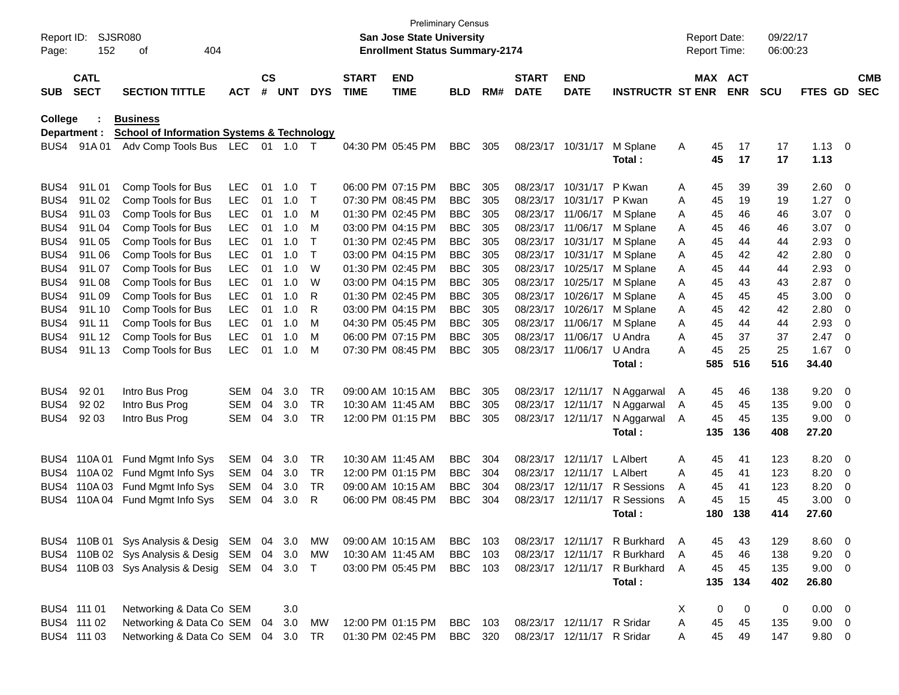| Page:      | Report ID:<br>SJSR080<br>152<br>404<br>οf |                                                       |            |                    |            |             |                             | <b>Preliminary Census</b><br><b>San Jose State University</b><br><b>Enrollment Status Summary-2174</b> |            |     |                             |                            |                              |   | <b>Report Date:</b><br><b>Report Time:</b> |            | 09/22/17<br>06:00:23 |             |                          |                          |
|------------|-------------------------------------------|-------------------------------------------------------|------------|--------------------|------------|-------------|-----------------------------|--------------------------------------------------------------------------------------------------------|------------|-----|-----------------------------|----------------------------|------------------------------|---|--------------------------------------------|------------|----------------------|-------------|--------------------------|--------------------------|
| <b>SUB</b> | <b>CATL</b><br><b>SECT</b>                | <b>SECTION TITTLE</b>                                 | <b>ACT</b> | $\mathsf{cs}$<br># | <b>UNT</b> | <b>DYS</b>  | <b>START</b><br><b>TIME</b> | <b>END</b><br><b>TIME</b>                                                                              | <b>BLD</b> | RM# | <b>START</b><br><b>DATE</b> | <b>END</b><br><b>DATE</b>  | <b>INSTRUCTR ST ENR</b>      |   | MAX ACT                                    | <b>ENR</b> | <b>SCU</b>           | FTES GD     |                          | <b>CMB</b><br><b>SEC</b> |
| College    |                                           | <b>Business</b>                                       |            |                    |            |             |                             |                                                                                                        |            |     |                             |                            |                              |   |                                            |            |                      |             |                          |                          |
|            | Department :                              | <b>School of Information Systems &amp; Technology</b> |            |                    |            |             |                             |                                                                                                        |            |     |                             |                            |                              |   |                                            |            |                      |             |                          |                          |
| BUS4       | 91A 01                                    | Adv Comp Tools Bus                                    | LEC        |                    |            |             |                             | 04:30 PM 05:45 PM                                                                                      | <b>BBC</b> | 305 | 08/23/17                    | 10/31/17                   | M Splane                     | A | 45                                         | 17         | 17                   | 1.13        | $\overline{\phantom{0}}$ |                          |
|            |                                           |                                                       |            |                    |            |             |                             |                                                                                                        |            |     |                             |                            | Total:                       |   | 45                                         | 17         | 17                   | 1.13        |                          |                          |
| BUS4       | 91L01                                     | Comp Tools for Bus                                    | <b>LEC</b> | 01                 | 1.0        | $\top$      |                             | 06:00 PM 07:15 PM                                                                                      | <b>BBC</b> | 305 | 08/23/17                    | 10/31/17                   | P Kwan                       | A | 45                                         | 39         | 39                   | 2.60        | 0                        |                          |
| BUS4       | 91L02                                     | Comp Tools for Bus                                    | <b>LEC</b> | 01                 | 1.0        | $\mathsf T$ |                             | 07:30 PM 08:45 PM                                                                                      | <b>BBC</b> | 305 | 08/23/17                    | 10/31/17                   | P Kwan                       | A | 45                                         | 19         | 19                   | 1.27        | 0                        |                          |
| BUS4       | 91L03                                     | Comp Tools for Bus                                    | <b>LEC</b> | 01                 | 1.0        | M           |                             | 01:30 PM 02:45 PM                                                                                      | <b>BBC</b> | 305 | 08/23/17                    | 11/06/17                   | M Splane                     | A | 45                                         | 46         | 46                   | 3.07        | 0                        |                          |
| BUS4       | 91L04                                     | Comp Tools for Bus                                    | <b>LEC</b> | 01                 | 1.0        | M           |                             | 03:00 PM 04:15 PM                                                                                      | <b>BBC</b> | 305 | 08/23/17                    | 11/06/17                   | M Splane                     | A | 45                                         | 46         | 46                   | 3.07        | 0                        |                          |
| BUS4       | 91L05                                     | Comp Tools for Bus                                    | <b>LEC</b> | 01                 | 1.0        | $\top$      |                             | 01:30 PM 02:45 PM                                                                                      | <b>BBC</b> | 305 | 08/23/17                    | 10/31/17                   | M Splane                     | A | 45                                         | 44         | 44                   | 2.93        | 0                        |                          |
| BUS4       | 91L06                                     | Comp Tools for Bus                                    | <b>LEC</b> | 01                 | 1.0        | $\top$      |                             | 03:00 PM 04:15 PM                                                                                      | <b>BBC</b> | 305 | 08/23/17                    | 10/31/17                   | M Splane                     | A | 45                                         | 42         | 42                   | 2.80        | 0                        |                          |
| BUS4       | 91L07                                     | Comp Tools for Bus                                    | <b>LEC</b> | 01                 | 1.0        | W           |                             | 01:30 PM 02:45 PM                                                                                      | <b>BBC</b> | 305 | 08/23/17                    | 10/25/17                   | M Splane                     | A | 45                                         | 44         | 44                   | 2.93        | 0                        |                          |
| BUS4       | 91L08                                     | Comp Tools for Bus                                    | <b>LEC</b> | 01                 | 1.0        | W           |                             | 03:00 PM 04:15 PM                                                                                      | <b>BBC</b> | 305 | 08/23/17                    | 10/25/17                   | M Splane                     | A | 45                                         | 43         | 43                   | 2.87        | 0                        |                          |
| BUS4       | 91L09                                     | Comp Tools for Bus                                    | <b>LEC</b> | 01                 | 1.0        | R           |                             | 01:30 PM 02:45 PM                                                                                      | <b>BBC</b> | 305 | 08/23/17                    | 10/26/17                   | M Splane                     | A | 45                                         | 45         | 45                   | 3.00        | 0                        |                          |
| BUS4       | 91L 10                                    | Comp Tools for Bus                                    | <b>LEC</b> | 01                 | 1.0        | R           |                             | 03:00 PM 04:15 PM                                                                                      | <b>BBC</b> | 305 | 08/23/17                    | 10/26/17                   | M Splane                     | A | 45                                         | 42         | 42                   | 2.80        | 0                        |                          |
| BUS4       | 91L 11                                    | Comp Tools for Bus                                    | <b>LEC</b> | 01                 | 1.0        | M           |                             | 04:30 PM 05:45 PM                                                                                      | <b>BBC</b> | 305 | 08/23/17                    | 11/06/17                   | M Splane                     | A | 45                                         | 44         | 44                   | 2.93        | 0                        |                          |
| BUS4       | 91L 12                                    | Comp Tools for Bus                                    | <b>LEC</b> | 01                 | 1.0        | M           |                             | 06:00 PM 07:15 PM                                                                                      | <b>BBC</b> | 305 | 08/23/17                    | 11/06/17                   | U Andra                      | A | 45                                         | 37         | 37                   | 2.47        | 0                        |                          |
| BUS4       | 91L 13                                    | Comp Tools for Bus                                    | <b>LEC</b> | 01                 | 1.0        | M           |                             | 07:30 PM 08:45 PM                                                                                      | <b>BBC</b> | 305 |                             | 08/23/17 11/06/17          | U Andra                      | A | 45                                         | 25<br>516  | 25<br>516            | 1.67        | 0                        |                          |
|            |                                           |                                                       |            |                    |            |             |                             |                                                                                                        |            |     |                             |                            | Total:                       |   | 585                                        |            |                      | 34.40       |                          |                          |
| BUS4       | 92 01                                     | Intro Bus Prog                                        | SEM        | 04                 | 3.0        | TR          | 09:00 AM 10:15 AM           |                                                                                                        | <b>BBC</b> | 305 | 08/23/17 12/11/17           |                            | N Aggarwal                   | A | 45                                         | 46         | 138                  | 9.20        | 0                        |                          |
| BUS4       | 92 02                                     | Intro Bus Prog                                        | SEM        | 04                 | 3.0        | <b>TR</b>   | 10:30 AM 11:45 AM           |                                                                                                        | <b>BBC</b> | 305 |                             | 08/23/17 12/11/17          | N Aggarwal                   | A | 45                                         | 45         | 135                  | 9.00        | 0                        |                          |
| BUS4       | 92 03                                     | Intro Bus Prog                                        | SEM        | 04                 | 3.0        | <b>TR</b>   |                             | 12:00 PM 01:15 PM                                                                                      | <b>BBC</b> | 305 |                             | 08/23/17 12/11/17          | N Aggarwal                   | A | 45                                         | 45         | 135                  | 9.00        | 0                        |                          |
|            |                                           |                                                       |            |                    |            |             |                             |                                                                                                        |            |     |                             |                            | Total:                       |   | 135                                        | 136        | 408                  | 27.20       |                          |                          |
| BUS4       | 110A01                                    | Fund Mgmt Info Sys                                    | <b>SEM</b> | 04                 | 3.0        | TR          | 10:30 AM 11:45 AM           |                                                                                                        | <b>BBC</b> | 304 | 08/23/17                    | 12/11/17                   | <b>L</b> Albert              | Α | 45                                         | 41         | 123                  | 8.20        | 0                        |                          |
| BUS4       | 110A 02                                   | Fund Mgmt Info Sys                                    | SEM        | 04                 | 3.0        | TR          |                             | 12:00 PM 01:15 PM                                                                                      | <b>BBC</b> | 304 | 08/23/17                    | 12/11/17                   | L Albert                     | A | 45                                         | 41         | 123                  | 8.20        | 0                        |                          |
| BUS4       | 110A03                                    | Fund Mgmt Info Sys                                    | <b>SEM</b> | 04                 | 3.0        | <b>TR</b>   | 09:00 AM 10:15 AM           |                                                                                                        | <b>BBC</b> | 304 | 08/23/17                    | 12/11/17                   | R Sessions                   | A | 45                                         | 41         | 123                  | 8.20        | 0                        |                          |
| BUS4       | 110A 04                                   | Fund Mgmt Info Sys                                    | SEM        | 04                 | 3.0        | R           |                             | 06:00 PM 08:45 PM                                                                                      | <b>BBC</b> | 304 |                             | 08/23/17 12/11/17          | R Sessions                   | A | 45                                         | 15         | 45                   | 3.00        | 0                        |                          |
|            |                                           |                                                       |            |                    |            |             |                             |                                                                                                        |            |     |                             |                            | Total :                      |   | 180                                        | 138        | 414                  | 27.60       |                          |                          |
|            |                                           | BUS4 110B 01 Sys Analysis & Desig                     | SEM 04 3.0 |                    |            | MW          | 09:00 AM 10:15 AM           |                                                                                                        | BBC        | 103 |                             |                            | 08/23/17 12/11/17 R Burkhard |   | 45                                         | 43         | 129                  | 8.60 0      |                          |                          |
|            |                                           | BUS4 110B 02 Sys Analysis & Desig                     | SEM 04 3.0 |                    |            | МW          | 10:30 AM 11:45 AM           |                                                                                                        | <b>BBC</b> | 103 |                             | 08/23/17 12/11/17          | R Burkhard                   | Α | 45                                         | 46         | 138                  | 9.20        | $\overline{\phantom{0}}$ |                          |
|            |                                           | BUS4 110B 03 Sys Analysis & Desig                     | SEM 04 3.0 |                    |            | $\top$      |                             | 03:00 PM 05:45 PM                                                                                      | <b>BBC</b> | 103 |                             | 08/23/17 12/11/17          | R Burkhard                   | A | 45                                         | 45         | 135                  | $9.00 \t 0$ |                          |                          |
|            |                                           |                                                       |            |                    |            |             |                             |                                                                                                        |            |     |                             |                            | Total:                       |   | 135                                        | 134        | 402                  | 26.80       |                          |                          |
|            | BUS4 111 01                               | Networking & Data Co SEM                              |            |                    | 3.0        |             |                             |                                                                                                        |            |     |                             |                            |                              | X | 0                                          | 0          | 0                    | $0.00 \t 0$ |                          |                          |
|            | BUS4 111 02                               | Networking & Data Co SEM 04                           |            |                    | 3.0        | <b>MW</b>   |                             | 12:00 PM 01:15 PM                                                                                      | BBC        | 103 |                             | 08/23/17 12/11/17 R Sridar |                              | Α | 45                                         | 45         | 135                  | $9.00 \t 0$ |                          |                          |
|            | BUS4 111 03                               | Networking & Data Co SEM 04 3.0                       |            |                    |            | TR          |                             | 01:30 PM 02:45 PM                                                                                      | BBC        | 320 |                             | 08/23/17 12/11/17 R Sridar |                              | Α | 45                                         | 49         | 147                  | $9.80\ 0$   |                          |                          |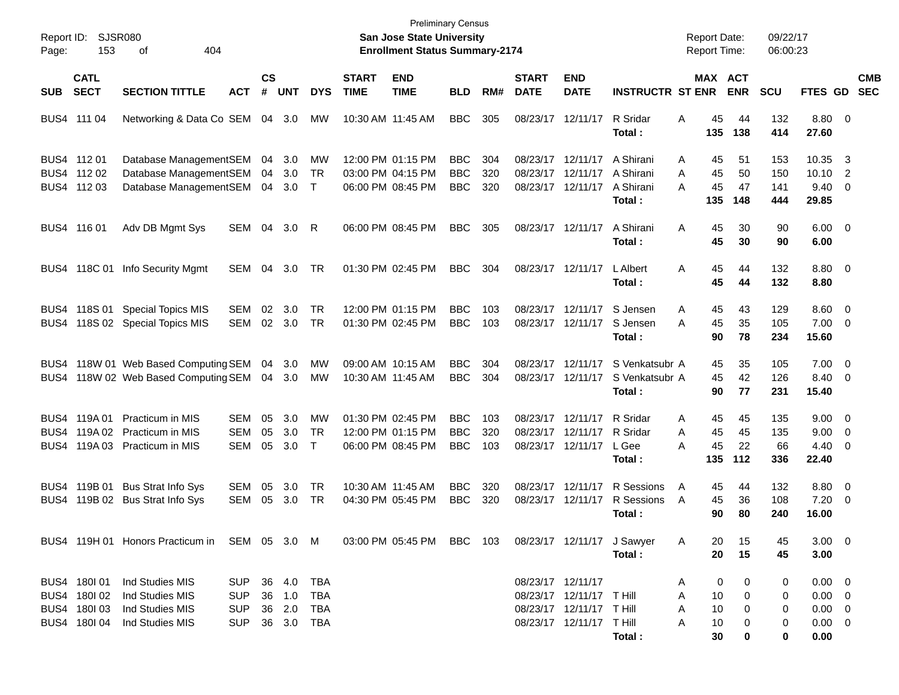|            | Report ID: SJSR080 |                                                                         |                |               |            |            |              | <b>San Jose State University</b>      | <b>Preliminary Census</b> |     |              |                          |                            | <b>Report Date:</b> |            | 09/22/17   |                 |                          |            |
|------------|--------------------|-------------------------------------------------------------------------|----------------|---------------|------------|------------|--------------|---------------------------------------|---------------------------|-----|--------------|--------------------------|----------------------------|---------------------|------------|------------|-----------------|--------------------------|------------|
| Page:      | 153<br>404<br>οf   |                                                                         |                |               |            |            |              | <b>Enrollment Status Summary-2174</b> |                           |     |              |                          |                            | <b>Report Time:</b> |            | 06:00:23   |                 |                          |            |
|            | <b>CATL</b>        |                                                                         |                | $\mathsf{cs}$ |            |            | <b>START</b> | <b>END</b>                            |                           |     | <b>START</b> | <b>END</b>               |                            | MAX ACT             |            |            |                 |                          | <b>CMB</b> |
| <b>SUB</b> | <b>SECT</b>        | <b>SECTION TITTLE</b>                                                   | <b>ACT</b>     | #             | <b>UNT</b> | <b>DYS</b> | <b>TIME</b>  | <b>TIME</b>                           | <b>BLD</b>                | RM# | <b>DATE</b>  | <b>DATE</b>              | <b>INSTRUCTR ST ENR</b>    |                     | <b>ENR</b> | <b>SCU</b> | <b>FTES GD</b>  |                          | <b>SEC</b> |
|            | BUS4 111 04        | Networking & Data Co SEM 04 3.0                                         |                |               |            | MW         |              | 10:30 AM 11:45 AM                     | <b>BBC</b>                | 305 | 08/23/17     | 12/11/17                 | R Sridar<br>Total:         | 45<br>A<br>135      | 44<br>138  | 132<br>414 | 8.80 0<br>27.60 |                          |            |
|            |                    |                                                                         |                |               |            |            |              |                                       |                           |     |              |                          |                            |                     |            |            |                 |                          |            |
|            | BUS4 112 01        | Database ManagementSEM                                                  |                | 04            | 3.0        | MW         |              | 12:00 PM 01:15 PM                     | <b>BBC</b>                | 304 | 08/23/17     | 12/11/17                 | A Shirani                  | A<br>45             | 51         | 153        | 10.35           | $\overline{\mathbf{3}}$  |            |
|            | BUS4 112 02        | Database ManagementSEM                                                  |                | 04            | 3.0        | TR         |              | 03:00 PM 04:15 PM                     | <b>BBC</b>                | 320 | 08/23/17     | 12/11/17                 | A Shirani                  | Α<br>45             | 50         | 150        | 10.10           | $\overline{2}$           |            |
|            | BUS4 112 03        | Database ManagementSEM                                                  |                | 04            | 3.0        | $\top$     |              | 06:00 PM 08:45 PM                     | <b>BBC</b>                | 320 |              | 08/23/17 12/11/17        | A Shirani                  | 45<br>А             | 47         | 141        | 9.40            | $\overline{\phantom{0}}$ |            |
|            |                    |                                                                         |                |               |            |            |              |                                       |                           |     |              |                          | Total :                    | 135                 | 148        | 444        | 29.85           |                          |            |
|            | BUS4 116 01        | Adv DB Mgmt Sys                                                         | SEM            | 04            | 3.0        | R          |              | 06:00 PM 08:45 PM                     | <b>BBC</b>                | 305 |              | 08/23/17 12/11/17        | A Shirani                  | A<br>45             | 30         | 90         | $6.00 \quad 0$  |                          |            |
|            |                    |                                                                         |                |               |            |            |              |                                       |                           |     |              |                          | Total :                    | 45                  | 30         | 90         | 6.00            |                          |            |
|            |                    |                                                                         |                |               |            |            |              |                                       |                           |     |              |                          |                            |                     |            |            |                 |                          |            |
|            |                    | BUS4 118C 01 Info Security Mgmt                                         | SEM            | 04            | 3.0        | TR         |              | 01:30 PM 02:45 PM                     | <b>BBC</b>                | 304 |              | 08/23/17 12/11/17        | <b>L</b> Albert            | A<br>45             | 44         | 132        | $8.80\ 0$       |                          |            |
|            |                    |                                                                         |                |               |            |            |              |                                       |                           |     |              |                          | Total :                    | 45                  | 44         | 132        | 8.80            |                          |            |
|            | BUS4 118S 01       | <b>Special Topics MIS</b>                                               | <b>SEM</b>     | 02            | 3.0        | <b>TR</b>  |              | 12:00 PM 01:15 PM                     | <b>BBC</b>                | 103 | 08/23/17     | 12/11/17                 | S Jensen                   | A<br>45             | 43         | 129        | $8.60$ 0        |                          |            |
| BUS4       |                    | 118S 02 Special Topics MIS                                              | SEM            |               | 02 3.0     | TR         |              | 01:30 PM 02:45 PM                     | <b>BBC</b>                | 103 |              | 08/23/17 12/11/17        | S Jensen                   | Α<br>45             | 35         | 105        | $7.00 \t 0$     |                          |            |
|            |                    |                                                                         |                |               |            |            |              |                                       |                           |     |              |                          | Total:                     | 90                  | 78         | 234        | 15.60           |                          |            |
|            |                    |                                                                         |                |               |            |            |              |                                       |                           |     |              |                          |                            |                     |            |            |                 |                          |            |
|            |                    | BUS4 118W 01 Web Based Computing SEM                                    |                | 04            | 3.0        | MW         |              | 09:00 AM 10:15 AM                     | <b>BBC</b>                | 304 | 08/23/17     | 12/11/17                 | S Venkatsubr A             | 45                  | 35         | 105        | $7.00 \t 0$     |                          |            |
|            |                    | BUS4 118W 02 Web Based Computing SEM                                    |                |               | 04 3.0     | МW         |              | 10:30 AM 11:45 AM                     | <b>BBC</b>                | 304 | 08/23/17     | 12/11/17                 | S Venkatsubr A             | 45                  | 42         | 126        | 8.40 0          |                          |            |
|            |                    |                                                                         |                |               |            |            |              |                                       |                           |     |              |                          | Total:                     | 90                  | 77         | 231        | 15.40           |                          |            |
|            | BUS4 119A01        | <b>Practicum in MIS</b>                                                 | SEM            | 05            | 3.0        | <b>MW</b>  |              | 01:30 PM 02:45 PM                     | <b>BBC</b>                | 103 | 08/23/17     | 12/11/17                 | R Sridar                   | 45<br>A             | 45         | 135        | $9.00 \t 0$     |                          |            |
| BUS4       | 119A 02            | <b>Practicum in MIS</b>                                                 | <b>SEM</b>     | 05            | 3.0        | <b>TR</b>  |              | 12:00 PM 01:15 PM                     | <b>BBC</b>                | 320 | 08/23/17     | 12/11/17                 | R Sridar                   | A<br>45             | 45         | 135        | 9.00            | $\overline{\phantom{0}}$ |            |
| BUS4       |                    | 119A 03 Practicum in MIS                                                | <b>SEM</b>     | 05            | 3.0        | $\top$     |              | 06:00 PM 08:45 PM                     | <b>BBC</b>                | 103 |              | 08/23/17 12/11/17        | L Gee                      | 45<br>А             | 22         | 66         | $4.40 \ 0$      |                          |            |
|            |                    |                                                                         |                |               |            |            |              |                                       |                           |     |              |                          | Total:                     | 135                 | 112        | 336        | 22.40           |                          |            |
|            |                    |                                                                         |                |               |            |            |              |                                       |                           |     |              |                          |                            |                     |            |            |                 |                          |            |
|            | BUS4 119B 01       | <b>Bus Strat Info Sys</b>                                               | <b>SEM</b>     | 05            | 3.0        | TR         |              | 10:30 AM 11:45 AM                     | <b>BBC</b>                | 320 | 08/23/17     | 12/11/17                 | R Sessions                 | A<br>45             | 44         | 132        | 8.80 0          |                          |            |
| BUS4.      |                    | 119B 02 Bus Strat Info Sys                                              | SEM            | 05            | 3.0        | TR         |              | 04:30 PM 05:45 PM                     | <b>BBC</b>                | 320 | 08/23/17     | 12/11/17                 | R Sessions                 | 45<br>A             | 36         | 108        | 7.20            | $\overline{\phantom{0}}$ |            |
|            |                    |                                                                         |                |               |            |            |              |                                       |                           |     |              |                          | Total :                    | 90                  | 80         | 240        | 16.00           |                          |            |
|            |                    | BUS4 119H 01 Honors Practicum in SEM 05 3.0 M 03:00 PM 05:45 PM BBC 103 |                |               |            |            |              |                                       |                           |     |              |                          | 08/23/17 12/11/17 J Sawyer | 20<br>A             | 15         | 45         | $3.00 \ 0$      |                          |            |
|            |                    |                                                                         |                |               |            |            |              |                                       |                           |     |              |                          | Total:                     | 20                  | 15         | 45         | 3.00            |                          |            |
|            |                    |                                                                         |                |               |            |            |              |                                       |                           |     |              |                          |                            |                     |            |            |                 |                          |            |
|            | BUS4 180101        | Ind Studies MIS                                                         | SUP 36 4.0     |               |            | TBA        |              |                                       |                           |     |              | 08/23/17 12/11/17        |                            | 0<br>A              | 0          | 0          | $0.00 \t 0$     |                          |            |
|            | BUS4 180 02        | Ind Studies MIS                                                         | SUP            |               | 36 1.0     | <b>TBA</b> |              |                                       |                           |     |              | 08/23/17 12/11/17 T Hill |                            | 10<br>A             | 0          | 0          | $0.00 \t 0$     |                          |            |
|            | BUS4 180 03        | Ind Studies MIS                                                         | SUP            |               | 36 2.0     | TBA        |              |                                       |                           |     |              | 08/23/17 12/11/17 THill  |                            | 10<br>A             | 0          | 0          | $0.00 \t 0$     |                          |            |
|            | BUS4 180104        | Ind Studies MIS                                                         | SUP 36 3.0 TBA |               |            |            |              |                                       |                           |     |              | 08/23/17 12/11/17 THill  |                            | 10<br>A             | 0          | 0          | $0.00 \t 0$     |                          |            |
|            |                    |                                                                         |                |               |            |            |              |                                       |                           |     |              |                          | Total:                     | 30                  | 0          | 0          | 0.00            |                          |            |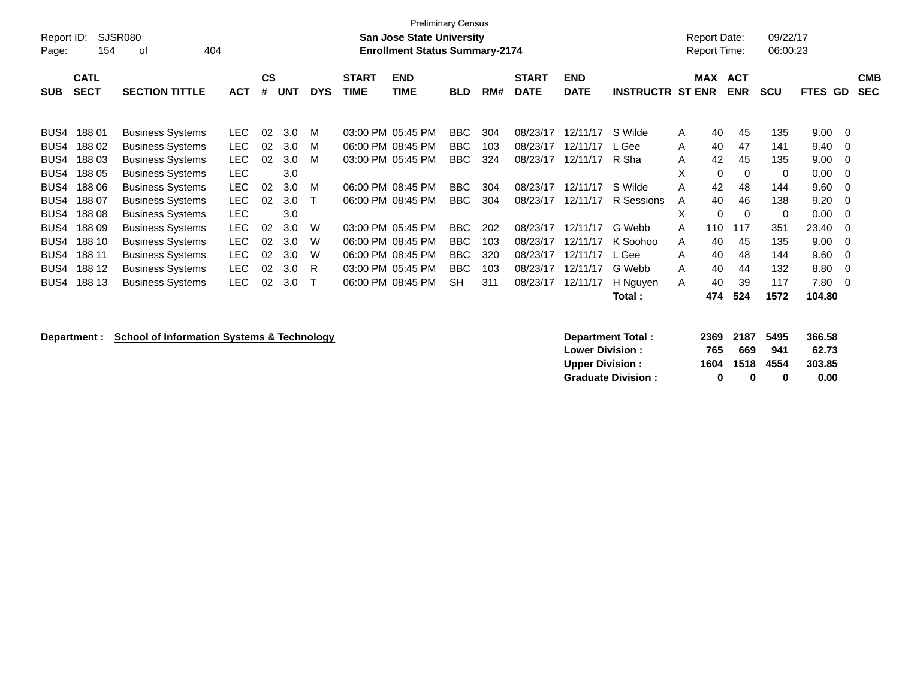| Report ID: |                            | SJSR080                 |            |                |            |            |                             | <b>Preliminary Census</b><br><b>San Jose State University</b> |            |     |                             |                           |                         | <b>Report Date:</b> |                          | 09/22/17   |             |    |                          |
|------------|----------------------------|-------------------------|------------|----------------|------------|------------|-----------------------------|---------------------------------------------------------------|------------|-----|-----------------------------|---------------------------|-------------------------|---------------------|--------------------------|------------|-------------|----|--------------------------|
| Page:      | 154                        | 404<br>οf               |            |                |            |            |                             | <b>Enrollment Status Summary-2174</b>                         |            |     |                             |                           |                         | <b>Report Time:</b> |                          | 06:00:23   |             |    |                          |
| <b>SUB</b> | <b>CATL</b><br><b>SECT</b> | <b>SECTION TITTLE</b>   | <b>ACT</b> | <b>CS</b><br># | <b>UNT</b> | <b>DYS</b> | <b>START</b><br><b>TIME</b> | <b>END</b><br>TIME                                            | <b>BLD</b> | RM# | <b>START</b><br><b>DATE</b> | <b>END</b><br><b>DATE</b> | <b>INSTRUCTR ST ENR</b> | <b>MAX</b>          | <b>ACT</b><br><b>ENR</b> | <b>SCU</b> | <b>FTES</b> | GD | <b>CMB</b><br><b>SEC</b> |
| BUS4       | 18801                      | <b>Business Systems</b> | LEC.       | 02             | 3.0        | M          | 03:00 PM 05:45 PM           |                                                               | BBC        | 304 | 08/23/17                    | 12/11/17                  | S Wilde                 | 40<br>A             | 45                       | 135        | 9.00        | -0 |                          |
| BUS4       | 18802                      | <b>Business Systems</b> | LEC.       | 02             | 3.0        | M          | 06:00 PM 08:45 PM           |                                                               | <b>BBC</b> | 103 | 08/23/17                    | 12/11/17                  | L Gee                   | A<br>40             | 47                       | 141        | 9.40        | -0 |                          |
| BUS4       | 18803                      | <b>Business Systems</b> | <b>LEC</b> | 02             | 3.0        | м          | 03:00 PM 05:45 PM           |                                                               | BBC        | 324 | 08/23/17                    | 12/11/17                  | R Sha                   | 42<br>A             | 45                       | 135        | 9.00        | 0  |                          |
| BUS4       | 188 05                     | <b>Business Systems</b> | <b>LEC</b> |                | 3.0        |            |                             |                                                               |            |     |                             |                           |                         | X                   | 0<br>$\Omega$            | 0          | 0.00        | 0  |                          |
| BUS4       | 188 06                     | <b>Business Systems</b> | <b>LEC</b> | 02             | 3.0        | м          | 06:00 PM 08:45 PM           |                                                               | <b>BBC</b> | 304 | 08/23/17                    | 12/11/17                  | S Wilde                 | 42<br>A             | 48                       | 144        | 9.60        | 0  |                          |
| BUS4       | 18807                      | <b>Business Systems</b> | <b>LEC</b> | 02             | 3.0        |            | 06:00 PM 08:45 PM           |                                                               | <b>BBC</b> | 304 | 08/23/17                    | 12/11/17                  | R Sessions              | 40<br>A             | 46                       | 138        | 9.20        | 0  |                          |
| BUS4       | 18808                      | <b>Business Systems</b> | <b>LEC</b> |                | 3.0        |            |                             |                                                               |            |     |                             |                           |                         | X                   | 0<br>$\Omega$            | 0          | 0.00        | 0  |                          |
| BUS4       | 18809                      | <b>Business Systems</b> | <b>LEC</b> | 02             | 3.0        | W          | 03:00 PM 05:45 PM           |                                                               | BBC        | 202 | 08/23/17                    | 12/11/17                  | G Webb                  | 110<br>A            | 117                      | 351        | 23.40       | 0  |                          |
| BUS4       | 188 10                     | <b>Business Systems</b> | LEC.       | 02             | 3.0        | W          | 06:00 PM 08:45 PM           |                                                               | <b>BBC</b> | 103 | 08/23/17                    | 12/11/17                  | K Soohoo                | 40<br>A             | 45                       | 135        | 9.00        | 0  |                          |
| BUS4       | 188 11                     | <b>Business Systems</b> | <b>LEC</b> | 02             | 3.0        | W          | 06:00 PM 08:45 PM           |                                                               | <b>BBC</b> | 320 | 08/23/17                    | 12/11/17                  | L Gee                   | 40<br>A             | 48                       | 144        | 9.60        | 0  |                          |
| BUS4       | 188 12                     | <b>Business Systems</b> | <b>LEC</b> | 02             | 3.0        | R          | 03:00 PM 05:45 PM           |                                                               | <b>BBC</b> | 103 | 08/23/17                    | 12/11/17                  | G Webb                  | A<br>40             | 44                       | 132        | 8.80        | 0  |                          |
| BUS4       | 188 13                     | <b>Business Systems</b> | LEC.       | 02             | 3.0        | т          | 06:00 PM 08:45 PM           |                                                               | SH         | 311 | 08/23/17                    | 12/11/17                  | H Nguyen                | 40<br>A             | 39                       | 117        | 7.80        | 0  |                          |
|            |                            |                         |            |                |            |            |                             |                                                               |            |     |                             |                           | Total :                 | 474                 | 524                      | 1572       | 104.80      |    |                          |

**Department : School of Information Systems & Technology Department Total : 2369 2187 5495 366.58**<br>2.73 Lower Division : 2369 941 62.73 **Lower Division : 765 669 941 62.73 Upper Division : 1604 1518 4554 303.85<br>
Graduate Division : 0 0 0 0 0.00 Graduate Division : 0 0 0 0.00**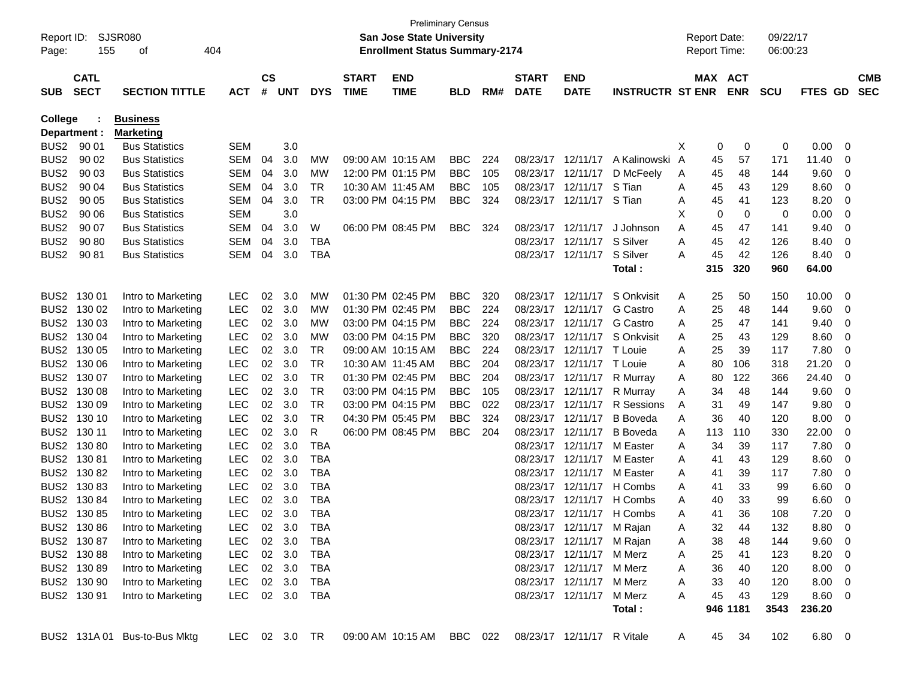| Report ID:<br>Page: | 155                        | SJSR080<br>οf                | 404            |                |        |            |                             | <b>San Jose State University</b><br><b>Enrollment Status Summary-2174</b>  | <b>Preliminary Census</b> |     |                             |                           |                           |   | <b>Report Date:</b><br><b>Report Time:</b> |            | 09/22/17<br>06:00:23 |                |          |                          |
|---------------------|----------------------------|------------------------------|----------------|----------------|--------|------------|-----------------------------|----------------------------------------------------------------------------|---------------------------|-----|-----------------------------|---------------------------|---------------------------|---|--------------------------------------------|------------|----------------------|----------------|----------|--------------------------|
| <b>SUB</b>          | <b>CATL</b><br><b>SECT</b> | <b>SECTION TITTLE</b>        | <b>ACT</b>     | <b>CS</b><br># | UNT    | <b>DYS</b> | <b>START</b><br><b>TIME</b> | <b>END</b><br><b>TIME</b>                                                  | <b>BLD</b>                | RM# | <b>START</b><br><b>DATE</b> | <b>END</b><br><b>DATE</b> | <b>INSTRUCTR ST ENR</b>   |   | MAX ACT                                    | <b>ENR</b> | <b>SCU</b>           | <b>FTES GD</b> |          | <b>CMB</b><br><b>SEC</b> |
| College             |                            | <b>Business</b>              |                |                |        |            |                             |                                                                            |                           |     |                             |                           |                           |   |                                            |            |                      |                |          |                          |
|                     | Department :               | <b>Marketing</b>             |                |                |        |            |                             |                                                                            |                           |     |                             |                           |                           |   |                                            |            |                      |                |          |                          |
| BUS <sub>2</sub>    | 90 01                      | <b>Bus Statistics</b>        | SEM            |                | 3.0    |            |                             |                                                                            |                           |     |                             |                           |                           | X | 0                                          | 0          | 0                    | 0.00           | 0        |                          |
| BUS <sub>2</sub>    | 90 02                      | <b>Bus Statistics</b>        | <b>SEM</b>     | 04             | 3.0    | MW         |                             | 09:00 AM 10:15 AM                                                          | <b>BBC</b>                | 224 |                             | 08/23/17 12/11/17         | A Kalinowski A            |   | 45                                         | 57         | 171                  | 11.40          | 0        |                          |
| BUS <sub>2</sub>    | 90 03                      | <b>Bus Statistics</b>        | SEM            | 04             | 3.0    | MW         |                             | 12:00 PM 01:15 PM                                                          | <b>BBC</b>                | 105 |                             | 08/23/17 12/11/17         | D McFeely                 | A | 45                                         | 48         | 144                  | 9.60           | 0        |                          |
| BUS <sub>2</sub>    | 90 04                      | <b>Bus Statistics</b>        | SEM            | 04             | 3.0    | TR         |                             | 10:30 AM 11:45 AM                                                          | <b>BBC</b>                | 105 | 08/23/17                    | 12/11/17                  | S Tian                    | A | 45                                         | 43         | 129                  | 8.60           | 0        |                          |
| BUS <sub>2</sub>    | 90 05                      | <b>Bus Statistics</b>        | <b>SEM</b>     | 04             | 3.0    | TR         |                             | 03:00 PM 04:15 PM                                                          | <b>BBC</b>                | 324 | 08/23/17                    | 12/11/17 S Tian           |                           | A | 45                                         | 41         | 123                  | 8.20           | 0        |                          |
| BUS <sub>2</sub>    | 90 06                      | <b>Bus Statistics</b>        | <b>SEM</b>     |                | 3.0    |            |                             |                                                                            |                           |     |                             |                           |                           | Х | 0                                          | 0          | 0                    | 0.00           | 0        |                          |
| BUS <sub>2</sub>    | 90 07                      | <b>Bus Statistics</b>        | <b>SEM</b>     | 04             | 3.0    | W          |                             | 06:00 PM 08:45 PM                                                          | <b>BBC</b>                | 324 | 08/23/17                    | 12/11/17                  | J Johnson                 | Α | 45                                         | 47         | 141                  | 9.40           | 0        |                          |
| BUS <sub>2</sub>    | 90 80                      | <b>Bus Statistics</b>        | SEM            | 04             | 3.0    | TBA        |                             |                                                                            |                           |     | 08/23/17                    | 12/11/17                  | S Silver                  | A | 45                                         | 42         | 126                  | 8.40           | 0        |                          |
| BUS <sub>2</sub>    | 90 81                      | <b>Bus Statistics</b>        | SEM            | 04             | 3.0    | TBA        |                             |                                                                            |                           |     |                             | 08/23/17 12/11/17         | S Silver                  | Α | 45                                         | 42         | 126                  | 8.40           | 0        |                          |
|                     |                            |                              |                |                |        |            |                             |                                                                            |                           |     |                             |                           | Total :                   |   | 315                                        | 320        | 960                  | 64.00          |          |                          |
|                     | BUS2 130 01                | Intro to Marketing           | <b>LEC</b>     | 02             | 3.0    | MW         |                             | 01:30 PM 02:45 PM                                                          | <b>BBC</b>                | 320 | 08/23/17                    | 12/11/17                  | S Onkvisit                | A | 25                                         | 50         | 150                  | 10.00          | 0        |                          |
|                     | BUS2 130 02                | Intro to Marketing           | <b>LEC</b>     | 02             | 3.0    | MW         |                             | 01:30 PM 02:45 PM                                                          | <b>BBC</b>                | 224 | 08/23/17                    | 12/11/17                  | G Castro                  | A | 25                                         | 48         | 144                  | 9.60           | 0        |                          |
|                     | BUS2 130 03                | Intro to Marketing           | <b>LEC</b>     | 02             | 3.0    | MW         |                             | 03:00 PM 04:15 PM                                                          | <b>BBC</b>                | 224 | 08/23/17                    | 12/11/17                  | <b>G</b> Castro           | A | 25                                         | 47         | 141                  | 9.40           | 0        |                          |
|                     | BUS2 130 04                | Intro to Marketing           | <b>LEC</b>     | 02             | 3.0    | MW         |                             | 03:00 PM 04:15 PM                                                          | <b>BBC</b>                | 320 | 08/23/17                    |                           | 12/11/17 S Onkvisit       | A | 25                                         | 43         | 129                  | 8.60           | 0        |                          |
|                     | BUS2 130 05                | Intro to Marketing           | <b>LEC</b>     | 02             | 3.0    | TR         |                             | 09:00 AM 10:15 AM                                                          | <b>BBC</b>                | 224 | 08/23/17                    | 12/11/17 T Louie          |                           | A | 25                                         | 39         | 117                  | 7.80           | 0        |                          |
|                     | BUS2 130 06                | Intro to Marketing           | <b>LEC</b>     | 02             | 3.0    | TR         |                             | 10:30 AM 11:45 AM                                                          | <b>BBC</b>                | 204 | 08/23/17                    | 12/11/17 T Louie          |                           | A | 80                                         | 106        | 318                  | 21.20          | 0        |                          |
|                     | BUS2 130 07                | Intro to Marketing           | <b>LEC</b>     | 02             | 3.0    | TR         |                             | 01:30 PM 02:45 PM                                                          | <b>BBC</b>                | 204 | 08/23/17                    | 12/11/17                  | R Murray                  | A | 80                                         | 122        | 366                  | 24.40          | 0        |                          |
|                     | BUS2 130 08                | Intro to Marketing           | <b>LEC</b>     | 02             | 3.0    | TR         |                             | 03:00 PM 04:15 PM                                                          | <b>BBC</b>                | 105 | 08/23/17                    | 12/11/17                  | R Murray                  | A | 34                                         | 48         | 144                  | 9.60           | 0        |                          |
|                     | BUS2 130 09                | Intro to Marketing           | <b>LEC</b>     | 02             | 3.0    | TR         |                             | 03:00 PM 04:15 PM                                                          | <b>BBC</b>                | 022 | 08/23/17                    | 12/11/17                  | <b>R</b> Sessions         | A | 31                                         | 49         | 147                  | 9.80           | 0        |                          |
|                     | BUS2 130 10                | Intro to Marketing           | <b>LEC</b>     | 02             | 3.0    | TR         |                             | 04:30 PM 05:45 PM                                                          | <b>BBC</b>                | 324 | 08/23/17                    | 12/11/17                  | <b>B</b> Boveda           | A | 36                                         | 40         | 120                  | 8.00           | 0        |                          |
|                     | BUS2 130 11                | Intro to Marketing           | <b>LEC</b>     | 02             | 3.0    | R          |                             | 06:00 PM 08:45 PM                                                          | <b>BBC</b>                | 204 | 08/23/17                    | 12/11/17                  | <b>B</b> Boveda           | A | 113                                        | 110        | 330                  | 22.00          | 0        |                          |
|                     | BUS2 130 80                | Intro to Marketing           | <b>LEC</b>     | 02             | 3.0    | <b>TBA</b> |                             |                                                                            |                           |     | 08/23/17                    | 12/11/17                  | M Easter                  | A | 34                                         | 39         | 117                  | 7.80           | 0        |                          |
|                     | BUS2 130 81                | Intro to Marketing           | <b>LEC</b>     | 02             | 3.0    | TBA        |                             |                                                                            |                           |     | 08/23/17                    | 12/11/17                  | M Easter                  | A | 41                                         | 43         | 129                  | 8.60           | 0        |                          |
|                     | BUS2 130 82                | Intro to Marketing           | <b>LEC</b>     | 02             | 3.0    | TBA        |                             |                                                                            |                           |     | 08/23/17                    | 12/11/17                  | M Easter                  | A | 41                                         | 39         | 117                  | 7.80           | 0        |                          |
|                     | BUS2 130 83                | Intro to Marketing           | <b>LEC</b>     | 02             | 3.0    | TBA        |                             |                                                                            |                           |     | 08/23/17                    | 12/11/17                  | H Combs                   | A | 41                                         | 33         | 99                   | 6.60           | 0        |                          |
|                     | BUS2 130 84                | Intro to Marketing           | <b>LEC</b>     | 02             | 3.0    | TBA        |                             |                                                                            |                           |     | 08/23/17                    | 12/11/17                  | H Combs                   | A | 40                                         | 33         | 99                   | 6.60           | 0        |                          |
|                     | BUS2 130 85                | Intro to Marketing           | <b>LEC</b>     | 02             | 3.0    | <b>TBA</b> |                             |                                                                            |                           |     |                             |                           | 08/23/17 12/11/17 H Combs | A | 41                                         | 36         | 108                  | 7.20           | 0        |                          |
|                     | BUS2 130 86                | Intro to Marketing           | LEC            |                | 02 3.0 | <b>TBA</b> |                             |                                                                            |                           |     |                             | 08/23/17 12/11/17 M Rajan |                           |   | 32                                         | 44         | 132                  | 8.80           | $\Omega$ |                          |
|                     | BUS2 130 87                | Intro to Marketing           | LEC 02 3.0     |                |        | TBA        |                             |                                                                            |                           |     |                             | 08/23/17 12/11/17 M Rajan |                           | A | 38                                         | 48         | 144                  | $9.60 \quad 0$ |          |                          |
|                     | BUS2 130 88                | Intro to Marketing           | LEC 02 3.0     |                |        | TBA        |                             |                                                                            |                           |     |                             | 08/23/17 12/11/17 M Merz  |                           | A | 25                                         | 41         | 123                  | 8.20 0         |          |                          |
|                     | BUS2 130 89                | Intro to Marketing           | LEC 02 3.0     |                |        | TBA        |                             |                                                                            |                           |     |                             | 08/23/17 12/11/17 M Merz  |                           | A | 36                                         | 40         | 120                  | $8.00 \t 0$    |          |                          |
|                     | BUS2 130 90                | Intro to Marketing           | LEC 02 3.0     |                |        | TBA        |                             |                                                                            |                           |     |                             | 08/23/17 12/11/17 M Merz  |                           | A | 33                                         | 40         | 120                  | $8.00 \t 0$    |          |                          |
|                     | BUS2 130 91                | Intro to Marketing           | LEC 02 3.0 TBA |                |        |            |                             |                                                                            |                           |     |                             | 08/23/17 12/11/17 M Merz  |                           | A | 45                                         | 43         | 129                  | 8.60 0         |          |                          |
|                     |                            |                              |                |                |        |            |                             |                                                                            |                           |     |                             |                           | Total:                    |   |                                            | 946 1181   | 3543                 | 236.20         |          |                          |
|                     |                            | BUS2 131A 01 Bus-to-Bus Mktg |                |                |        |            |                             | LEC 02 3.0 TR  09:00 AM  10:15 AM  BBC  022  08/23/17  12/11/17  R  Vitale |                           |     |                             |                           |                           | A |                                            | 45 34      | 102                  | $6.80\quad 0$  |          |                          |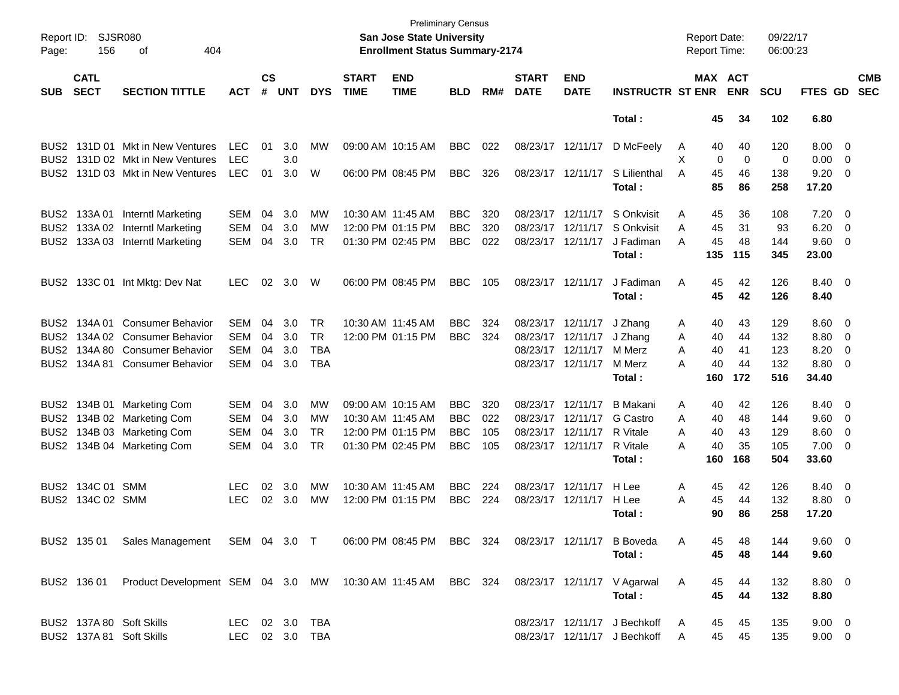| Page:            | SJSR080<br>Report ID:<br>156<br>404<br>оf |                                                             |            |                    |                |            |                             | <b>Preliminary Census</b><br><b>San Jose State University</b><br><b>Enrollment Status Summary-2174</b> |            |     |                             |                           |                              | <b>Report Date:</b><br>Report Time: |     |                              | 09/22/17<br>06:00:23 |                |                          |                          |
|------------------|-------------------------------------------|-------------------------------------------------------------|------------|--------------------|----------------|------------|-----------------------------|--------------------------------------------------------------------------------------------------------|------------|-----|-----------------------------|---------------------------|------------------------------|-------------------------------------|-----|------------------------------|----------------------|----------------|--------------------------|--------------------------|
| <b>SUB</b>       | <b>CATL</b><br><b>SECT</b>                | <b>SECTION TITTLE</b>                                       | <b>ACT</b> | $\mathsf{cs}$<br># | <b>UNT</b>     | <b>DYS</b> | <b>START</b><br><b>TIME</b> | <b>END</b><br><b>TIME</b>                                                                              | <b>BLD</b> | RM# | <b>START</b><br><b>DATE</b> | <b>END</b><br><b>DATE</b> | <b>INSTRUCTR ST ENR</b>      |                                     |     | <b>MAX ACT</b><br><b>ENR</b> | <b>SCU</b>           | FTES GD        |                          | <b>CMB</b><br><b>SEC</b> |
|                  |                                           |                                                             |            |                    |                |            |                             |                                                                                                        |            |     |                             |                           | Total:                       |                                     | 45  | 34                           | 102                  | 6.80           |                          |                          |
| BUS <sub>2</sub> |                                           | 131D 01 Mkt in New Ventures                                 | <b>LEC</b> | 01                 | 3.0            | MW         |                             | 09:00 AM 10:15 AM                                                                                      | <b>BBC</b> | 022 | 08/23/17                    | 12/11/17                  | D McFeely                    | A                                   | 40  | 40                           | 120                  | 8.00           | $\overline{\mathbf{0}}$  |                          |
| BUS <sub>2</sub> |                                           | 131D 02 Mkt in New Ventures                                 | <b>LEC</b> |                    | 3.0            |            |                             |                                                                                                        |            |     |                             |                           |                              | х                                   | 0   | 0                            | 0                    | 0.00           | 0                        |                          |
| BUS <sub>2</sub> |                                           | 131D 03 Mkt in New Ventures                                 | <b>LEC</b> | 01                 | 3.0            | W          |                             | 06:00 PM 08:45 PM                                                                                      | <b>BBC</b> | 326 |                             | 08/23/17 12/11/17         | S Lilienthal                 | A                                   | 45  | 46                           | 138                  | 9.20           | 0                        |                          |
|                  |                                           |                                                             |            |                    |                |            |                             |                                                                                                        |            |     |                             |                           | Total :                      |                                     | 85  | 86                           | 258                  | 17.20          |                          |                          |
| BUS <sub>2</sub> | 133A 01                                   | <b>Interntl Marketing</b>                                   | <b>SEM</b> | 04                 | 3.0            | MW         | 10:30 AM 11:45 AM           |                                                                                                        | <b>BBC</b> | 320 | 08/23/17                    | 12/11/17                  | S Onkvisit                   | Α                                   | 45  | 36                           | 108                  | 7.20           | $\overline{\phantom{0}}$ |                          |
| BUS <sub>2</sub> | 133A 02                                   | Interntl Marketing                                          | <b>SEM</b> | 04                 | 3.0            | MW         |                             | 12:00 PM 01:15 PM                                                                                      | <b>BBC</b> | 320 | 08/23/17                    | 12/11/17                  | S Onkvisit                   | A                                   | 45  | 31                           | 93                   | 6.20           | 0                        |                          |
| BUS <sub>2</sub> | 133A 03                                   | Interntl Marketing                                          | <b>SEM</b> | 04                 | 3.0            | TR         |                             | 01:30 PM 02:45 PM                                                                                      | <b>BBC</b> | 022 | 08/23/17                    | 12/11/17                  | J Fadiman                    | A                                   | 45  | 48                           | 144                  | 9.60           | 0                        |                          |
|                  |                                           |                                                             |            |                    |                |            |                             |                                                                                                        |            |     |                             |                           | Total:                       |                                     | 135 | 115                          | 345                  | 23.00          |                          |                          |
| BUS <sub>2</sub> |                                           | 133C 01 Int Mktg: Dev Nat                                   | <b>LEC</b> | 02                 | 3.0            | W          |                             | 06:00 PM 08:45 PM                                                                                      | <b>BBC</b> | 105 | 08/23/17                    | 12/11/17                  | J Fadiman                    | Α                                   | 45  | 42                           | 126                  | 8.40 0         |                          |                          |
|                  |                                           |                                                             |            |                    |                |            |                             |                                                                                                        |            |     |                             |                           | Total:                       |                                     | 45  | 42                           | 126                  | 8.40           |                          |                          |
| BUS <sub>2</sub> | 134A 01                                   | <b>Consumer Behavior</b>                                    | <b>SEM</b> | 04                 | 3.0            | <b>TR</b>  | 10:30 AM 11:45 AM           |                                                                                                        | <b>BBC</b> | 324 | 08/23/17                    | 12/11/17                  | J Zhang                      | Α                                   | 40  | 43                           | 129                  | 8.60           | $\overline{\mathbf{0}}$  |                          |
| BUS <sub>2</sub> | 134A 02                                   | <b>Consumer Behavior</b>                                    | <b>SEM</b> | 04                 | 3.0            | <b>TR</b>  |                             | 12:00 PM 01:15 PM                                                                                      | <b>BBC</b> | 324 | 08/23/17                    | 12/11/17                  | J Zhang                      | Α                                   | 40  | 44                           | 132                  | 8.80           | 0                        |                          |
| BUS <sub>2</sub> | 134A 80                                   | <b>Consumer Behavior</b>                                    | <b>SEM</b> | 04                 | 3.0            | <b>TBA</b> |                             |                                                                                                        |            |     | 08/23/17                    | 12/11/17                  | M Merz                       | A                                   | 40  | 41                           | 123                  | 8.20           | 0                        |                          |
| BUS <sub>2</sub> | 134A 81                                   | <b>Consumer Behavior</b>                                    | <b>SEM</b> | 04                 | 3.0            | <b>TBA</b> |                             |                                                                                                        |            |     |                             | 08/23/17 12/11/17         | M Merz                       | A                                   | 40  | 44                           | 132                  | 8.80           | $\overline{0}$           |                          |
|                  |                                           |                                                             |            |                    |                |            |                             |                                                                                                        |            |     |                             |                           | Total:                       |                                     | 160 | 172                          | 516                  | 34.40          |                          |                          |
| BUS <sub>2</sub> | 134B 01                                   | <b>Marketing Com</b>                                        | <b>SEM</b> | 04                 | 3.0            | MW         |                             | 09:00 AM 10:15 AM                                                                                      | <b>BBC</b> | 320 | 08/23/17                    | 12/11/17                  | <b>B</b> Makani              | Α                                   | 40  | 42                           | 126                  | 8.40           | $\overline{\phantom{0}}$ |                          |
| BUS <sub>2</sub> |                                           | 134B 02 Marketing Com                                       | <b>SEM</b> | 04                 | 3.0            | MW         | 10:30 AM 11:45 AM           |                                                                                                        | <b>BBC</b> | 022 | 08/23/17                    | 12/11/17                  | G Castro                     | A                                   | 40  | 48                           | 144                  | 9.60           | 0                        |                          |
| BUS <sub>2</sub> |                                           | 134B 03 Marketing Com                                       | <b>SEM</b> | 04                 | 3.0            | <b>TR</b>  |                             | 12:00 PM 01:15 PM                                                                                      | <b>BBC</b> | 105 | 08/23/17                    | 12/11/17                  | R Vitale                     | A                                   | 40  | 43                           | 129                  | 8.60           | 0                        |                          |
| BUS <sub>2</sub> |                                           | 134B 04 Marketing Com                                       | <b>SEM</b> | 04                 | 3.0            | <b>TR</b>  |                             | 01:30 PM 02:45 PM                                                                                      | <b>BBC</b> | 105 | 08/23/17                    | 12/11/17                  | R Vitale                     | A                                   | 40  | 35                           | 105                  | 7.00           | 0                        |                          |
|                  |                                           |                                                             |            |                    |                |            |                             |                                                                                                        |            |     |                             |                           | Total:                       |                                     | 160 | 168                          | 504                  | 33.60          |                          |                          |
| BUS <sub>2</sub> | 134C 01                                   | SMM                                                         | <b>LEC</b> | 02                 | 3.0            | MW         | 10:30 AM 11:45 AM           |                                                                                                        | <b>BBC</b> | 224 | 08/23/17                    | 12/11/17                  | H Lee                        | Α                                   | 45  | 42                           | 126                  | 8.40           | $\overline{\mathbf{0}}$  |                          |
| BUS <sub>2</sub> | 134C 02 SMM                               |                                                             | <b>LEC</b> | 02                 | 3.0            | MW         |                             | 12:00 PM 01:15 PM                                                                                      | <b>BBC</b> | 224 | 08/23/17                    | 12/11/17                  | H Lee                        | A                                   | 45  | 44                           | 132                  | 8.80           | 0                        |                          |
|                  |                                           |                                                             |            |                    |                |            |                             |                                                                                                        |            |     |                             |                           | Total:                       |                                     | 90  | 86                           | 258                  | 17.20          |                          |                          |
|                  |                                           | BUS2 135 01 Sales Management SEM 04 3.0 T                   |            |                    |                |            |                             | 06:00 PM 08:45 PM BBC 324                                                                              |            |     |                             |                           | 08/23/17 12/11/17 B Boveda   | A                                   | 45  | 48                           | 144                  | 9.60 0         |                          |                          |
|                  |                                           |                                                             |            |                    |                |            |                             |                                                                                                        |            |     |                             |                           | Total:                       |                                     | 45  | 48                           | 144                  | 9.60           |                          |                          |
|                  | BUS2 136 01                               | Product Development SEM 04 3.0 MW 10:30 AM 11:45 AM BBC 324 |            |                    |                |            |                             |                                                                                                        |            |     |                             |                           | 08/23/17 12/11/17 V Agarwal  | A                                   | 45  | 44                           | 132                  | 8.80 0         |                          |                          |
|                  |                                           |                                                             |            |                    |                |            |                             |                                                                                                        |            |     |                             |                           | Total:                       |                                     | 45  | 44                           | 132                  | 8.80           |                          |                          |
|                  |                                           | BUS2 137A 80 Soft Skills                                    | LEC        |                    | $02 \quad 3.0$ | <b>TBA</b> |                             |                                                                                                        |            |     |                             |                           | 08/23/17 12/11/17 J Bechkoff | A                                   | 45  | 45                           | 135                  | $9.00 \quad 0$ |                          |                          |
|                  |                                           | BUS2 137A 81 Soft Skills                                    | <b>LEC</b> |                    |                | 02 3.0 TBA |                             |                                                                                                        |            |     |                             |                           | 08/23/17 12/11/17 J Bechkoff | A                                   | 45  | 45                           | 135                  | $9.00 \t 0$    |                          |                          |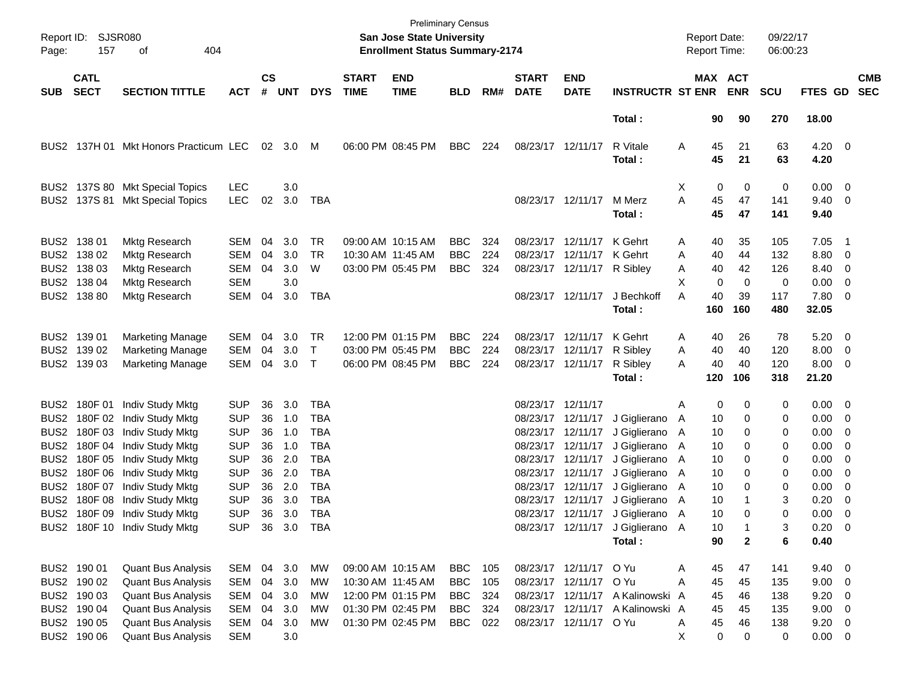| Report ID:<br>Page:                  | <b>SJSR080</b><br>157      |                                       |                          |                    |            |                          | San Jose State University<br><b>Enrollment Status Summary-2174</b> | <b>Preliminary Census</b> |            |     |                             |                                        | <b>Report Date:</b><br>Report Time: |              |           | 09/22/17<br>06:00:23  |            |                      |                                                     |                          |
|--------------------------------------|----------------------------|---------------------------------------|--------------------------|--------------------|------------|--------------------------|--------------------------------------------------------------------|---------------------------|------------|-----|-----------------------------|----------------------------------------|-------------------------------------|--------------|-----------|-----------------------|------------|----------------------|-----------------------------------------------------|--------------------------|
| <b>SUB</b>                           | <b>CATL</b><br><b>SECT</b> | <b>SECTION TITTLE</b>                 | <b>ACT</b>               | $\mathsf{cs}$<br># | <b>UNT</b> | <b>DYS</b>               | <b>START</b><br><b>TIME</b>                                        | <b>END</b><br><b>TIME</b> | <b>BLD</b> | RM# | <b>START</b><br><b>DATE</b> | <b>END</b><br><b>DATE</b>              | <b>INSTRUCTR ST ENR</b>             |              |           | MAX ACT<br><b>ENR</b> | <b>SCU</b> | FTES GD              |                                                     | <b>CMB</b><br><b>SEC</b> |
|                                      |                            |                                       |                          |                    |            |                          |                                                                    |                           |            |     |                             |                                        | Total:                              |              | 90        | 90                    | 270        | 18.00                |                                                     |                          |
|                                      |                            | BUS2 137H 01 Mkt Honors Practicum LEC |                          | 02                 | 3.0        | M                        |                                                                    | 06:00 PM 08:45 PM         | <b>BBC</b> | 224 |                             | 08/23/17 12/11/17                      | R Vitale<br>Total:                  | A            | 45<br>45  | 21<br>21              | 63<br>63   | $4.20 \ 0$<br>4.20   |                                                     |                          |
|                                      |                            | BUS2 137S 80 Mkt Special Topics       | <b>LEC</b>               |                    | 3.0        |                          |                                                                    |                           |            |     |                             |                                        |                                     | X            | 0         | 0                     | 0          | $0.00 \t 0$          |                                                     |                          |
|                                      |                            | BUS2 137S 81 Mkt Special Topics       | <b>LEC</b>               | 02                 | 3.0        | TBA                      |                                                                    |                           |            |     |                             | 08/23/17 12/11/17                      | M Merz<br>Total:                    | A            | 45<br>45  | 47<br>47              | 141<br>141 | 9.40<br>9.40         | $\overline{\phantom{0}}$                            |                          |
|                                      | BUS2 138 01                | Mktg Research                         | SEM                      | 04                 | 3.0        | TR.                      |                                                                    | 09:00 AM 10:15 AM         | <b>BBC</b> | 324 |                             | 08/23/17 12/11/17                      | K Gehrt                             | A            | 40        | 35                    | 105        | 7.05                 | - 1                                                 |                          |
|                                      | BUS2 138 02                | <b>Mktg Research</b>                  | <b>SEM</b>               | 04                 | 3.0        | <b>TR</b>                | 10:30 AM 11:45 AM                                                  |                           | <b>BBC</b> | 224 |                             | 08/23/17 12/11/17                      | K Gehrt                             | Α            | 40        | 44                    | 132        | 8.80                 | $\overline{\phantom{0}}$                            |                          |
|                                      | BUS2 138 03<br>BUS2 138 04 | Mktg Research<br><b>Mktg Research</b> | <b>SEM</b><br><b>SEM</b> | 04                 | 3.0<br>3.0 | W                        |                                                                    | 03:00 PM 05:45 PM         | <b>BBC</b> | 324 |                             | 08/23/17 12/11/17 R Sibley             |                                     | A<br>X       | 40<br>0   | 42<br>0               | 126<br>0   | 8.40<br>0.00         | $\overline{\phantom{0}}$<br>$\overline{\mathbf{0}}$ |                          |
|                                      | BUS2 138 80                | Mktg Research                         | <b>SEM</b>               | 04                 | 3.0        | <b>TBA</b>               |                                                                    |                           |            |     |                             | 08/23/17 12/11/17                      | J Bechkoff                          | Α            | 40        | 39                    | 117        | 7.80 0               |                                                     |                          |
|                                      |                            |                                       |                          |                    |            |                          |                                                                    |                           |            |     |                             |                                        | Total:                              |              | 160       | 160                   | 480        | 32.05                |                                                     |                          |
|                                      | BUS2 139 01                | <b>Marketing Manage</b>               | <b>SEM</b>               | 04                 | 3.0        | TR.                      |                                                                    | 12:00 PM 01:15 PM         | <b>BBC</b> | 224 |                             | 08/23/17 12/11/17                      | K Gehrt                             | A            | 40        | 26                    | 78         | 5.20                 | $\overline{\phantom{0}}$                            |                          |
|                                      | BUS2 139 02                | <b>Marketing Manage</b>               | <b>SEM</b>               | 04                 | 3.0        | Τ                        |                                                                    | 03:00 PM 05:45 PM         | <b>BBC</b> | 224 |                             | 08/23/17 12/11/17                      | R Sibley                            | Α            | 40        | 40                    | 120        | 8.00                 | $\overline{\phantom{0}}$                            |                          |
|                                      | BUS2 139 03                | <b>Marketing Manage</b>               | <b>SEM</b>               | 04                 | 3.0        | $\mathsf{T}$             |                                                                    | 06:00 PM 08:45 PM         | <b>BBC</b> | 224 |                             | 08/23/17 12/11/17                      | R Sibley<br>Total:                  | Α            | 40<br>120 | 40<br>106             | 120<br>318 | $8.00 \t 0$<br>21.20 |                                                     |                          |
|                                      | BUS2 180F 01               | Indiv Study Mktg                      | <b>SUP</b>               | 36                 | 3.0        | <b>TBA</b>               |                                                                    |                           |            |     | 08/23/17 12/11/17           |                                        |                                     | Α            | 0         | 0                     | 0          | 0.00 0               |                                                     |                          |
| BUS <sub>2</sub>                     |                            | 180F 02 Indiv Study Mktg              | <b>SUP</b>               | 36                 | 1.0        | <b>TBA</b>               |                                                                    |                           |            |     |                             | 08/23/17 12/11/17                      | J Giglierano                        | $\mathsf{A}$ | 10        | 0                     | 0          | 0.00                 | $\overline{\phantom{0}}$                            |                          |
| BUS <sub>2</sub>                     | 180F 03                    | Indiv Study Mktg                      | <b>SUP</b>               | 36                 | 1.0        | <b>TBA</b>               |                                                                    |                           |            |     |                             | 08/23/17 12/11/17                      | J Giglierano                        | A            | 10        | 0                     | 0          | 0.00                 | $\overline{\phantom{0}}$                            |                          |
| BUS <sub>2</sub>                     |                            | 180F 04 Indiv Study Mktg              | <b>SUP</b>               | 36                 | 1.0        | <b>TBA</b>               |                                                                    |                           |            |     |                             | 08/23/17 12/11/17                      | J Giglierano                        | A            | 10        | 0                     | 0          | 0.00                 | - 0                                                 |                          |
| BUS <sub>2</sub>                     |                            | 180F 05 Indiv Study Mktg              | <b>SUP</b>               | 36                 | 2.0        | <b>TBA</b>               |                                                                    |                           |            |     |                             | 08/23/17 12/11/17                      | J Giglierano                        | A            | 10        | 0                     | 0          | 0.00                 | $\overline{\phantom{0}}$                            |                          |
| BUS <sub>2</sub><br>BUS <sub>2</sub> |                            | 180F 06 Indiv Study Mktg              | <b>SUP</b><br><b>SUP</b> | 36<br>36           | 2.0<br>2.0 | <b>TBA</b><br><b>TBA</b> |                                                                    |                           |            |     |                             | 08/23/17 12/11/17<br>08/23/17 12/11/17 | J Giglierano                        | A            | 10<br>10  | 0<br>0                | 0<br>0     | 0.00                 | - 0<br>$\overline{\mathbf{0}}$                      |                          |
| BUS <sub>2</sub>                     | 180F 07<br>180F 08         | Indiv Study Mktg<br>Indiv Study Mktg  | <b>SUP</b>               | 36                 | 3.0        | <b>TBA</b>               |                                                                    |                           |            |     |                             | 08/23/17 12/11/17                      | J Giglierano<br>J Giglierano        | A<br>A       | 10        |                       | 3          | 0.00<br>0.20         | 0                                                   |                          |
|                                      |                            | BUS2 180F 09 Indiv Study Mktg         | <b>SUP</b>               | 36                 | 3.0        | <b>TBA</b>               |                                                                    |                           |            |     |                             |                                        | 08/23/17 12/11/17 J Giglierano A    |              | 10        | 0                     | 0          | 0.00                 | $\overline{\phantom{0}}$                            |                          |
|                                      |                            | BUS2 180F 10 Indiv Study Mktg         | <b>SUP</b>               |                    | 36 3.0 TBA |                          |                                                                    |                           |            |     |                             |                                        | 08/23/17 12/11/17 J Giglierano A    |              | 10        |                       | 3          | $0.20 \ 0$           |                                                     |                          |
|                                      |                            |                                       |                          |                    |            |                          |                                                                    |                           |            |     |                             |                                        | Total:                              |              | 90        | $\mathbf{2}$          | 6          | 0.40                 |                                                     |                          |
|                                      | BUS2 190 01                | <b>Quant Bus Analysis</b>             | SEM                      |                    | 04 3.0     | МW                       |                                                                    | 09:00 AM 10:15 AM         | BBC        | 105 |                             | 08/23/17 12/11/17 O Yu                 |                                     | Α            | 45        | 47                    | 141        | $9.40 \quad 0$       |                                                     |                          |
|                                      | BUS2 190 02                | <b>Quant Bus Analysis</b>             | SEM                      | 04                 | 3.0        | МW                       |                                                                    | 10:30 AM 11:45 AM         | <b>BBC</b> | 105 |                             | 08/23/17 12/11/17 OYu                  |                                     | A            | 45        | 45                    | 135        | $9.00 \t 0$          |                                                     |                          |
|                                      | BUS2 190 03                | <b>Quant Bus Analysis</b>             | SEM                      | 04                 | 3.0        | МW                       |                                                                    | 12:00 PM 01:15 PM         | <b>BBC</b> | 324 |                             |                                        | 08/23/17 12/11/17 A Kalinowski A    |              | 45        | 46                    | 138        | $9.20 \ 0$           |                                                     |                          |
|                                      | BUS2 190 04                | <b>Quant Bus Analysis</b>             | SEM                      | 04                 | 3.0        | МW                       |                                                                    | 01:30 PM 02:45 PM         | <b>BBC</b> | 324 |                             |                                        | 08/23/17 12/11/17 A Kalinowski A    |              | 45        | 45                    | 135        | $9.00 \t 0$          |                                                     |                          |
|                                      | BUS2 190 05                | <b>Quant Bus Analysis</b>             | SEM                      | 04                 | 3.0        | МW                       |                                                                    | 01:30 PM 02:45 PM         | <b>BBC</b> | 022 |                             | 08/23/17 12/11/17 O Yu                 |                                     | Α            | 45        | 46                    | 138        | $9.20 \ 0$           |                                                     |                          |
|                                      | BUS2 190 06                | <b>Quant Bus Analysis</b>             | SEM                      |                    | 3.0        |                          |                                                                    |                           |            |     |                             |                                        |                                     | X            | $\pmb{0}$ | 0                     | 0          | $0.00 \t 0$          |                                                     |                          |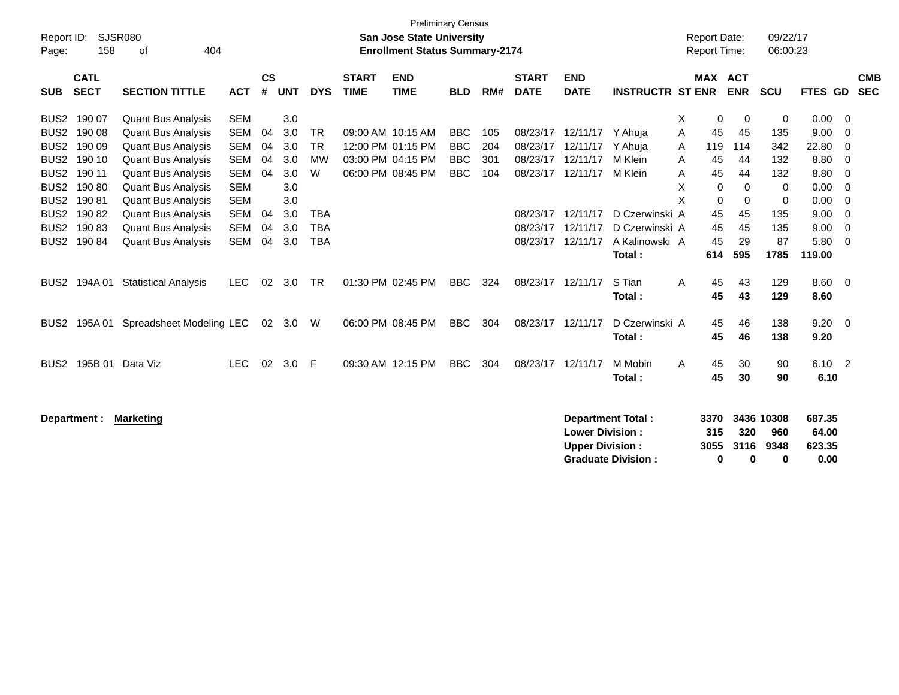|                                                                                    | <b>Preliminary Census</b>  |                             |            |                |            |            |                             |                                                                           |            |     |                             |                           |                           |   |                                     |             |                      |              |                |                          |
|------------------------------------------------------------------------------------|----------------------------|-----------------------------|------------|----------------|------------|------------|-----------------------------|---------------------------------------------------------------------------|------------|-----|-----------------------------|---------------------------|---------------------------|---|-------------------------------------|-------------|----------------------|--------------|----------------|--------------------------|
| Report ID:<br>Page:                                                                | 158                        | SJSR080<br>404<br>of        |            |                |            |            |                             | <b>San Jose State University</b><br><b>Enrollment Status Summary-2174</b> |            |     |                             |                           |                           |   | <b>Report Date:</b><br>Report Time: |             | 09/22/17<br>06:00:23 |              |                |                          |
|                                                                                    |                            |                             |            |                |            |            |                             |                                                                           |            |     |                             |                           |                           |   |                                     |             |                      |              |                |                          |
| <b>SUB</b>                                                                         | <b>CATL</b><br><b>SECT</b> | <b>SECTION TITTLE</b>       | <b>ACT</b> | <b>CS</b><br># | <b>UNT</b> | <b>DYS</b> | <b>START</b><br><b>TIME</b> | <b>END</b><br><b>TIME</b>                                                 | <b>BLD</b> | RM# | <b>START</b><br><b>DATE</b> | <b>END</b><br><b>DATE</b> | <b>INSTRUCTR ST ENR</b>   |   | MAX ACT                             | <b>ENR</b>  | SCU                  | FTES GD      |                | <b>CMB</b><br><b>SEC</b> |
| BUS <sub>2</sub>                                                                   | 190 07                     | <b>Quant Bus Analysis</b>   | <b>SEM</b> |                | 3.0        |            |                             |                                                                           |            |     |                             |                           |                           | X | 0                                   | $\mathbf 0$ | 0                    | 0.00         | - 0            |                          |
| BUS <sub>2</sub>                                                                   | 190 08                     | <b>Quant Bus Analysis</b>   | <b>SEM</b> | 04             | 3.0        | <b>TR</b>  |                             | 09:00 AM 10:15 AM                                                         | <b>BBC</b> | 105 | 08/23/17                    | 12/11/17 Y Ahuia          |                           | A | 45                                  | 45          | 135                  | 9.00         | 0              |                          |
| BUS <sub>2</sub>                                                                   | 190 09                     | <b>Quant Bus Analysis</b>   | <b>SEM</b> | 04             | 3.0        | <b>TR</b>  |                             | 12:00 PM 01:15 PM                                                         | <b>BBC</b> | 204 | 08/23/17                    | 12/11/17                  | Y Ahuia                   | A | 119                                 | 114         | 342                  | 22.80        | 0              |                          |
| BUS <sub>2</sub>                                                                   | 190 10                     | <b>Quant Bus Analysis</b>   | <b>SEM</b> | 04             | 3.0        | MW         |                             | 03:00 PM 04:15 PM                                                         | <b>BBC</b> | 301 | 08/23/17                    | 12/11/17                  | M Klein                   | Α | 45                                  | 44          | 132                  | 8.80         | - 0            |                          |
| BUS <sub>2</sub>                                                                   | 190 11                     | <b>Quant Bus Analysis</b>   | <b>SEM</b> | 04             | 3.0        | W          |                             | 06:00 PM 08:45 PM                                                         | <b>BBC</b> | 104 | 08/23/17                    | 12/11/17                  | M Klein                   | A | 45                                  | 44          | 132                  | 8.80         | $\overline{0}$ |                          |
|                                                                                    | BUS2 190 80                | <b>Quant Bus Analysis</b>   | <b>SEM</b> |                | 3.0        |            |                             |                                                                           |            |     |                             |                           |                           | X | $\mathbf 0$                         | $\mathbf 0$ | 0                    | 0.00         | $\overline{0}$ |                          |
| BUS <sub>2</sub>                                                                   | 19081                      | <b>Quant Bus Analysis</b>   | <b>SEM</b> |                | 3.0        |            |                             |                                                                           |            |     |                             |                           |                           | X | 0                                   | $\mathbf 0$ | 0                    | 0.00         | $\overline{0}$ |                          |
| BUS <sub>2</sub>                                                                   | 19082                      | <b>Quant Bus Analysis</b>   | <b>SEM</b> | 04             | 3.0        | <b>TBA</b> |                             |                                                                           |            |     | 08/23/17                    | 12/11/17                  | D Czerwinski A            |   | 45                                  | 45          | 135                  | 9.00         | $\overline{0}$ |                          |
|                                                                                    | BUS2 190 83                | <b>Quant Bus Analysis</b>   | <b>SEM</b> | 04             | 3.0        | <b>TBA</b> |                             |                                                                           |            |     | 08/23/17                    | 12/11/17                  | D Czerwinski A            |   | 45                                  | 45          | 135                  | 9.00         | $\mathbf 0$    |                          |
|                                                                                    | BUS2 190 84                | <b>Quant Bus Analysis</b>   | <b>SEM</b> | 04             | 3.0        | <b>TBA</b> |                             |                                                                           |            |     |                             | 08/23/17 12/11/17         | A Kalinowski A            |   | 45                                  | 29          | 87                   | 5.80         | - 0            |                          |
|                                                                                    |                            |                             |            |                |            |            |                             |                                                                           |            |     |                             |                           | Total:                    |   | 614                                 | 595         | 1785                 | 119.00       |                |                          |
| BUS <sub>2</sub>                                                                   | 194A 01                    | <b>Statistical Analysis</b> | <b>LEC</b> | 02             | 3.0        | <b>TR</b>  |                             | 01:30 PM 02:45 PM                                                         | <b>BBC</b> | 324 | 08/23/17                    | 12/11/17                  | S Tian                    | Α | 45                                  | 43          | 129                  | 8.60         | $\overline{0}$ |                          |
|                                                                                    |                            |                             |            |                |            |            |                             |                                                                           |            |     |                             |                           | Total:                    |   | 45                                  | 43          | 129                  | 8.60         |                |                          |
|                                                                                    |                            |                             |            |                |            |            |                             |                                                                           |            |     |                             |                           |                           |   |                                     |             |                      |              |                |                          |
| BUS <sub>2</sub>                                                                   | 195A 01                    | Spreadsheet Modeling LEC    |            | 02             | 3.0        | W          |                             | 06:00 PM 08:45 PM                                                         | <b>BBC</b> | 304 | 08/23/17                    | 12/11/17                  | D Czerwinski A<br>Total:  |   | 45<br>45                            | 46<br>46    | 138<br>138           | 9.20<br>9.20 | $\overline{0}$ |                          |
|                                                                                    |                            |                             |            |                |            |            |                             |                                                                           |            |     |                             |                           |                           |   |                                     |             |                      |              |                |                          |
| BUS <sub>2</sub>                                                                   | 195B 01                    | Data Viz                    | <b>LEC</b> | 02             | 3.0        | F          |                             | 09:30 AM 12:15 PM                                                         | <b>BBC</b> | 304 | 08/23/17 12/11/17           |                           | M Mobin                   | A | 45                                  | 30          | 90                   | 6.10 2       |                |                          |
|                                                                                    |                            |                             |            |                |            |            |                             |                                                                           |            |     |                             |                           | Total:                    |   | 45                                  | 30          | 90                   | 6.10         |                |                          |
|                                                                                    |                            |                             |            |                |            |            |                             |                                                                           |            |     |                             |                           |                           |   |                                     |             |                      |              |                |                          |
| <b>Department Total:</b><br>3370<br>3436 10308<br><b>Marketing</b><br>Department : |                            |                             |            |                |            |            |                             |                                                                           |            |     |                             | 687.35                    |                           |   |                                     |             |                      |              |                |                          |
|                                                                                    |                            |                             |            |                |            |            |                             |                                                                           |            |     |                             | <b>Lower Division:</b>    |                           |   | 315                                 | 320         | 960                  | 64.00        |                |                          |
|                                                                                    |                            |                             |            |                |            |            |                             |                                                                           |            |     |                             | <b>Upper Division:</b>    |                           |   | 3055                                | 3116        | 9348                 | 623.35       |                |                          |
|                                                                                    |                            |                             |            |                |            |            |                             |                                                                           |            |     |                             |                           | <b>Graduate Division:</b> |   | 0                                   | 0           | 0                    | 0.00         |                |                          |